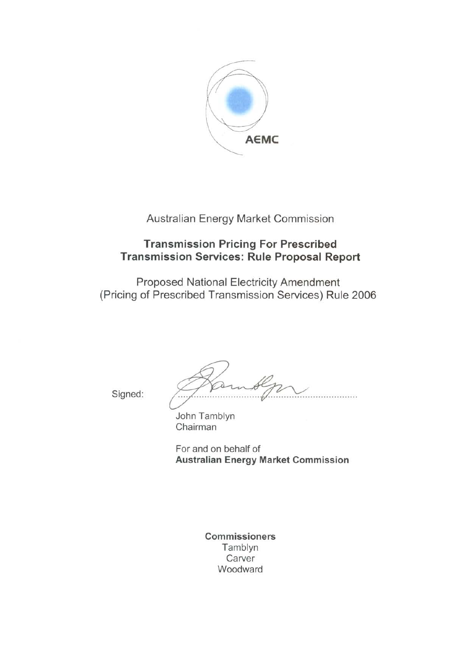

Australian Energy Market Commission

# **Transmission Pricing For Prescribed Transmission Services: Rule Proposal Report**

Proposed National Electricity Amendment (Pricing of Prescribed Transmission Services) Rule 2006

Signed:

John Tamblyn Chairman

For and on behalf of **Australian Energy Market Commission** 

> Commissioners Tamblyn Carver Woodward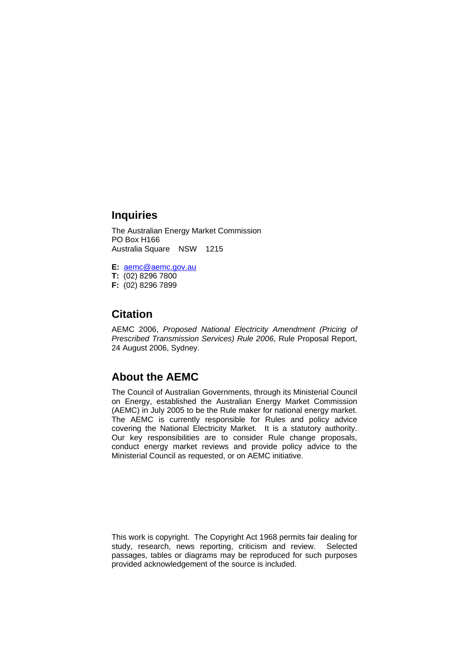#### **Inquiries**

The Australian Energy Market Commission PO Box H166 Australia Square NSW 1215

**E:** [aemc@aemc.gov.au](mailto:aemc@aemc.gov.au) **T:** (02) 8296 7800 **F:** (02) 8296 7899

# **Citation**

AEMC 2006, *Proposed National Electricity Amendment (Pricing of Prescribed Transmission Services) Rule 2006*, Rule Proposal Report, 24 August 2006, Sydney.

#### **About the AEMC**

The Council of Australian Governments, through its Ministerial Council on Energy, established the Australian Energy Market Commission (AEMC) in July 2005 to be the Rule maker for national energy market. The AEMC is currently responsible for Rules and policy advice covering the National Electricity Market. It is a statutory authority. Our key responsibilities are to consider Rule change proposals, conduct energy market reviews and provide policy advice to the Ministerial Council as requested, or on AEMC initiative.

This work is copyright. The Copyright Act 1968 permits fair dealing for study, research, news reporting, criticism and review. Selected passages, tables or diagrams may be reproduced for such purposes provided acknowledgement of the source is included.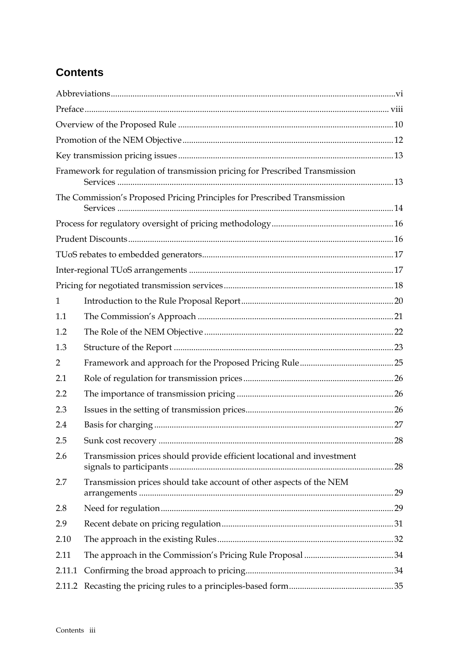# **Contents**

|              | Framework for regulation of transmission pricing for Prescribed Transmission |  |
|--------------|------------------------------------------------------------------------------|--|
|              | The Commission's Proposed Pricing Principles for Prescribed Transmission     |  |
|              |                                                                              |  |
|              |                                                                              |  |
|              |                                                                              |  |
|              |                                                                              |  |
|              |                                                                              |  |
| $\mathbf{1}$ |                                                                              |  |
| 1.1          |                                                                              |  |
| 1.2          |                                                                              |  |
| 1.3          |                                                                              |  |
| 2            |                                                                              |  |
| 2.1          |                                                                              |  |
| 2.2          |                                                                              |  |
| 2.3          |                                                                              |  |
| 2.4          |                                                                              |  |
| 2.5          |                                                                              |  |
| 2.6          | Transmission prices should provide efficient locational and investment       |  |
| 2.7          | Transmission prices should take account of other aspects of the NEM          |  |
| 2.8          |                                                                              |  |
| 2.9          |                                                                              |  |
| 2.10         |                                                                              |  |
| 2.11         |                                                                              |  |
| 2.11.1       |                                                                              |  |
| 2.11.2       |                                                                              |  |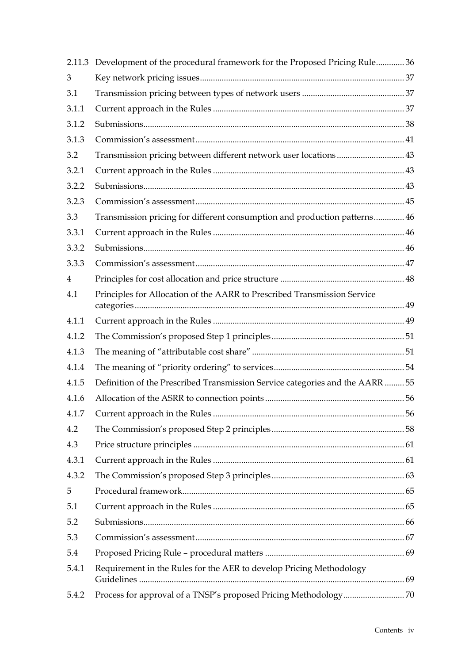| 2.11.3 | Development of the procedural framework for the Proposed Pricing Rule36       |  |
|--------|-------------------------------------------------------------------------------|--|
| 3      |                                                                               |  |
| 3.1    |                                                                               |  |
| 3.1.1  |                                                                               |  |
| 3.1.2  |                                                                               |  |
| 3.1.3  |                                                                               |  |
| 3.2    | Transmission pricing between different network user locations43               |  |
| 3.2.1  |                                                                               |  |
| 3.2.2  |                                                                               |  |
| 3.2.3  |                                                                               |  |
| 3.3    | Transmission pricing for different consumption and production patterns 46     |  |
| 3.3.1  |                                                                               |  |
| 3.3.2  |                                                                               |  |
| 3.3.3  |                                                                               |  |
| 4      |                                                                               |  |
| 4.1    | Principles for Allocation of the AARR to Prescribed Transmission Service      |  |
| 4.1.1  |                                                                               |  |
| 4.1.2  |                                                                               |  |
| 4.1.3  |                                                                               |  |
| 4.1.4  |                                                                               |  |
| 4.1.5  | Definition of the Prescribed Transmission Service categories and the AARR  55 |  |
| 4.1.6  |                                                                               |  |
| 4.1.7  |                                                                               |  |
| 4.2    |                                                                               |  |
| 4.3    |                                                                               |  |
| 4.3.1  |                                                                               |  |
| 4.3.2  |                                                                               |  |
| 5      |                                                                               |  |
| 5.1    |                                                                               |  |
| 5.2    |                                                                               |  |
| 5.3    |                                                                               |  |
| 5.4    |                                                                               |  |
| 5.4.1  | Requirement in the Rules for the AER to develop Pricing Methodology           |  |
| 5.4.2  |                                                                               |  |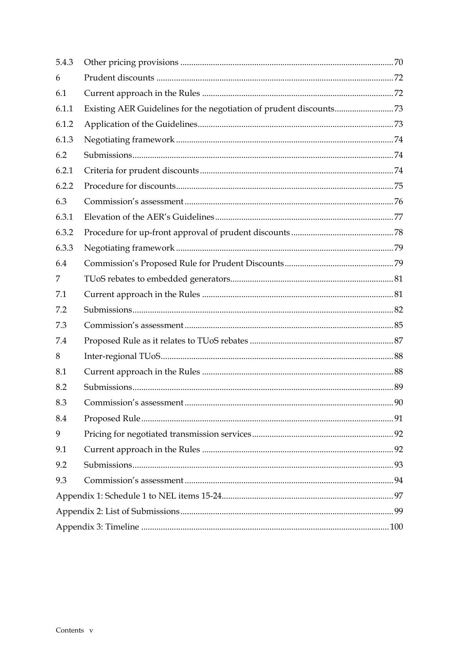| 5.4.3 |  |  |  |
|-------|--|--|--|
| 6     |  |  |  |
| 6.1   |  |  |  |
| 6.1.1 |  |  |  |
| 6.1.2 |  |  |  |
| 6.1.3 |  |  |  |
| 6.2   |  |  |  |
| 6.2.1 |  |  |  |
| 6.2.2 |  |  |  |
| 6.3   |  |  |  |
| 6.3.1 |  |  |  |
| 6.3.2 |  |  |  |
| 6.3.3 |  |  |  |
| 6.4   |  |  |  |
| 7     |  |  |  |
| 7.1   |  |  |  |
| 7.2   |  |  |  |
| 7.3   |  |  |  |
| 7.4   |  |  |  |
| 8     |  |  |  |
| 8.1   |  |  |  |
| 8.2   |  |  |  |
| 8.3   |  |  |  |
| 8.4   |  |  |  |
| 9     |  |  |  |
| 9.1   |  |  |  |
| 9.2   |  |  |  |
| 9.3   |  |  |  |
|       |  |  |  |
|       |  |  |  |
|       |  |  |  |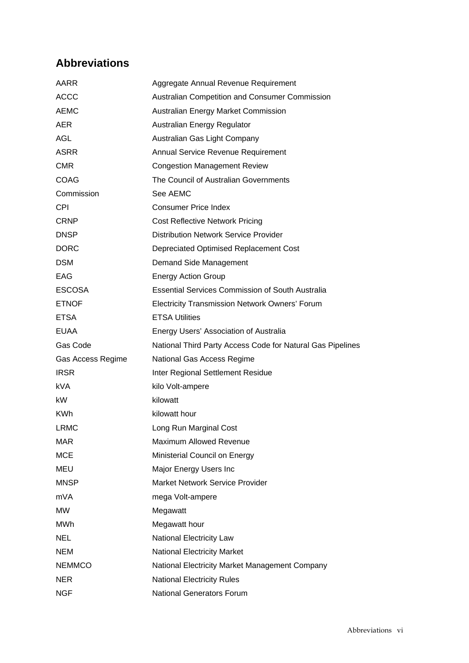# <span id="page-5-0"></span>**Abbreviations**

| AARR              | Aggregate Annual Revenue Requirement                       |
|-------------------|------------------------------------------------------------|
| <b>ACCC</b>       | Australian Competition and Consumer Commission             |
| <b>AEMC</b>       | Australian Energy Market Commission                        |
| <b>AER</b>        | Australian Energy Regulator                                |
| AGL               | Australian Gas Light Company                               |
| <b>ASRR</b>       | Annual Service Revenue Requirement                         |
| <b>CMR</b>        | <b>Congestion Management Review</b>                        |
| <b>COAG</b>       | The Council of Australian Governments                      |
| Commission        | See AEMC                                                   |
| <b>CPI</b>        | <b>Consumer Price Index</b>                                |
| <b>CRNP</b>       | <b>Cost Reflective Network Pricing</b>                     |
| <b>DNSP</b>       | <b>Distribution Network Service Provider</b>               |
| <b>DORC</b>       | Depreciated Optimised Replacement Cost                     |
| <b>DSM</b>        | Demand Side Management                                     |
| <b>EAG</b>        | <b>Energy Action Group</b>                                 |
| <b>ESCOSA</b>     | <b>Essential Services Commission of South Australia</b>    |
| <b>ETNOF</b>      | <b>Electricity Transmission Network Owners' Forum</b>      |
| <b>ETSA</b>       | <b>ETSA Utilities</b>                                      |
| <b>EUAA</b>       | Energy Users' Association of Australia                     |
| Gas Code          | National Third Party Access Code for Natural Gas Pipelines |
| Gas Access Regime | National Gas Access Regime                                 |
| <b>IRSR</b>       | Inter Regional Settlement Residue                          |
| kVA               | kilo Volt-ampere                                           |
| kW                | kilowatt                                                   |
| <b>KWh</b>        | kilowatt hour                                              |
| <b>LRMC</b>       | Long Run Marginal Cost                                     |
| <b>MAR</b>        | Maximum Allowed Revenue                                    |
| <b>MCE</b>        | Ministerial Council on Energy                              |
| MEU               | Major Energy Users Inc                                     |
| <b>MNSP</b>       | <b>Market Network Service Provider</b>                     |
| mVA               | mega Volt-ampere                                           |
| <b>MW</b>         | Megawatt                                                   |
| <b>MWh</b>        | Megawatt hour                                              |
| <b>NEL</b>        | National Electricity Law                                   |
| <b>NEM</b>        | <b>National Electricity Market</b>                         |
| <b>NEMMCO</b>     | National Electricity Market Management Company             |
| <b>NER</b>        | <b>National Electricity Rules</b>                          |
| <b>NGF</b>        | <b>National Generators Forum</b>                           |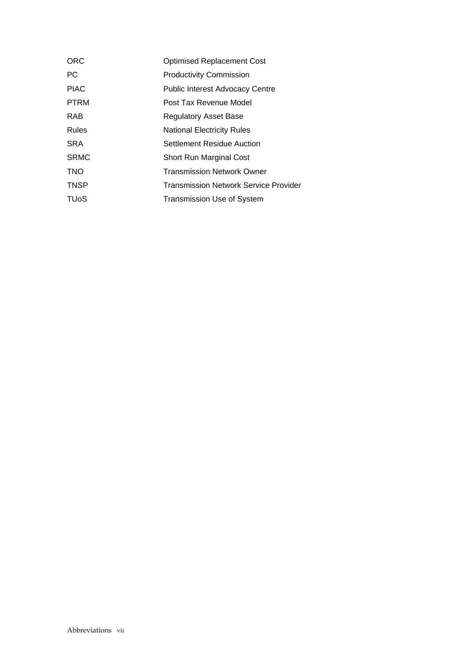| ORC                    | <b>Optimised Replacement Cost</b>            |
|------------------------|----------------------------------------------|
| <b>PC</b>              | <b>Productivity Commission</b>               |
| <b>PIAC</b>            | <b>Public Interest Advocacy Centre</b>       |
| <b>PTRM</b>            | Post Tax Revenue Model                       |
| <b>RAB</b>             | Regulatory Asset Base                        |
| Rules                  | <b>National Electricity Rules</b>            |
| <b>SRA</b>             | Settlement Residue Auction                   |
| <b>SRMC</b>            | Short Run Marginal Cost                      |
| <b>TNO</b>             | <b>Transmission Network Owner</b>            |
| <b>TNSP</b>            | <b>Transmission Network Service Provider</b> |
| <b>TU<sub>o</sub>S</b> | <b>Transmission Use of System</b>            |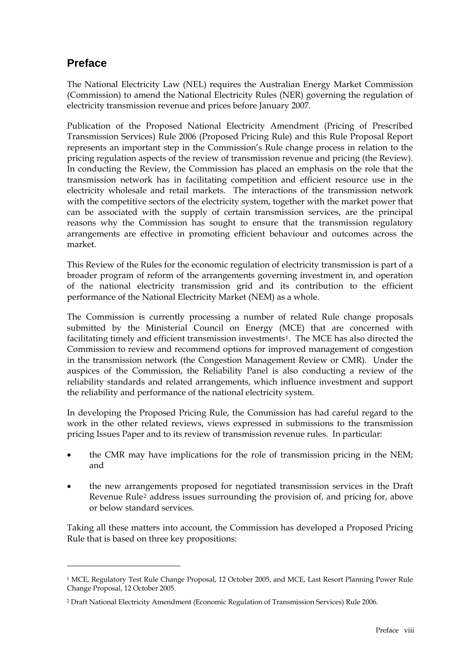# <span id="page-7-0"></span>**Preface**

<u>.</u>

The National Electricity Law (NEL) requires the Australian Energy Market Commission (Commission) to amend the National Electricity Rules (NER) governing the regulation of electricity transmission revenue and prices before January 2007.

Publication of the Proposed National Electricity Amendment (Pricing of Prescribed Transmission Services) Rule 2006 (Proposed Pricing Rule) and this Rule Proposal Report represents an important step in the Commission's Rule change process in relation to the pricing regulation aspects of the review of transmission revenue and pricing (the Review). In conducting the Review, the Commission has placed an emphasis on the role that the transmission network has in facilitating competition and efficient resource use in the electricity wholesale and retail markets. The interactions of the transmission network with the competitive sectors of the electricity system, together with the market power that can be associated with the supply of certain transmission services, are the principal reasons why the Commission has sought to ensure that the transmission regulatory arrangements are effective in promoting efficient behaviour and outcomes across the market.

This Review of the Rules for the economic regulation of electricity transmission is part of a broader program of reform of the arrangements governing investment in, and operation of the national electricity transmission grid and its contribution to the efficient performance of the National Electricity Market (NEM) as a whole.

The Commission is currently processing a number of related Rule change proposals submitted by the Ministerial Council on Energy (MCE) that are concerned with facilitating timely and efficient transmission investments<sup>[1](#page-7-1)</sup>. The MCE has also directed the Commission to review and recommend options for improved management of congestion in the transmission network (the Congestion Management Review or CMR). Under the auspices of the Commission, the Reliability Panel is also conducting a review of the reliability standards and related arrangements, which influence investment and support the reliability and performance of the national electricity system.

In developing the Proposed Pricing Rule, the Commission has had careful regard to the work in the other related reviews, views expressed in submissions to the transmission pricing Issues Paper and to its review of transmission revenue rules. In particular:

- the CMR may have implications for the role of transmission pricing in the NEM; and
- the new arrangements proposed for negotiated transmission services in the Draft Revenue Rule[2](#page-7-2) address issues surrounding the provision of, and pricing for, above or below standard services.

Taking all these matters into account, the Commission has developed a Proposed Pricing Rule that is based on three key propositions:

<span id="page-7-1"></span><sup>1</sup> MCE, Regulatory Test Rule Change Proposal, 12 October 2005, and MCE, Last Resort Planning Power Rule Change Proposal, 12 October 2005.

<span id="page-7-2"></span><sup>2</sup> Draft National Electricity Amendment (Economic Regulation of Transmission Services) Rule 2006.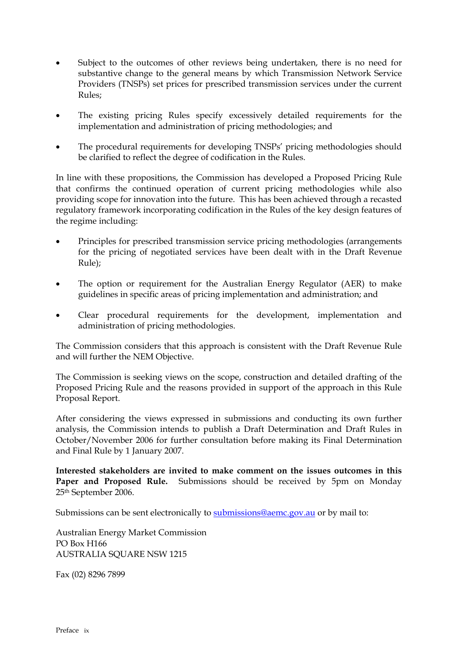- Subject to the outcomes of other reviews being undertaken, there is no need for substantive change to the general means by which Transmission Network Service Providers (TNSPs) set prices for prescribed transmission services under the current Rules;
- The existing pricing Rules specify excessively detailed requirements for the implementation and administration of pricing methodologies; and
- The procedural requirements for developing TNSPs' pricing methodologies should be clarified to reflect the degree of codification in the Rules.

In line with these propositions, the Commission has developed a Proposed Pricing Rule that confirms the continued operation of current pricing methodologies while also providing scope for innovation into the future. This has been achieved through a recasted regulatory framework incorporating codification in the Rules of the key design features of the regime including:

- Principles for prescribed transmission service pricing methodologies (arrangements for the pricing of negotiated services have been dealt with in the Draft Revenue Rule);
- The option or requirement for the Australian Energy Regulator (AER) to make guidelines in specific areas of pricing implementation and administration; and
- Clear procedural requirements for the development, implementation and administration of pricing methodologies.

The Commission considers that this approach is consistent with the Draft Revenue Rule and will further the NEM Objective.

The Commission is seeking views on the scope, construction and detailed drafting of the Proposed Pricing Rule and the reasons provided in support of the approach in this Rule Proposal Report.

After considering the views expressed in submissions and conducting its own further analysis, the Commission intends to publish a Draft Determination and Draft Rules in October/November 2006 for further consultation before making its Final Determination and Final Rule by 1 January 2007.

**Interested stakeholders are invited to make comment on the issues outcomes in this Paper and Proposed Rule.** Submissions should be received by 5pm on Monday 25th September 2006.

Submissions can be sent electronically to [submissions@aemc.gov.au](mailto:submissions@aemc.gov.au) or by mail to:

Australian Energy Market Commission PO Box H<sub>166</sub> AUSTRALIA SQUARE NSW 1215

Fax (02) 8296 7899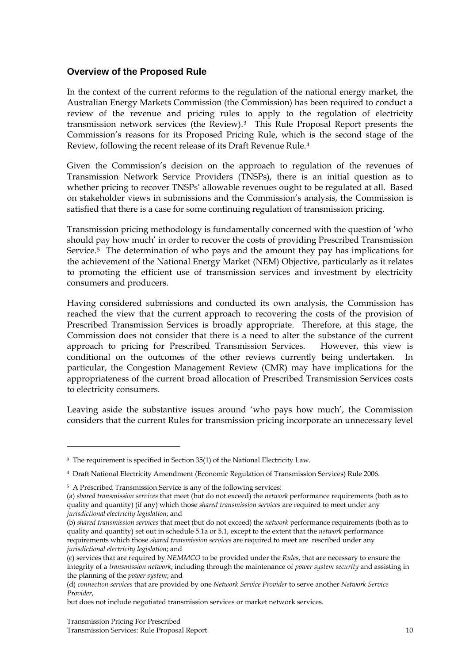#### <span id="page-9-0"></span>**Overview of the Proposed Rule**

In the context of the current reforms to the regulation of the national energy market, the Australian Energy Markets Commission (the Commission) has been required to conduct a review of the revenue and pricing rules to apply to the regulation of electricity transmission network services (the Review).[3](#page-9-1) This Rule Proposal Report presents the Commission's reasons for its Proposed Pricing Rule, which is the second stage of the Review, following the recent release of its Draft Revenue Rule.[4](#page-9-2)

Given the Commission's decision on the approach to regulation of the revenues of Transmission Network Service Providers (TNSPs), there is an initial question as to whether pricing to recover TNSPs' allowable revenues ought to be regulated at all. Based on stakeholder views in submissions and the Commission's analysis, the Commission is satisfied that there is a case for some continuing regulation of transmission pricing.

Transmission pricing methodology is fundamentally concerned with the question of 'who should pay how much' in order to recover the costs of providing Prescribed Transmission Service.<sup>[5](#page-9-3)</sup> The determination of who pays and the amount they pay has implications for the achievement of the National Energy Market (NEM) Objective, particularly as it relates to promoting the efficient use of transmission services and investment by electricity consumers and producers.

Having considered submissions and conducted its own analysis, the Commission has reached the view that the current approach to recovering the costs of the provision of Prescribed Transmission Services is broadly appropriate. Therefore, at this stage, the Commission does not consider that there is a need to alter the substance of the current approach to pricing for Prescribed Transmission Services. However, this view is conditional on the outcomes of the other reviews currently being undertaken. In particular, the Congestion Management Review (CMR) may have implications for the appropriateness of the current broad allocation of Prescribed Transmission Services costs to electricity consumers.

Leaving aside the substantive issues around 'who pays how much', the Commission considers that the current Rules for transmission pricing incorporate an unnecessary level

<span id="page-9-1"></span><sup>&</sup>lt;sup>3</sup> The requirement is specified in Section 35(1) of the National Electricity Law.

<span id="page-9-2"></span><sup>4</sup> Draft National Electricity Amendment (Economic Regulation of Transmission Services) Rule 2006.

<span id="page-9-3"></span><sup>5</sup> A Prescribed Transmission Service is any of the following services:

<sup>(</sup>a) *shared transmission services* that meet (but do not exceed) the *network* performance requirements (both as to quality and quantity) (if any) which those *shared transmission services* are required to meet under any *jurisdictional electricity legislation*; and

<sup>(</sup>b) *shared transmission services* that meet (but do not exceed) the *network* performance requirements (both as to quality and quantity) set out in schedule 5.1a or 5.1, except to the extent that the *network* performance requirements which those *shared transmission services* are required to meet are rescribed under any *jurisdictional electricity legislation*; and

<sup>(</sup>c) services that are required by *NEMMCO* to be provided under the *Rules*, that are necessary to ensure the integrity of a *transmission network*, including through the maintenance of *power system security* and assisting in the planning of the *power system*; and

<sup>(</sup>d) *connection services* that are provided by one *Network Service Provider* to serve another *Network Service Provider*,

but does not include negotiated transmission services or market network services.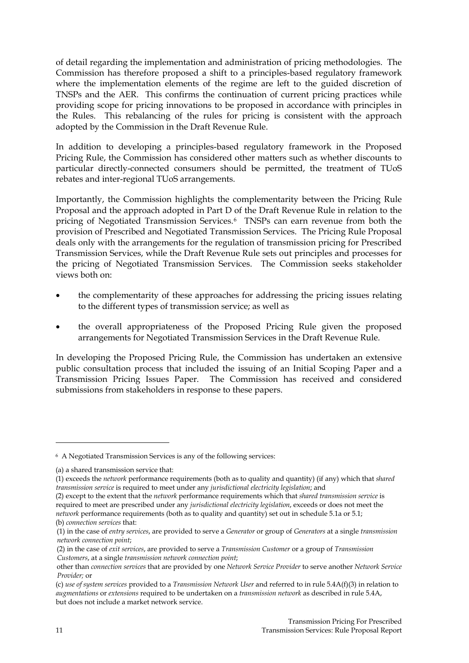of detail regarding the implementation and administration of pricing methodologies. The Commission has therefore proposed a shift to a principles-based regulatory framework where the implementation elements of the regime are left to the guided discretion of TNSPs and the AER. This confirms the continuation of current pricing practices while providing scope for pricing innovations to be proposed in accordance with principles in the Rules. This rebalancing of the rules for pricing is consistent with the approach adopted by the Commission in the Draft Revenue Rule.

In addition to developing a principles-based regulatory framework in the Proposed Pricing Rule, the Commission has considered other matters such as whether discounts to particular directly-connected consumers should be permitted, the treatment of TUoS rebates and inter-regional TUoS arrangements.

Importantly, the Commission highlights the complementarity between the Pricing Rule Proposal and the approach adopted in Part D of the Draft Revenue Rule in relation to the pricing of Negotiated Transmission Services.[6](#page-10-0) TNSPs can earn revenue from both the provision of Prescribed and Negotiated Transmission Services. The Pricing Rule Proposal deals only with the arrangements for the regulation of transmission pricing for Prescribed Transmission Services, while the Draft Revenue Rule sets out principles and processes for the pricing of Negotiated Transmission Services. The Commission seeks stakeholder views both on:

- the complementarity of these approaches for addressing the pricing issues relating to the different types of transmission service; as well as
- the overall appropriateness of the Proposed Pricing Rule given the proposed arrangements for Negotiated Transmission Services in the Draft Revenue Rule.

In developing the Proposed Pricing Rule, the Commission has undertaken an extensive public consultation process that included the issuing of an Initial Scoping Paper and a Transmission Pricing Issues Paper. The Commission has received and considered submissions from stakeholders in response to these papers.

<span id="page-10-0"></span><sup>6</sup> A Negotiated Transmission Services is any of the following services:

<sup>(</sup>a) a shared transmission service that:

<sup>(1)</sup> exceeds the *network* performance requirements (both as to quality and quantity) (if any) which that *shared transmission service* is required to meet under any *jurisdictional electricity legislation*; and

<sup>(2)</sup> except to the extent that the *network* performance requirements which that *shared transmission service* is required to meet are prescribed under any *jurisdictional electricity legislation*, exceeds or does not meet the *network* performance requirements (both as to quality and quantity) set out in schedule 5.1a or 5.1; (b) *connection services* that:

<sup>(1)</sup> in the case of *entry services*, are provided to serve a *Generator* or group of *Generators* at a single *transmission network connection point*;

<sup>(2)</sup> in the case of *exit services*, are provided to serve a *Transmission Customer* or a group of *Transmission Customers*, at a single *transmission network connection point*;

other than *connection services* that are provided by one *Network Service Provider* to serve another *Network Service Provider;* or

<sup>(</sup>c) *use of system services* provided to a *Transmission Network User* and referred to in rule 5.4A(f)(3) in relation to *augmentations* or *extensions* required to be undertaken on a *transmission network* as described in rule 5.4A, but does not include a market network service.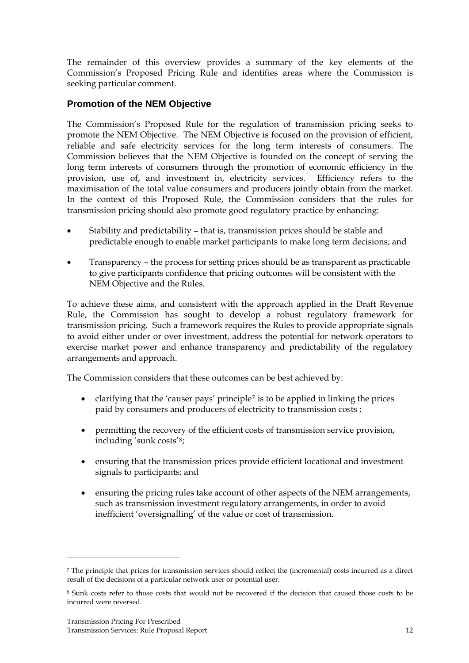<span id="page-11-0"></span>The remainder of this overview provides a summary of the key elements of the Commission's Proposed Pricing Rule and identifies areas where the Commission is seeking particular comment.

#### **Promotion of the NEM Objective**

The Commission's Proposed Rule for the regulation of transmission pricing seeks to promote the NEM Objective. The NEM Objective is focused on the provision of efficient, reliable and safe electricity services for the long term interests of consumers. The Commission believes that the NEM Objective is founded on the concept of serving the long term interests of consumers through the promotion of economic efficiency in the provision, use of, and investment in, electricity services. Efficiency refers to the maximisation of the total value consumers and producers jointly obtain from the market. In the context of this Proposed Rule, the Commission considers that the rules for transmission pricing should also promote good regulatory practice by enhancing:

- Stability and predictability that is, transmission prices should be stable and predictable enough to enable market participants to make long term decisions; and
- Transparency the process for setting prices should be as transparent as practicable to give participants confidence that pricing outcomes will be consistent with the NEM Objective and the Rules.

To achieve these aims, and consistent with the approach applied in the Draft Revenue Rule, the Commission has sought to develop a robust regulatory framework for transmission pricing. Such a framework requires the Rules to provide appropriate signals to avoid either under or over investment, address the potential for network operators to exercise market power and enhance transparency and predictability of the regulatory arrangements and approach.

The Commission considers that these outcomes can be best achieved by:

- clarifying that the 'causer pays' principle<sup>[7](#page-11-1)</sup> is to be applied in linking the prices paid by consumers and producers of electricity to transmission costs ;
- permitting the recovery of the efficient costs of transmission service provision, including 'sunk costs'[8](#page-11-2);
- ensuring that the transmission prices provide efficient locational and investment signals to participants; and
- ensuring the pricing rules take account of other aspects of the NEM arrangements, such as transmission investment regulatory arrangements, in order to avoid inefficient 'oversignalling' of the value or cost of transmission.

<span id="page-11-1"></span><sup>7</sup> The principle that prices for transmission services should reflect the (incremental) costs incurred as a direct result of the decisions of a particular network user or potential user.

<span id="page-11-2"></span><sup>8</sup> Sunk costs refer to those costs that would not be recovered if the decision that caused those costs to be incurred were reversed.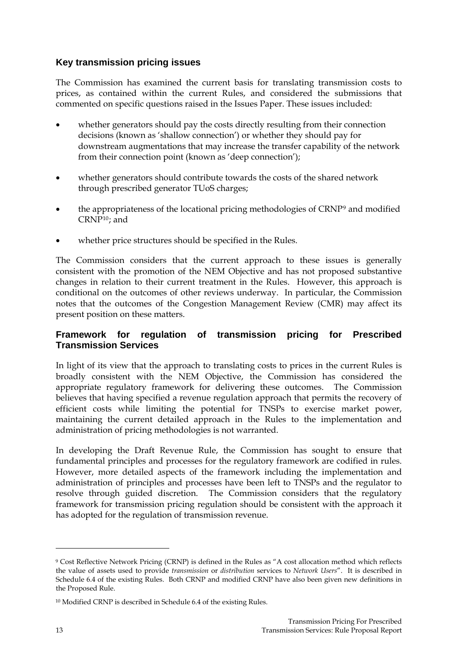#### <span id="page-12-0"></span>**Key transmission pricing issues**

The Commission has examined the current basis for translating transmission costs to prices, as contained within the current Rules, and considered the submissions that commented on specific questions raised in the Issues Paper. These issues included:

- whether generators should pay the costs directly resulting from their connection decisions (known as 'shallow connection') or whether they should pay for downstream augmentations that may increase the transfer capability of the network from their connection point (known as 'deep connection');
- whether generators should contribute towards the costs of the shared network through prescribed generator TUoS charges;
- the appropriateness of the locational pricing methodologies of CRNP[9](#page-12-1) and modified CRNP[10](#page-12-2); and
- whether price structures should be specified in the Rules.

The Commission considers that the current approach to these issues is generally consistent with the promotion of the NEM Objective and has not proposed substantive changes in relation to their current treatment in the Rules. However, this approach is conditional on the outcomes of other reviews underway. In particular, the Commission notes that the outcomes of the Congestion Management Review (CMR) may affect its present position on these matters.

#### **Framework for regulation of transmission pricing for Prescribed Transmission Services**

In light of its view that the approach to translating costs to prices in the current Rules is broadly consistent with the NEM Objective, the Commission has considered the appropriate regulatory framework for delivering these outcomes. The Commission believes that having specified a revenue regulation approach that permits the recovery of efficient costs while limiting the potential for TNSPs to exercise market power, maintaining the current detailed approach in the Rules to the implementation and administration of pricing methodologies is not warranted.

In developing the Draft Revenue Rule, the Commission has sought to ensure that fundamental principles and processes for the regulatory framework are codified in rules. However, more detailed aspects of the framework including the implementation and administration of principles and processes have been left to TNSPs and the regulator to resolve through guided discretion. The Commission considers that the regulatory framework for transmission pricing regulation should be consistent with the approach it has adopted for the regulation of transmission revenue.

<span id="page-12-1"></span><sup>9</sup> Cost Reflective Network Pricing (CRNP) is defined in the Rules as "A cost allocation method which reflects the value of assets used to provide *transmission* or *distribution* services to *Network Users*". It is described in Schedule 6.4 of the existing Rules. Both CRNP and modified CRNP have also been given new definitions in the Proposed Rule.

<span id="page-12-2"></span><sup>10</sup> Modified CRNP is described in Schedule 6.4 of the existing Rules.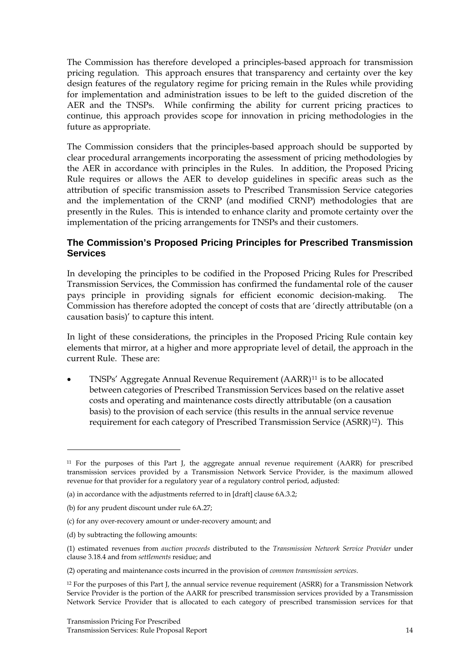<span id="page-13-0"></span>The Commission has therefore developed a principles-based approach for transmission pricing regulation. This approach ensures that transparency and certainty over the key design features of the regulatory regime for pricing remain in the Rules while providing for implementation and administration issues to be left to the guided discretion of the AER and the TNSPs. While confirming the ability for current pricing practices to continue, this approach provides scope for innovation in pricing methodologies in the future as appropriate.

The Commission considers that the principles-based approach should be supported by clear procedural arrangements incorporating the assessment of pricing methodologies by the AER in accordance with principles in the Rules. In addition, the Proposed Pricing Rule requires or allows the AER to develop guidelines in specific areas such as the attribution of specific transmission assets to Prescribed Transmission Service categories and the implementation of the CRNP (and modified CRNP) methodologies that are presently in the Rules. This is intended to enhance clarity and promote certainty over the implementation of the pricing arrangements for TNSPs and their customers.

#### **The Commission's Proposed Pricing Principles for Prescribed Transmission Services**

In developing the principles to be codified in the Proposed Pricing Rules for Prescribed Transmission Services, the Commission has confirmed the fundamental role of the causer pays principle in providing signals for efficient economic decision-making. The Commission has therefore adopted the concept of costs that are 'directly attributable (on a causation basis)' to capture this intent.

In light of these considerations, the principles in the Proposed Pricing Rule contain key elements that mirror, at a higher and more appropriate level of detail, the approach in the current Rule. These are:

• TNSPs' Aggregate Annual Revenue Requirement (AARR)[11](#page-13-1) is to be allocated between categories of Prescribed Transmission Services based on the relative asset costs and operating and maintenance costs directly attributable (on a causation basis) to the provision of each service (this results in the annual service revenue requirement for each category of Prescribed Transmission Service (ASRR)[12](#page-13-2)). This

<span id="page-13-1"></span><sup>11</sup> For the purposes of this Part J, the aggregate annual revenue requirement (AARR) for prescribed transmission services provided by a Transmission Network Service Provider, is the maximum allowed revenue for that provider for a regulatory year of a regulatory control period, adjusted:

<sup>(</sup>a) in accordance with the adjustments referred to in [draft] clause 6A.3.2;

<sup>(</sup>b) for any prudent discount under rule 6A.27;

<sup>(</sup>c) for any over-recovery amount or under-recovery amount; and

<sup>(</sup>d) by subtracting the following amounts:

<sup>(1)</sup> estimated revenues from *auction proceeds* distributed to the *Transmission Network Service Provider* under clause 3.18.4 and from *settlements* residue; and

<sup>(2)</sup> operating and maintenance costs incurred in the provision of *common transmission services*.

<span id="page-13-2"></span><sup>12</sup> For the purposes of this Part J, the annual service revenue requirement (ASRR) for a Transmission Network Service Provider is the portion of the AARR for prescribed transmission services provided by a Transmission Network Service Provider that is allocated to each category of prescribed transmission services for that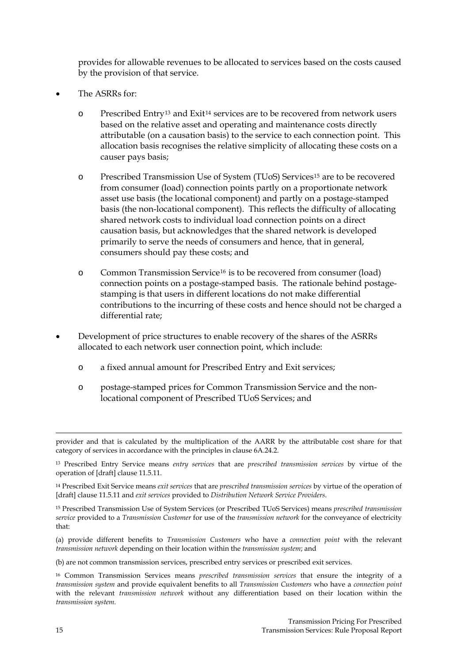provides for allowable revenues to be allocated to services based on the costs caused by the provision of that service.

- The ASRRs for:
	- o Prescribed Entry[13](#page-14-0) and Exit[14](#page-14-1) services are to be recovered from network users based on the relative asset and operating and maintenance costs directly attributable (on a causation basis) to the service to each connection point. This allocation basis recognises the relative simplicity of allocating these costs on a causer pays basis;
	- o Prescribed Transmission Use of System (TUoS) Services[15](#page-14-2) are to be recovered from consumer (load) connection points partly on a proportionate network asset use basis (the locational component) and partly on a postage-stamped basis (the non-locational component). This reflects the difficulty of allocating shared network costs to individual load connection points on a direct causation basis, but acknowledges that the shared network is developed primarily to serve the needs of consumers and hence, that in general, consumers should pay these costs; and
	- o Common Transmission Service[16](#page-14-3) is to be recovered from consumer (load) connection points on a postage-stamped basis. The rationale behind postagestamping is that users in different locations do not make differential contributions to the incurring of these costs and hence should not be charged a differential rate;
- Development of price structures to enable recovery of the shares of the ASRRs allocated to each network user connection point, which include:
	- o a fixed annual amount for Prescribed Entry and Exit services;
	- o postage-stamped prices for Common Transmission Service and the nonlocational component of Prescribed TUoS Services; and

<span id="page-14-0"></span>13 Prescribed Entry Service means *entry services* that are *prescribed transmission services* by virtue of the operation of [draft] clause 11.5.11.

<span id="page-14-1"></span>14 Prescribed Exit Service means *exit services* that are *prescribed transmission services* by virtue of the operation of [draft] clause 11.5.11 and *exit services* provided to *Distribution Network Service Providers*.

<span id="page-14-2"></span>15 Prescribed Transmission Use of System Services (or Prescribed TUoS Services) means *prescribed transmission service* provided to a *Transmission Customer* for use of the *transmission network* for the conveyance of electricity that:

(a) provide different benefits to *Transmission Customers* who have a *connection point* with the relevant *transmission network* depending on their location within the *transmission system*; and

(b) are not common transmission services, prescribed entry services or prescribed exit services.

<span id="page-14-3"></span>16 Common Transmission Services means *prescribed transmission services* that ensure the integrity of a *transmission system* and provide equivalent benefits to all *Transmission Customers* who have a *connection point*  with the relevant *transmission network* without any differentiation based on their location within the *transmission system.*

provider and that is calculated by the multiplication of the AARR by the attributable cost share for that category of services in accordance with the principles in clause 6A.24.2.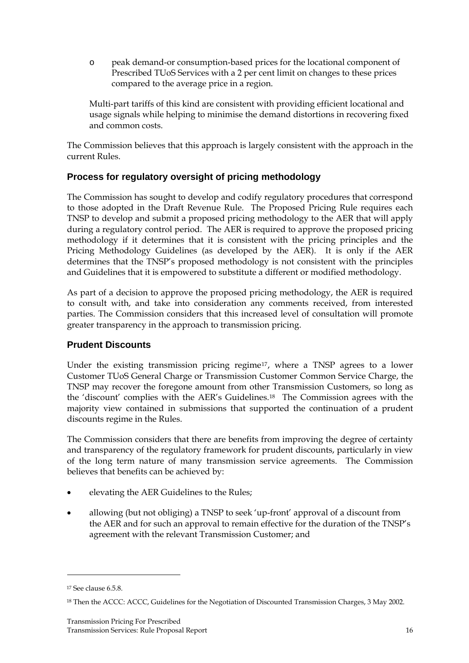<span id="page-15-0"></span>o peak demand-or consumption-based prices for the locational component of Prescribed TUoS Services with a 2 per cent limit on changes to these prices compared to the average price in a region.

Multi-part tariffs of this kind are consistent with providing efficient locational and usage signals while helping to minimise the demand distortions in recovering fixed and common costs.

The Commission believes that this approach is largely consistent with the approach in the current Rules.

#### **Process for regulatory oversight of pricing methodology**

The Commission has sought to develop and codify regulatory procedures that correspond to those adopted in the Draft Revenue Rule. The Proposed Pricing Rule requires each TNSP to develop and submit a proposed pricing methodology to the AER that will apply during a regulatory control period. The AER is required to approve the proposed pricing methodology if it determines that it is consistent with the pricing principles and the Pricing Methodology Guidelines (as developed by the AER). It is only if the AER determines that the TNSP's proposed methodology is not consistent with the principles and Guidelines that it is empowered to substitute a different or modified methodology.

As part of a decision to approve the proposed pricing methodology, the AER is required to consult with, and take into consideration any comments received, from interested parties. The Commission considers that this increased level of consultation will promote greater transparency in the approach to transmission pricing.

#### **Prudent Discounts**

Under the existing transmission pricing regime[17](#page-15-1), where a TNSP agrees to a lower Customer TUoS General Charge or Transmission Customer Common Service Charge, the TNSP may recover the foregone amount from other Transmission Customers, so long as the 'discount' complies with the AER's Guidelines.[18](#page-15-2) The Commission agrees with the majority view contained in submissions that supported the continuation of a prudent discounts regime in the Rules.

The Commission considers that there are benefits from improving the degree of certainty and transparency of the regulatory framework for prudent discounts, particularly in view of the long term nature of many transmission service agreements. The Commission believes that benefits can be achieved by:

- elevating the AER Guidelines to the Rules;
- allowing (but not obliging) a TNSP to seek 'up-front' approval of a discount from the AER and for such an approval to remain effective for the duration of the TNSP's agreement with the relevant Transmission Customer; and

<span id="page-15-1"></span><sup>17</sup> See clause 6.5.8.

<span id="page-15-2"></span><sup>18</sup> Then the ACCC: ACCC, Guidelines for the Negotiation of Discounted Transmission Charges, 3 May 2002.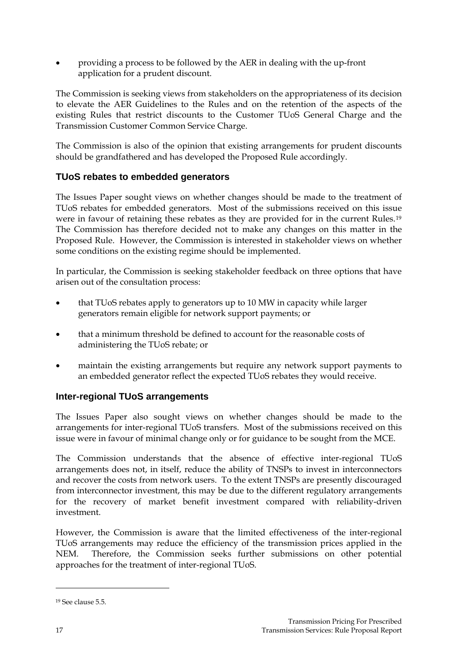<span id="page-16-0"></span>• providing a process to be followed by the AER in dealing with the up-front application for a prudent discount.

The Commission is seeking views from stakeholders on the appropriateness of its decision to elevate the AER Guidelines to the Rules and on the retention of the aspects of the existing Rules that restrict discounts to the Customer TUoS General Charge and the Transmission Customer Common Service Charge.

The Commission is also of the opinion that existing arrangements for prudent discounts should be grandfathered and has developed the Proposed Rule accordingly.

# **TUoS rebates to embedded generators**

The Issues Paper sought views on whether changes should be made to the treatment of TUoS rebates for embedded generators. Most of the submissions received on this issue were in favour of retaining these rebates as they are provided for in the current Rules.[19](#page-16-1) The Commission has therefore decided not to make any changes on this matter in the Proposed Rule. However, the Commission is interested in stakeholder views on whether some conditions on the existing regime should be implemented.

In particular, the Commission is seeking stakeholder feedback on three options that have arisen out of the consultation process:

- that TUoS rebates apply to generators up to 10 MW in capacity while larger generators remain eligible for network support payments; or
- that a minimum threshold be defined to account for the reasonable costs of administering the TUoS rebate; or
- maintain the existing arrangements but require any network support payments to an embedded generator reflect the expected TUoS rebates they would receive.

#### **Inter-regional TUoS arrangements**

The Issues Paper also sought views on whether changes should be made to the arrangements for inter-regional TUoS transfers. Most of the submissions received on this issue were in favour of minimal change only or for guidance to be sought from the MCE.

The Commission understands that the absence of effective inter-regional TUoS arrangements does not, in itself, reduce the ability of TNSPs to invest in interconnectors and recover the costs from network users. To the extent TNSPs are presently discouraged from interconnector investment, this may be due to the different regulatory arrangements for the recovery of market benefit investment compared with reliability-driven investment.

However, the Commission is aware that the limited effectiveness of the inter-regional TUoS arrangements may reduce the efficiency of the transmission prices applied in the NEM. Therefore, the Commission seeks further submissions on other potential approaches for the treatment of inter-regional TUoS.

<span id="page-16-1"></span><sup>19</sup> See clause 5.5.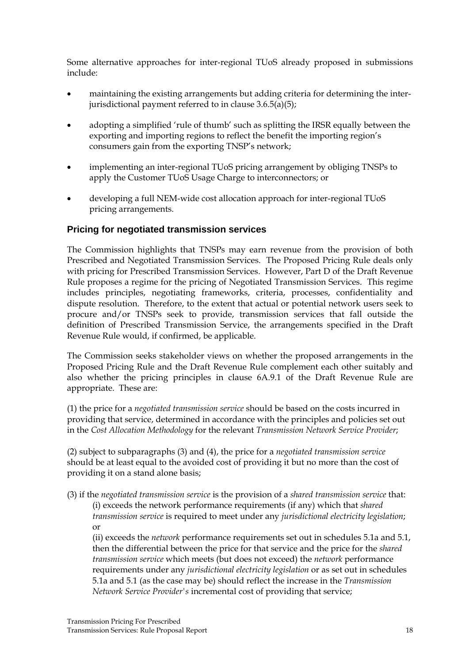<span id="page-17-0"></span>Some alternative approaches for inter-regional TUoS already proposed in submissions include:

- maintaining the existing arrangements but adding criteria for determining the interjurisdictional payment referred to in clause 3.6.5(a)(5);
- adopting a simplified 'rule of thumb' such as splitting the IRSR equally between the exporting and importing regions to reflect the benefit the importing region's consumers gain from the exporting TNSP's network;
- implementing an inter-regional TUoS pricing arrangement by obliging TNSPs to apply the Customer TUoS Usage Charge to interconnectors; or
- developing a full NEM-wide cost allocation approach for inter-regional TUoS pricing arrangements.

#### **Pricing for negotiated transmission services**

The Commission highlights that TNSPs may earn revenue from the provision of both Prescribed and Negotiated Transmission Services. The Proposed Pricing Rule deals only with pricing for Prescribed Transmission Services. However, Part D of the Draft Revenue Rule proposes a regime for the pricing of Negotiated Transmission Services. This regime includes principles, negotiating frameworks, criteria, processes, confidentiality and dispute resolution. Therefore, to the extent that actual or potential network users seek to procure and/or TNSPs seek to provide, transmission services that fall outside the definition of Prescribed Transmission Service, the arrangements specified in the Draft Revenue Rule would, if confirmed, be applicable.

The Commission seeks stakeholder views on whether the proposed arrangements in the Proposed Pricing Rule and the Draft Revenue Rule complement each other suitably and also whether the pricing principles in clause 6A.9.1 of the Draft Revenue Rule are appropriate. These are:

(1) the price for a *negotiated transmission service* should be based on the costs incurred in providing that service, determined in accordance with the principles and policies set out in the *Cost Allocation Methodology* for the relevant *Transmission Network Service Provider*;

(2) subject to subparagraphs (3) and (4), the price for a *negotiated transmission service*  should be at least equal to the avoided cost of providing it but no more than the cost of providing it on a stand alone basis;

(3) if the *negotiated transmission service* is the provision of a *shared transmission service* that: (i) exceeds the network performance requirements (if any) which that *shared transmission service* is required to meet under any *jurisdictional electricity legislation*; or

(ii) exceeds the *network* performance requirements set out in schedules 5.1a and 5.1, then the differential between the price for that service and the price for the *shared transmission service* which meets (but does not exceed) the *network* performance requirements under any *jurisdictional electricity legislation* or as set out in schedules 5.1a and 5.1 (as the case may be) should reflect the increase in the *Transmission Network Service Provider's* incremental cost of providing that service;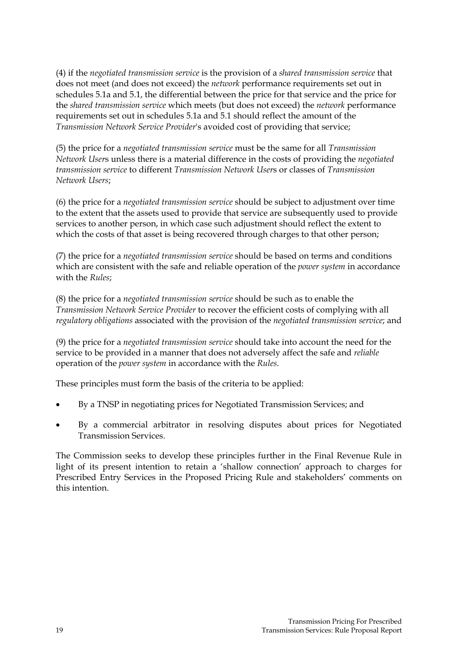(4) if the *negotiated transmission service* is the provision of a *shared transmission service* that does not meet (and does not exceed) the *network* performance requirements set out in schedules 5.1a and 5.1, the differential between the price for that service and the price for the *shared transmission service* which meets (but does not exceed) the *network* performance requirements set out in schedules 5.1a and 5.1 should reflect the amount of the *Transmission Network Service Provider*'s avoided cost of providing that service;

(5) the price for a *negotiated transmission service* must be the same for all *Transmission Network User*s unless there is a material difference in the costs of providing the *negotiated transmission service* to different *Transmission Network User*s or classes of *Transmission Network Users*;

(6) the price for a *negotiated transmission service* should be subject to adjustment over time to the extent that the assets used to provide that service are subsequently used to provide services to another person, in which case such adjustment should reflect the extent to which the costs of that asset is being recovered through charges to that other person;

(7) the price for a *negotiated transmission service* should be based on terms and conditions which are consistent with the safe and reliable operation of the *power system* in accordance with the *Rules*;

(8) the price for a *negotiated transmission service* should be such as to enable the *Transmission Network Service Provider* to recover the efficient costs of complying with all *regulatory obligations* associated with the provision of the *negotiated transmission service*; and

(9) the price for a *negotiated transmission service* should take into account the need for the service to be provided in a manner that does not adversely affect the safe and *reliable*  operation of the *power system* in accordance with the *Rules*.

These principles must form the basis of the criteria to be applied:

- By a TNSP in negotiating prices for Negotiated Transmission Services; and
- By a commercial arbitrator in resolving disputes about prices for Negotiated Transmission Services.

The Commission seeks to develop these principles further in the Final Revenue Rule in light of its present intention to retain a 'shallow connection' approach to charges for Prescribed Entry Services in the Proposed Pricing Rule and stakeholders' comments on this intention.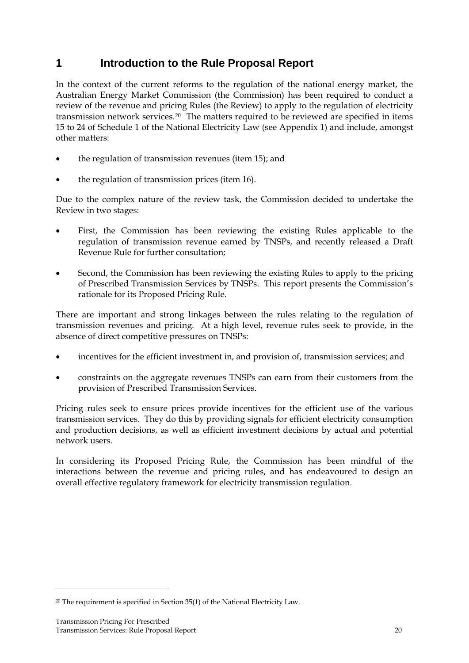# <span id="page-19-0"></span>**1 Introduction to the Rule Proposal Report**

In the context of the current reforms to the regulation of the national energy market, the Australian Energy Market Commission (the Commission) has been required to conduct a review of the revenue and pricing Rules (the Review) to apply to the regulation of electricity transmission network services[.20](#page-19-1) The matters required to be reviewed are specified in items 15 to 24 of Schedule 1 of the National Electricity Law (see Appendix 1) and include, amongst other matters:

- the regulation of transmission revenues (item 15); and
- the regulation of transmission prices (item 16).

Due to the complex nature of the review task, the Commission decided to undertake the Review in two stages:

- First, the Commission has been reviewing the existing Rules applicable to the regulation of transmission revenue earned by TNSPs, and recently released a Draft Revenue Rule for further consultation;
- Second, the Commission has been reviewing the existing Rules to apply to the pricing of Prescribed Transmission Services by TNSPs. This report presents the Commission's rationale for its Proposed Pricing Rule.

There are important and strong linkages between the rules relating to the regulation of transmission revenues and pricing. At a high level, revenue rules seek to provide, in the absence of direct competitive pressures on TNSPs:

- incentives for the efficient investment in, and provision of, transmission services; and
- constraints on the aggregate revenues TNSPs can earn from their customers from the provision of Prescribed Transmission Services.

Pricing rules seek to ensure prices provide incentives for the efficient use of the various transmission services. They do this by providing signals for efficient electricity consumption and production decisions, as well as efficient investment decisions by actual and potential network users.

In considering its Proposed Pricing Rule, the Commission has been mindful of the interactions between the revenue and pricing rules, and has endeavoured to design an overall effective regulatory framework for electricity transmission regulation.

<span id="page-19-1"></span><sup>20</sup> The requirement is specified in Section 35(1) of the National Electricity Law.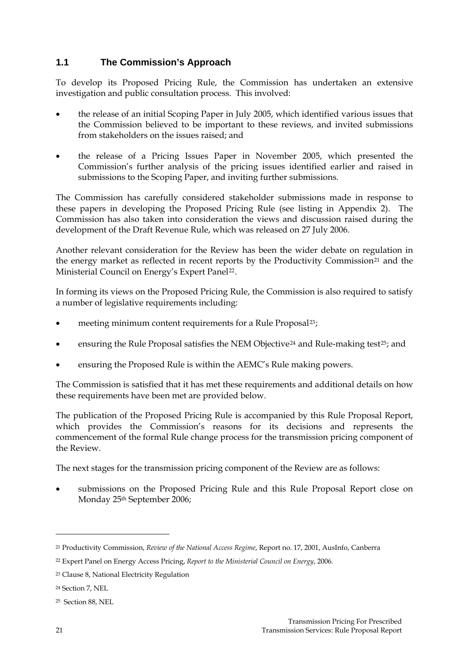# <span id="page-20-0"></span>**1.1 The Commission's Approach**

To develop its Proposed Pricing Rule, the Commission has undertaken an extensive investigation and public consultation process. This involved:

- the release of an initial Scoping Paper in July 2005, which identified various issues that the Commission believed to be important to these reviews, and invited submissions from stakeholders on the issues raised; and
- the release of a Pricing Issues Paper in November 2005, which presented the Commission's further analysis of the pricing issues identified earlier and raised in submissions to the Scoping Paper, and inviting further submissions.

The Commission has carefully considered stakeholder submissions made in response to these papers in developing the Proposed Pricing Rule (see listing in Appendix 2). The Commission has also taken into consideration the views and discussion raised during the development of the Draft Revenue Rule, which was released on 27 July 2006.

Another relevant consideration for the Review has been the wider debate on regulation in the energy market as reflected in recent reports by the Productivity Commission<sup>[21](#page-20-1)</sup> and the Ministerial Council on Energy's Expert Panel<sup>[22](#page-20-2)</sup>.

In forming its views on the Proposed Pricing Rule, the Commission is also required to satisfy a number of legislative requirements including:

- meeting minimum content requirements for a Rule Proposal<sup>[23](#page-20-3)</sup>;
- ensuring the Rule Proposal satisfies the NEM Objective<sup>[24](#page-20-4)</sup> and Rule-making test<sup>[25](#page-20-5)</sup>; and
- ensuring the Proposed Rule is within the AEMC's Rule making powers.

The Commission is satisfied that it has met these requirements and additional details on how these requirements have been met are provided below.

The publication of the Proposed Pricing Rule is accompanied by this Rule Proposal Report, which provides the Commission's reasons for its decisions and represents the commencement of the formal Rule change process for the transmission pricing component of the Review.

The next stages for the transmission pricing component of the Review are as follows:

submissions on the Proposed Pricing Rule and this Rule Proposal Report close on Monday 25th September 2006;

<span id="page-20-1"></span><sup>21</sup> Productivity Commission, *Review of the National Access Regime*, Report no. 17, 2001, AusInfo, Canberra

<span id="page-20-2"></span><sup>22</sup> Expert Panel on Energy Access Pricing, *Report to the Ministerial Council on Energy*, 2006*.*

<span id="page-20-3"></span><sup>23</sup> Clause 8, National Electricity Regulation

<span id="page-20-4"></span><sup>24</sup> Section 7, NEL

<span id="page-20-5"></span><sup>25</sup> Section 88, NEL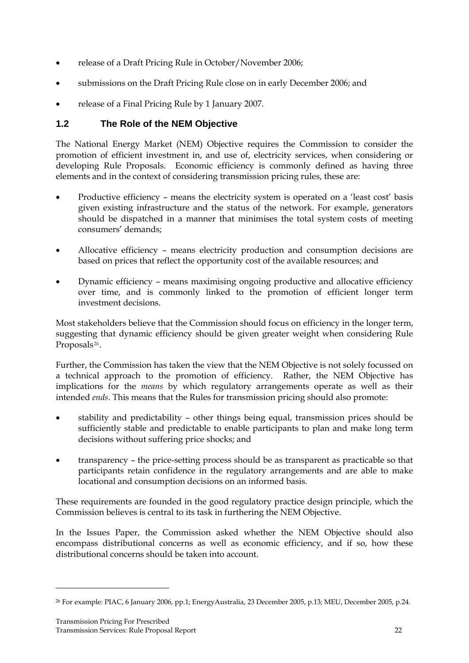- <span id="page-21-0"></span>• release of a Draft Pricing Rule in October/November 2006;
- submissions on the Draft Pricing Rule close on in early December 2006; and
- release of a Final Pricing Rule by 1 January 2007.

#### **1.2 The Role of the NEM Objective**

The National Energy Market (NEM) Objective requires the Commission to consider the promotion of efficient investment in, and use of, electricity services, when considering or developing Rule Proposals. Economic efficiency is commonly defined as having three elements and in the context of considering transmission pricing rules, these are:

- Productive efficiency means the electricity system is operated on a 'least cost' basis given existing infrastructure and the status of the network. For example, generators should be dispatched in a manner that minimises the total system costs of meeting consumers' demands;
- Allocative efficiency means electricity production and consumption decisions are based on prices that reflect the opportunity cost of the available resources; and
- Dynamic efficiency means maximising ongoing productive and allocative efficiency over time, and is commonly linked to the promotion of efficient longer term investment decisions.

Most stakeholders believe that the Commission should focus on efficiency in the longer term, suggesting that dynamic efficiency should be given greater weight when considering Rule Proposals<sup>[26](#page-21-1)</sup>.

Further, the Commission has taken the view that the NEM Objective is not solely focussed on a technical approach to the promotion of efficiency. Rather, the NEM Objective has implications for the *means* by which regulatory arrangements operate as well as their intended *ends*. This means that the Rules for transmission pricing should also promote:

- stability and predictability other things being equal, transmission prices should be sufficiently stable and predictable to enable participants to plan and make long term decisions without suffering price shocks; and
- transparency the price-setting process should be as transparent as practicable so that participants retain confidence in the regulatory arrangements and are able to make locational and consumption decisions on an informed basis.

These requirements are founded in the good regulatory practice design principle, which the Commission believes is central to its task in furthering the NEM Objective.

In the Issues Paper, the Commission asked whether the NEM Objective should also encompass distributional concerns as well as economic efficiency, and if so, how these distributional concerns should be taken into account.

<span id="page-21-1"></span><sup>26</sup> For example: PIAC, 6 January 2006, pp.1; EnergyAustralia, 23 December 2005, p.13; MEU, December 2005, p.24.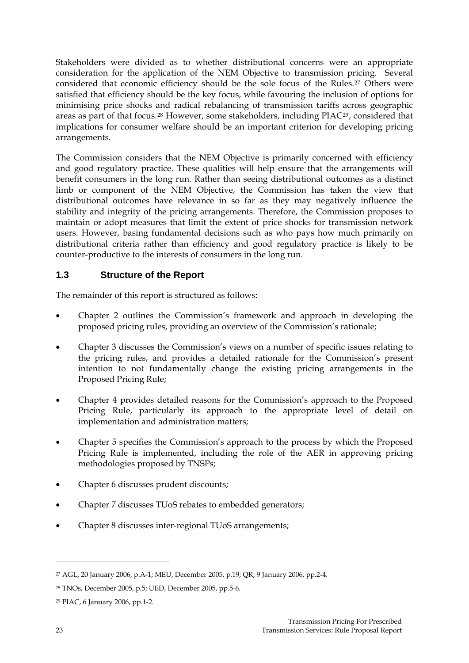<span id="page-22-0"></span>Stakeholders were divided as to whether distributional concerns were an appropriate consideration for the application of the NEM Objective to transmission pricing. Several considered that economic efficiency should be the sole focus of the Rules.[27](#page-22-1) Others were satisfied that efficiency should be the key focus, while favouring the inclusion of options for minimising price shocks and radical rebalancing of transmission tariffs across geographic areas as part of that focus.[28](#page-22-2) However, some stakeholders, including PIAC[29](#page-22-3), considered that implications for consumer welfare should be an important criterion for developing pricing arrangements.

The Commission considers that the NEM Objective is primarily concerned with efficiency and good regulatory practice. These qualities will help ensure that the arrangements will benefit consumers in the long run. Rather than seeing distributional outcomes as a distinct limb or component of the NEM Objective, the Commission has taken the view that distributional outcomes have relevance in so far as they may negatively influence the stability and integrity of the pricing arrangements. Therefore, the Commission proposes to maintain or adopt measures that limit the extent of price shocks for transmission network users. However, basing fundamental decisions such as who pays how much primarily on distributional criteria rather than efficiency and good regulatory practice is likely to be counter-productive to the interests of consumers in the long run.

#### **1.3 Structure of the Report**

The remainder of this report is structured as follows:

- Chapter 2 outlines the Commission's framework and approach in developing the proposed pricing rules, providing an overview of the Commission's rationale;
- Chapter 3 discusses the Commission's views on a number of specific issues relating to the pricing rules, and provides a detailed rationale for the Commission's present intention to not fundamentally change the existing pricing arrangements in the Proposed Pricing Rule;
- Chapter 4 provides detailed reasons for the Commission's approach to the Proposed Pricing Rule, particularly its approach to the appropriate level of detail on implementation and administration matters;
- Chapter 5 specifies the Commission's approach to the process by which the Proposed Pricing Rule is implemented, including the role of the AER in approving pricing methodologies proposed by TNSPs;
- Chapter 6 discusses prudent discounts;
- Chapter 7 discusses TUoS rebates to embedded generators;
- Chapter 8 discusses inter-regional TUoS arrangements;

<span id="page-22-1"></span><sup>27</sup> AGL, 20 January 2006, p.A-1; MEU, December 2005, p.19; QR, 9 January 2006, pp.2-4.

<span id="page-22-2"></span><sup>28</sup> TNOs, December 2005, p.5; UED, December 2005, pp.5-6.

<span id="page-22-3"></span><sup>29</sup> PIAC, 6 January 2006, pp.1-2.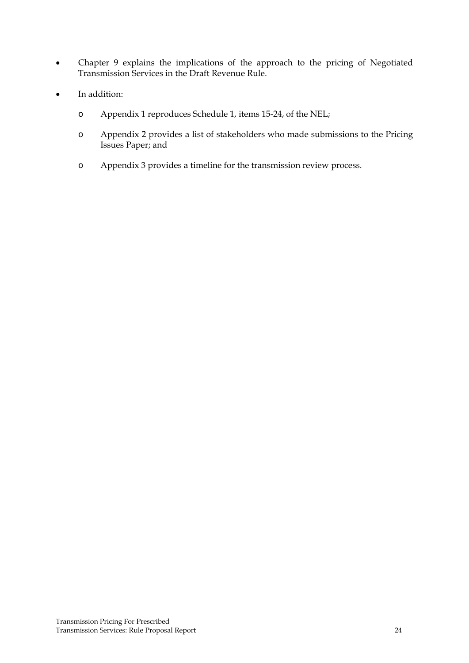- Chapter 9 explains the implications of the approach to the pricing of Negotiated Transmission Services in the Draft Revenue Rule.
- In addition:
	- o Appendix 1 reproduces Schedule 1, items 15-24, of the NEL;
	- o Appendix 2 provides a list of stakeholders who made submissions to the Pricing Issues Paper; and
	- o Appendix 3 provides a timeline for the transmission review process.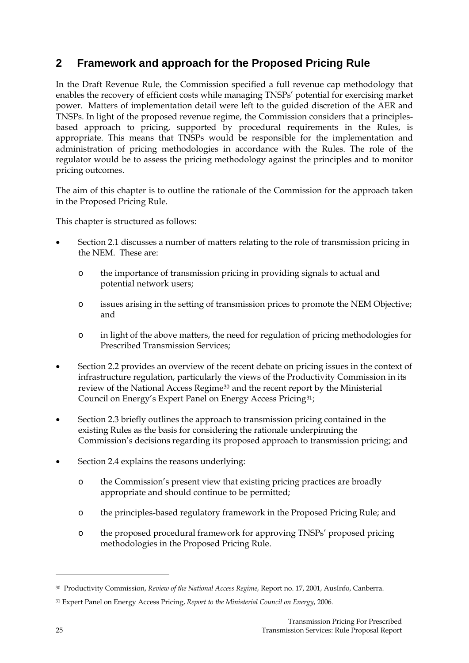# <span id="page-24-0"></span>**2 Framework and approach for the Proposed Pricing Rule**

In the Draft Revenue Rule, the Commission specified a full revenue cap methodology that enables the recovery of efficient costs while managing TNSPs' potential for exercising market power. Matters of implementation detail were left to the guided discretion of the AER and TNSPs. In light of the proposed revenue regime, the Commission considers that a principlesbased approach to pricing, supported by procedural requirements in the Rules, is appropriate. This means that TNSPs would be responsible for the implementation and administration of pricing methodologies in accordance with the Rules. The role of the regulator would be to assess the pricing methodology against the principles and to monitor pricing outcomes.

The aim of this chapter is to outline the rationale of the Commission for the approach taken in the Proposed Pricing Rule.

This chapter is structured as follows:

- Section 2.1 discusses a number of matters relating to the role of transmission pricing in the NEM. These are:
	- o the importance of transmission pricing in providing signals to actual and potential network users;
	- o issues arising in the setting of transmission prices to promote the NEM Objective; and
	- o in light of the above matters, the need for regulation of pricing methodologies for Prescribed Transmission Services;
- Section 2.2 provides an overview of the recent debate on pricing issues in the context of infrastructure regulation, particularly the views of the Productivity Commission in its review of the National Access Regime<sup>[30](#page-24-1)</sup> and the recent report by the Ministerial Council on Energy's Expert Panel on Energy Access Pricing[31](#page-24-2);
- Section 2.3 briefly outlines the approach to transmission pricing contained in the existing Rules as the basis for considering the rationale underpinning the Commission's decisions regarding its proposed approach to transmission pricing; and
- Section 2.4 explains the reasons underlying:
	- o the Commission's present view that existing pricing practices are broadly appropriate and should continue to be permitted;
	- o the principles-based regulatory framework in the Proposed Pricing Rule; and
	- o the proposed procedural framework for approving TNSPs' proposed pricing methodologies in the Proposed Pricing Rule.

<span id="page-24-1"></span><sup>30</sup> Productivity Commission, *Review of the National Access Regime*, Report no. 17, 2001, AusInfo, Canberra.

<span id="page-24-2"></span><sup>31</sup> Expert Panel on Energy Access Pricing, *Report to the Ministerial Council on Energy*, 2006*.*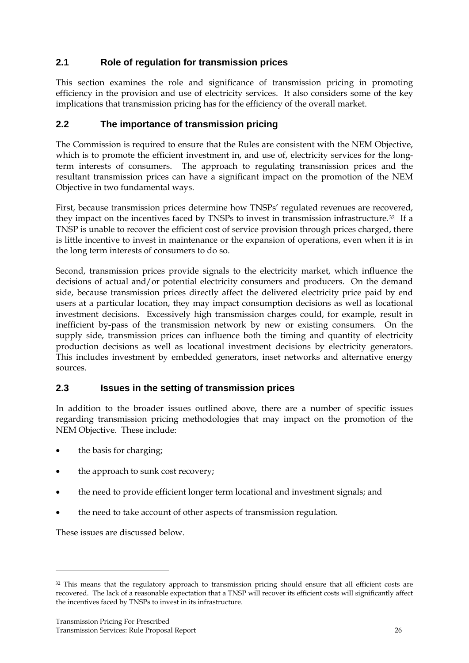# <span id="page-25-0"></span>**2.1 Role of regulation for transmission prices**

This section examines the role and significance of transmission pricing in promoting efficiency in the provision and use of electricity services. It also considers some of the key implications that transmission pricing has for the efficiency of the overall market.

#### **2.2 The importance of transmission pricing**

The Commission is required to ensure that the Rules are consistent with the NEM Objective, which is to promote the efficient investment in, and use of, electricity services for the longterm interests of consumers. The approach to regulating transmission prices and the resultant transmission prices can have a significant impact on the promotion of the NEM Objective in two fundamental ways.

First, because transmission prices determine how TNSPs' regulated revenues are recovered, they impact on the incentives faced by TNSPs to invest in transmission infrastructure.[32](#page-25-1) If a TNSP is unable to recover the efficient cost of service provision through prices charged, there is little incentive to invest in maintenance or the expansion of operations, even when it is in the long term interests of consumers to do so.

Second, transmission prices provide signals to the electricity market, which influence the decisions of actual and/or potential electricity consumers and producers. On the demand side, because transmission prices directly affect the delivered electricity price paid by end users at a particular location, they may impact consumption decisions as well as locational investment decisions. Excessively high transmission charges could, for example, result in inefficient by-pass of the transmission network by new or existing consumers. On the supply side, transmission prices can influence both the timing and quantity of electricity production decisions as well as locational investment decisions by electricity generators. This includes investment by embedded generators, inset networks and alternative energy sources.

#### **2.3 Issues in the setting of transmission prices**

In addition to the broader issues outlined above, there are a number of specific issues regarding transmission pricing methodologies that may impact on the promotion of the NEM Objective. These include:

- the basis for charging;
- the approach to sunk cost recovery;
- the need to provide efficient longer term locational and investment signals; and
- the need to take account of other aspects of transmission regulation.

These issues are discussed below.

<span id="page-25-1"></span><sup>&</sup>lt;sup>32</sup> This means that the regulatory approach to transmission pricing should ensure that all efficient costs are recovered. The lack of a reasonable expectation that a TNSP will recover its efficient costs will significantly affect the incentives faced by TNSPs to invest in its infrastructure.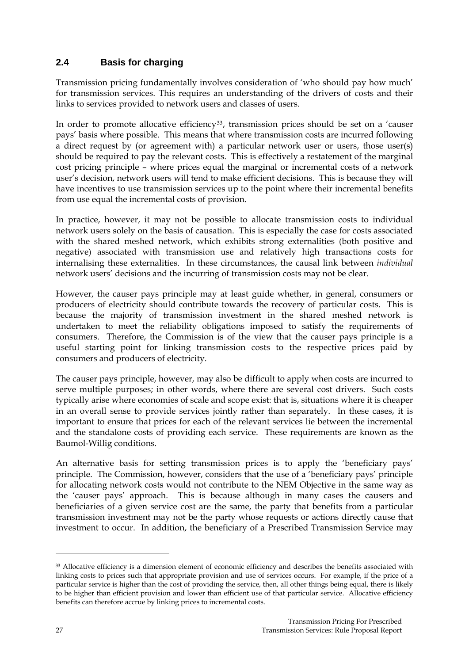### <span id="page-26-0"></span>**2.4 Basis for charging**

Transmission pricing fundamentally involves consideration of 'who should pay how much' for transmission services. This requires an understanding of the drivers of costs and their links to services provided to network users and classes of users.

In order to promote allocative efficiency<sup>[33](#page-26-1)</sup>, transmission prices should be set on a 'causer pays' basis where possible. This means that where transmission costs are incurred following a direct request by (or agreement with) a particular network user or users, those user(s) should be required to pay the relevant costs. This is effectively a restatement of the marginal cost pricing principle – where prices equal the marginal or incremental costs of a network user's decision, network users will tend to make efficient decisions. This is because they will have incentives to use transmission services up to the point where their incremental benefits from use equal the incremental costs of provision.

In practice, however, it may not be possible to allocate transmission costs to individual network users solely on the basis of causation. This is especially the case for costs associated with the shared meshed network, which exhibits strong externalities (both positive and negative) associated with transmission use and relatively high transactions costs for internalising these externalities. In these circumstances, the causal link between *individual* network users' decisions and the incurring of transmission costs may not be clear.

However, the causer pays principle may at least guide whether, in general, consumers or producers of electricity should contribute towards the recovery of particular costs. This is because the majority of transmission investment in the shared meshed network is undertaken to meet the reliability obligations imposed to satisfy the requirements of consumers. Therefore, the Commission is of the view that the causer pays principle is a useful starting point for linking transmission costs to the respective prices paid by consumers and producers of electricity.

The causer pays principle, however, may also be difficult to apply when costs are incurred to serve multiple purposes; in other words, where there are several cost drivers. Such costs typically arise where economies of scale and scope exist: that is, situations where it is cheaper in an overall sense to provide services jointly rather than separately. In these cases, it is important to ensure that prices for each of the relevant services lie between the incremental and the standalone costs of providing each service. These requirements are known as the Baumol-Willig conditions.

An alternative basis for setting transmission prices is to apply the 'beneficiary pays' principle. The Commission, however, considers that the use of a 'beneficiary pays' principle for allocating network costs would not contribute to the NEM Objective in the same way as the 'causer pays' approach. This is because although in many cases the causers and beneficiaries of a given service cost are the same, the party that benefits from a particular transmission investment may not be the party whose requests or actions directly cause that investment to occur. In addition, the beneficiary of a Prescribed Transmission Service may

<span id="page-26-1"></span><sup>&</sup>lt;sup>33</sup> Allocative efficiency is a dimension element of economic efficiency and describes the benefits associated with linking costs to prices such that appropriate provision and use of services occurs. For example, if the price of a particular service is higher than the cost of providing the service, then, all other things being equal, there is likely to be higher than efficient provision and lower than efficient use of that particular service. Allocative efficiency benefits can therefore accrue by linking prices to incremental costs.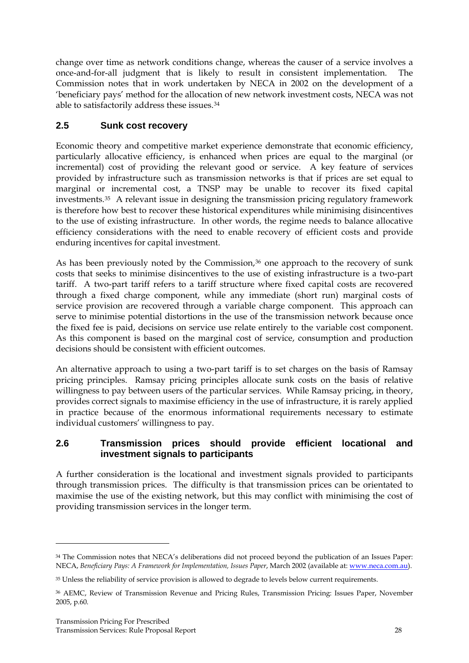<span id="page-27-0"></span>change over time as network conditions change, whereas the causer of a service involves a once-and-for-all judgment that is likely to result in consistent implementation. The Commission notes that in work undertaken by NECA in 2002 on the development of a 'beneficiary pays' method for the allocation of new network investment costs, NECA was not able to satisfactorily address these issues.[34](#page-27-1)

### **2.5 Sunk cost recovery**

Economic theory and competitive market experience demonstrate that economic efficiency, particularly allocative efficiency, is enhanced when prices are equal to the marginal (or incremental) cost of providing the relevant good or service. A key feature of services provided by infrastructure such as transmission networks is that if prices are set equal to marginal or incremental cost, a TNSP may be unable to recover its fixed capital investments.[35](#page-27-2) A relevant issue in designing the transmission pricing regulatory framework is therefore how best to recover these historical expenditures while minimising disincentives to the use of existing infrastructure. In other words, the regime needs to balance allocative efficiency considerations with the need to enable recovery of efficient costs and provide enduring incentives for capital investment.

As has been previously noted by the Commission,<sup>[36](#page-27-3)</sup> one approach to the recovery of sunk costs that seeks to minimise disincentives to the use of existing infrastructure is a two-part tariff. A two-part tariff refers to a tariff structure where fixed capital costs are recovered through a fixed charge component, while any immediate (short run) marginal costs of service provision are recovered through a variable charge component. This approach can serve to minimise potential distortions in the use of the transmission network because once the fixed fee is paid, decisions on service use relate entirely to the variable cost component. As this component is based on the marginal cost of service, consumption and production decisions should be consistent with efficient outcomes.

An alternative approach to using a two-part tariff is to set charges on the basis of Ramsay pricing principles. Ramsay pricing principles allocate sunk costs on the basis of relative willingness to pay between users of the particular services. While Ramsay pricing, in theory, provides correct signals to maximise efficiency in the use of infrastructure, it is rarely applied in practice because of the enormous informational requirements necessary to estimate individual customers' willingness to pay.

#### **2.6 Transmission prices should provide efficient locational and investment signals to participants**

A further consideration is the locational and investment signals provided to participants through transmission prices. The difficulty is that transmission prices can be orientated to maximise the use of the existing network, but this may conflict with minimising the cost of providing transmission services in the longer term.

<span id="page-27-1"></span><sup>34</sup> The Commission notes that NECA's deliberations did not proceed beyond the publication of an Issues Paper: NECA, *Beneficiary Pays: A Framework for Implementation, Issues Paper*, March 2002 (available at: [www.neca.com.au\)](http://www.neca.com.au/).

<span id="page-27-2"></span><sup>&</sup>lt;sup>35</sup> Unless the reliability of service provision is allowed to degrade to levels below current requirements.

<span id="page-27-3"></span><sup>36</sup> AEMC, Review of Transmission Revenue and Pricing Rules, Transmission Pricing: Issues Paper, November 2005, p.60.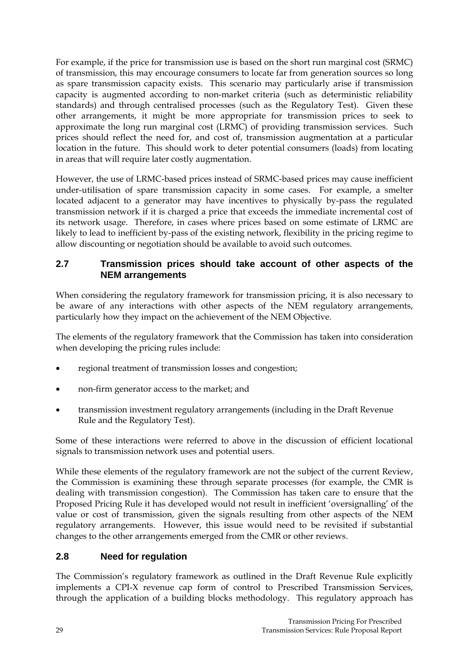<span id="page-28-0"></span>For example, if the price for transmission use is based on the short run marginal cost (SRMC) of transmission, this may encourage consumers to locate far from generation sources so long as spare transmission capacity exists. This scenario may particularly arise if transmission capacity is augmented according to non-market criteria (such as deterministic reliability standards) and through centralised processes (such as the Regulatory Test). Given these other arrangements, it might be more appropriate for transmission prices to seek to approximate the long run marginal cost (LRMC) of providing transmission services. Such prices should reflect the need for, and cost of, transmission augmentation at a particular location in the future. This should work to deter potential consumers (loads) from locating in areas that will require later costly augmentation.

However, the use of LRMC-based prices instead of SRMC-based prices may cause inefficient under-utilisation of spare transmission capacity in some cases. For example, a smelter located adjacent to a generator may have incentives to physically by-pass the regulated transmission network if it is charged a price that exceeds the immediate incremental cost of its network usage. Therefore, in cases where prices based on some estimate of LRMC are likely to lead to inefficient by-pass of the existing network, flexibility in the pricing regime to allow discounting or negotiation should be available to avoid such outcomes.

#### **2.7 Transmission prices should take account of other aspects of the NEM arrangements**

When considering the regulatory framework for transmission pricing, it is also necessary to be aware of any interactions with other aspects of the NEM regulatory arrangements, particularly how they impact on the achievement of the NEM Objective.

The elements of the regulatory framework that the Commission has taken into consideration when developing the pricing rules include:

- regional treatment of transmission losses and congestion;
- non-firm generator access to the market; and
- transmission investment regulatory arrangements (including in the Draft Revenue Rule and the Regulatory Test).

Some of these interactions were referred to above in the discussion of efficient locational signals to transmission network uses and potential users.

While these elements of the regulatory framework are not the subject of the current Review, the Commission is examining these through separate processes (for example, the CMR is dealing with transmission congestion). The Commission has taken care to ensure that the Proposed Pricing Rule it has developed would not result in inefficient 'oversignalling' of the value or cost of transmission, given the signals resulting from other aspects of the NEM regulatory arrangements. However, this issue would need to be revisited if substantial changes to the other arrangements emerged from the CMR or other reviews.

#### **2.8 Need for regulation**

The Commission's regulatory framework as outlined in the Draft Revenue Rule explicitly implements a CPI-X revenue cap form of control to Prescribed Transmission Services, through the application of a building blocks methodology. This regulatory approach has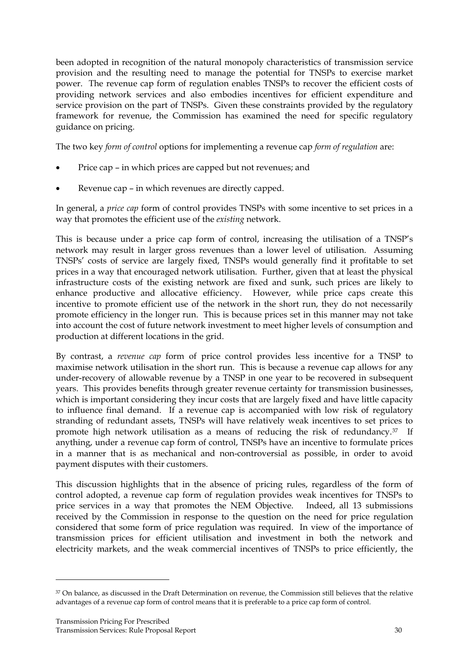been adopted in recognition of the natural monopoly characteristics of transmission service provision and the resulting need to manage the potential for TNSPs to exercise market power. The revenue cap form of regulation enables TNSPs to recover the efficient costs of providing network services and also embodies incentives for efficient expenditure and service provision on the part of TNSPs. Given these constraints provided by the regulatory framework for revenue, the Commission has examined the need for specific regulatory guidance on pricing.

The two key *form of control* options for implementing a revenue cap *form of regulation* are:

- Price cap in which prices are capped but not revenues; and
- Revenue cap in which revenues are directly capped.

In general, a *price cap* form of control provides TNSPs with some incentive to set prices in a way that promotes the efficient use of the *existing* network.

This is because under a price cap form of control, increasing the utilisation of a TNSP's network may result in larger gross revenues than a lower level of utilisation. Assuming TNSPs' costs of service are largely fixed, TNSPs would generally find it profitable to set prices in a way that encouraged network utilisation. Further, given that at least the physical infrastructure costs of the existing network are fixed and sunk, such prices are likely to enhance productive and allocative efficiency. However, while price caps create this incentive to promote efficient use of the network in the short run, they do not necessarily promote efficiency in the longer run. This is because prices set in this manner may not take into account the cost of future network investment to meet higher levels of consumption and production at different locations in the grid.

By contrast, a *revenue cap* form of price control provides less incentive for a TNSP to maximise network utilisation in the short run. This is because a revenue cap allows for any under-recovery of allowable revenue by a TNSP in one year to be recovered in subsequent years. This provides benefits through greater revenue certainty for transmission businesses, which is important considering they incur costs that are largely fixed and have little capacity to influence final demand. If a revenue cap is accompanied with low risk of regulatory stranding of redundant assets, TNSPs will have relatively weak incentives to set prices to promote high network utilisation as a means of reducing the risk of redundancy.[37](#page-29-0) If anything, under a revenue cap form of control, TNSPs have an incentive to formulate prices in a manner that is as mechanical and non-controversial as possible, in order to avoid payment disputes with their customers.

This discussion highlights that in the absence of pricing rules, regardless of the form of control adopted, a revenue cap form of regulation provides weak incentives for TNSPs to price services in a way that promotes the NEM Objective. Indeed, all 13 submissions received by the Commission in response to the question on the need for price regulation considered that some form of price regulation was required. In view of the importance of transmission prices for efficient utilisation and investment in both the network and electricity markets, and the weak commercial incentives of TNSPs to price efficiently, the

<span id="page-29-0"></span><sup>37</sup> On balance, as discussed in the Draft Determination on revenue, the Commission still believes that the relative advantages of a revenue cap form of control means that it is preferable to a price cap form of control.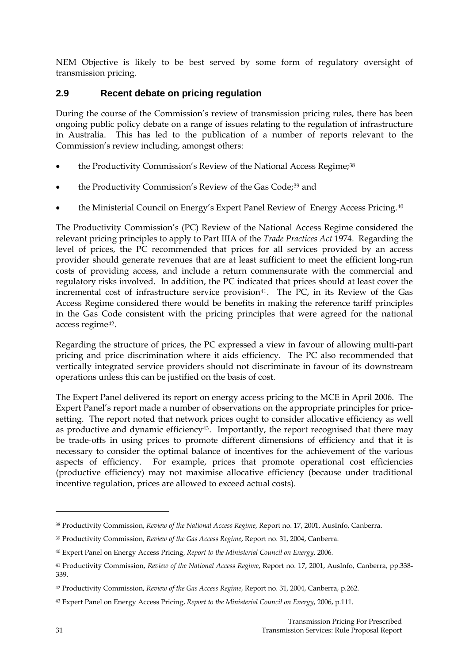<span id="page-30-0"></span>NEM Objective is likely to be best served by some form of regulatory oversight of transmission pricing.

### **2.9 Recent debate on pricing regulation**

During the course of the Commission's review of transmission pricing rules, there has been ongoing public policy debate on a range of issues relating to the regulation of infrastructure in Australia. This has led to the publication of a number of reports relevant to the Commission's review including, amongst others:

- the Productivity Commission's Review of the National Access Regime;<sup>[38](#page-30-1)</sup>
- the Productivity Commission's Review of the Gas Code;<sup>[39](#page-30-2)</sup> and
- the Ministerial Council on Energy's Expert Panel Review of Energy Access Pricing.[40](#page-30-3)

The Productivity Commission's (PC) Review of the National Access Regime considered the relevant pricing principles to apply to Part IIIA of the *Trade Practices Act* 1974. Regarding the level of prices, the PC recommended that prices for all services provided by an access provider should generate revenues that are at least sufficient to meet the efficient long-run costs of providing access, and include a return commensurate with the commercial and regulatory risks involved. In addition, the PC indicated that prices should at least cover the incremental cost of infrastructure service provision<sup>[41](#page-30-4)</sup>. The PC, in its Review of the Gas Access Regime considered there would be benefits in making the reference tariff principles in the Gas Code consistent with the pricing principles that were agreed for the national access regime<sup>[42](#page-30-5)</sup>.

Regarding the structure of prices, the PC expressed a view in favour of allowing multi-part pricing and price discrimination where it aids efficiency. The PC also recommended that vertically integrated service providers should not discriminate in favour of its downstream operations unless this can be justified on the basis of cost.

The Expert Panel delivered its report on energy access pricing to the MCE in April 2006. The Expert Panel's report made a number of observations on the appropriate principles for pricesetting. The report noted that network prices ought to consider allocative efficiency as well as productive and dynamic efficiency<sup>[43](#page-30-6)</sup>. Importantly, the report recognised that there may be trade-offs in using prices to promote different dimensions of efficiency and that it is necessary to consider the optimal balance of incentives for the achievement of the various aspects of efficiency. For example, prices that promote operational cost efficiencies (productive efficiency) may not maximise allocative efficiency (because under traditional incentive regulation, prices are allowed to exceed actual costs).

<span id="page-30-1"></span><sup>38</sup> Productivity Commission, *Review of the National Access Regime*, Report no. 17, 2001, AusInfo, Canberra.

<span id="page-30-2"></span><sup>39</sup> Productivity Commission, *Review of the Gas Access Regime*, Report no. 31, 2004, Canberra.

<span id="page-30-3"></span><sup>40</sup> Expert Panel on Energy Access Pricing, *Report to the Ministerial Council on Energy*, 2006*.*

<span id="page-30-4"></span><sup>41</sup> Productivity Commission, *Review of the National Access Regime*, Report no. 17, 2001, AusInfo, Canberra, pp.338- 339.

<span id="page-30-5"></span><sup>42</sup> Productivity Commission, *Review of the Gas Access Regime*, Report no. 31, 2004, Canberra, p.262.

<span id="page-30-6"></span><sup>43</sup> Expert Panel on Energy Access Pricing, *Report to the Ministerial Council on Energy*, 2006, p.111.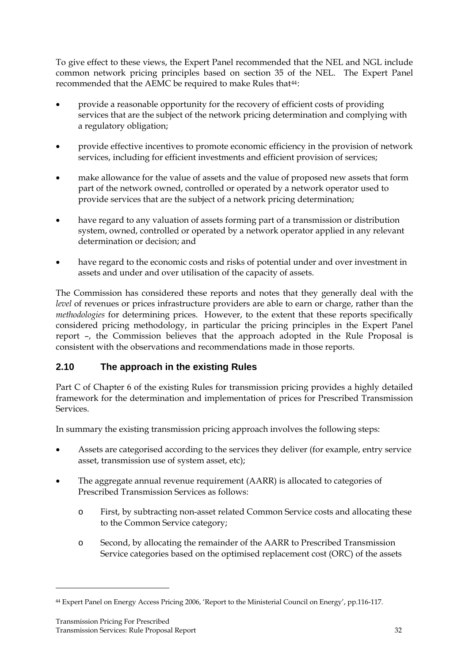<span id="page-31-0"></span>To give effect to these views, the Expert Panel recommended that the NEL and NGL include common network pricing principles based on section 35 of the NEL. The Expert Panel recommended that the AEMC be required to make Rules that<sup>[44](#page-31-1)</sup>:

- provide a reasonable opportunity for the recovery of efficient costs of providing services that are the subject of the network pricing determination and complying with a regulatory obligation;
- provide effective incentives to promote economic efficiency in the provision of network services, including for efficient investments and efficient provision of services;
- make allowance for the value of assets and the value of proposed new assets that form part of the network owned, controlled or operated by a network operator used to provide services that are the subject of a network pricing determination;
- have regard to any valuation of assets forming part of a transmission or distribution system, owned, controlled or operated by a network operator applied in any relevant determination or decision; and
- have regard to the economic costs and risks of potential under and over investment in assets and under and over utilisation of the capacity of assets.

The Commission has considered these reports and notes that they generally deal with the *level* of revenues or prices infrastructure providers are able to earn or charge, rather than the *methodologies* for determining prices. However, to the extent that these reports specifically considered pricing methodology, in particular the pricing principles in the Expert Panel report –, the Commission believes that the approach adopted in the Rule Proposal is consistent with the observations and recommendations made in those reports.

# **2.10 The approach in the existing Rules**

Part C of Chapter 6 of the existing Rules for transmission pricing provides a highly detailed framework for the determination and implementation of prices for Prescribed Transmission Services.

In summary the existing transmission pricing approach involves the following steps:

- Assets are categorised according to the services they deliver (for example, entry service asset, transmission use of system asset, etc);
- The aggregate annual revenue requirement (AARR) is allocated to categories of Prescribed Transmission Services as follows:
	- o First, by subtracting non-asset related Common Service costs and allocating these to the Common Service category;
	- o Second, by allocating the remainder of the AARR to Prescribed Transmission Service categories based on the optimised replacement cost (ORC) of the assets

<span id="page-31-1"></span><sup>44</sup> Expert Panel on Energy Access Pricing 2006, 'Report to the Ministerial Council on Energy', pp.116-117.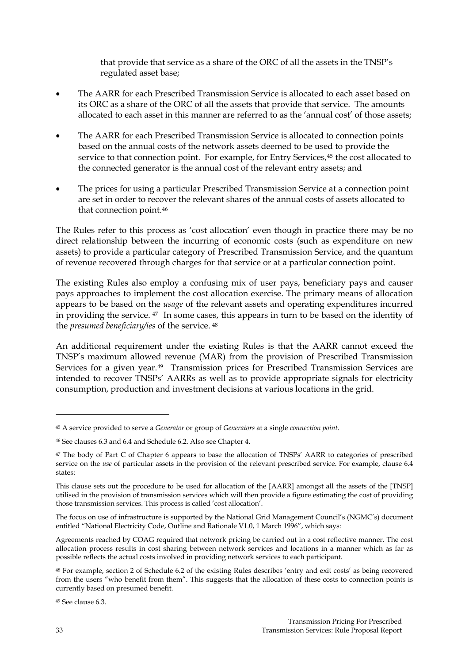that provide that service as a share of the ORC of all the assets in the TNSP's regulated asset base;

- The AARR for each Prescribed Transmission Service is allocated to each asset based on its ORC as a share of the ORC of all the assets that provide that service. The amounts allocated to each asset in this manner are referred to as the 'annual cost' of those assets;
- The AARR for each Prescribed Transmission Service is allocated to connection points based on the annual costs of the network assets deemed to be used to provide the service to that connection point. For example, for Entry Services,<sup>[45](#page-32-0)</sup> the cost allocated to the connected generator is the annual cost of the relevant entry assets; and
- The prices for using a particular Prescribed Transmission Service at a connection point are set in order to recover the relevant shares of the annual costs of assets allocated to that connection point.[46](#page-32-1)

The Rules refer to this process as 'cost allocation' even though in practice there may be no direct relationship between the incurring of economic costs (such as expenditure on new assets) to provide a particular category of Prescribed Transmission Service, and the quantum of revenue recovered through charges for that service or at a particular connection point.

The existing Rules also employ a confusing mix of user pays, beneficiary pays and causer pays approaches to implement the cost allocation exercise. The primary means of allocation appears to be based on the *usage* of the relevant assets and operating expenditures incurred in providing the service. [47](#page-32-2) In some cases, this appears in turn to be based on the identity of the *presumed beneficiary/ies* of the service. [48](#page-32-3)

An additional requirement under the existing Rules is that the AARR cannot exceed the TNSP's maximum allowed revenue (MAR) from the provision of Prescribed Transmission Services for a given year.[49](#page-32-4) Transmission prices for Prescribed Transmission Services are intended to recover TNSPs' AARRs as well as to provide appropriate signals for electricity consumption, production and investment decisions at various locations in the grid.

<span id="page-32-4"></span>49 See clause 6.3.

<span id="page-32-0"></span><sup>45</sup> A service provided to serve a *Generator* or group of *Generators* at a single *connection point*.

<span id="page-32-1"></span><sup>46</sup> See clauses 6.3 and 6.4 and Schedule 6.2. Also see Chapter 4.

<span id="page-32-2"></span><sup>47</sup> The body of Part C of Chapter 6 appears to base the allocation of TNSPs' AARR to categories of prescribed service on the *use* of particular assets in the provision of the relevant prescribed service. For example, clause 6.4 states:

This clause sets out the procedure to be used for allocation of the [AARR] amongst all the assets of the [TNSP] utilised in the provision of transmission services which will then provide a figure estimating the cost of providing those transmission services. This process is called 'cost allocation'.

The focus on use of infrastructure is supported by the National Grid Management Council's (NGMC's) document entitled "National Electricity Code, Outline and Rationale V1.0, 1 March 1996", which says:

Agreements reached by COAG required that network pricing be carried out in a cost reflective manner. The cost allocation process results in cost sharing between network services and locations in a manner which as far as possible reflects the actual costs involved in providing network services to each participant.

<span id="page-32-3"></span><sup>48</sup> For example, section 2 of Schedule 6.2 of the existing Rules describes 'entry and exit costs' as being recovered from the users "who benefit from them". This suggests that the allocation of these costs to connection points is currently based on presumed benefit.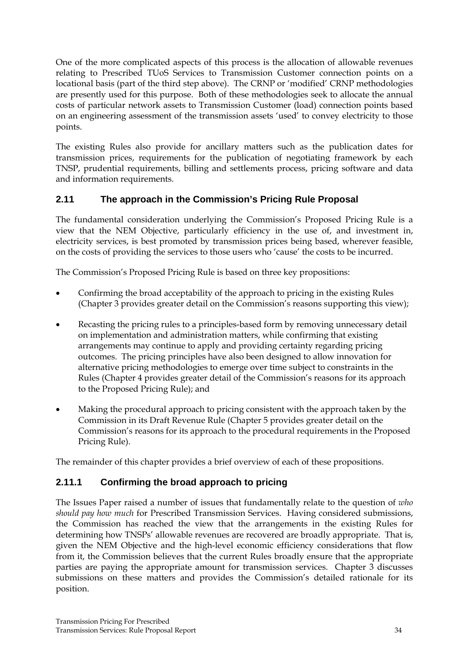<span id="page-33-0"></span>One of the more complicated aspects of this process is the allocation of allowable revenues relating to Prescribed TUoS Services to Transmission Customer connection points on a locational basis (part of the third step above). The CRNP or 'modified' CRNP methodologies are presently used for this purpose. Both of these methodologies seek to allocate the annual costs of particular network assets to Transmission Customer (load) connection points based on an engineering assessment of the transmission assets 'used' to convey electricity to those points.

The existing Rules also provide for ancillary matters such as the publication dates for transmission prices, requirements for the publication of negotiating framework by each TNSP, prudential requirements, billing and settlements process, pricing software and data and information requirements.

# **2.11 The approach in the Commission's Pricing Rule Proposal**

The fundamental consideration underlying the Commission's Proposed Pricing Rule is a view that the NEM Objective, particularly efficiency in the use of, and investment in, electricity services, is best promoted by transmission prices being based, wherever feasible, on the costs of providing the services to those users who 'cause' the costs to be incurred.

The Commission's Proposed Pricing Rule is based on three key propositions:

- Confirming the broad acceptability of the approach to pricing in the existing Rules (Chapter 3 provides greater detail on the Commission's reasons supporting this view);
- Recasting the pricing rules to a principles-based form by removing unnecessary detail on implementation and administration matters, while confirming that existing arrangements may continue to apply and providing certainty regarding pricing outcomes. The pricing principles have also been designed to allow innovation for alternative pricing methodologies to emerge over time subject to constraints in the Rules (Chapter 4 provides greater detail of the Commission's reasons for its approach to the Proposed Pricing Rule); and
- Making the procedural approach to pricing consistent with the approach taken by the Commission in its Draft Revenue Rule (Chapter 5 provides greater detail on the Commission's reasons for its approach to the procedural requirements in the Proposed Pricing Rule).

The remainder of this chapter provides a brief overview of each of these propositions.

# **2.11.1 Confirming the broad approach to pricing**

The Issues Paper raised a number of issues that fundamentally relate to the question of *who should pay how much* for Prescribed Transmission Services. Having considered submissions, the Commission has reached the view that the arrangements in the existing Rules for determining how TNSPs' allowable revenues are recovered are broadly appropriate. That is, given the NEM Objective and the high-level economic efficiency considerations that flow from it, the Commission believes that the current Rules broadly ensure that the appropriate parties are paying the appropriate amount for transmission services. Chapter 3 discusses submissions on these matters and provides the Commission's detailed rationale for its position.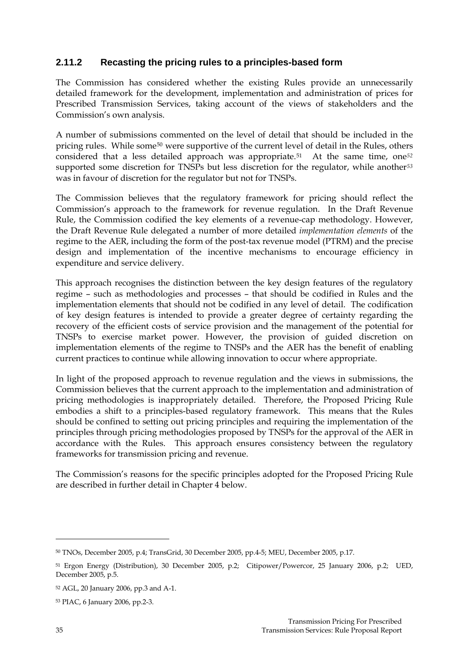### <span id="page-34-0"></span>**2.11.2 Recasting the pricing rules to a principles-based form**

The Commission has considered whether the existing Rules provide an unnecessarily detailed framework for the development, implementation and administration of prices for Prescribed Transmission Services, taking account of the views of stakeholders and the Commission's own analysis.

A number of submissions commented on the level of detail that should be included in the pricing rules. While some[50](#page-34-1) were supportive of the current level of detail in the Rules, others considered that a less detailed approach was appropriate.[51](#page-34-2) At the same time, one*[52](#page-34-3)* supported some discretion for TNSPs but less discretion for the regulator, while another*[53](#page-34-4)* was in favour of discretion for the regulator but not for TNSPs.

The Commission believes that the regulatory framework for pricing should reflect the Commission's approach to the framework for revenue regulation. In the Draft Revenue Rule, the Commission codified the key elements of a revenue-cap methodology. However, the Draft Revenue Rule delegated a number of more detailed *implementation elements* of the regime to the AER, including the form of the post-tax revenue model (PTRM) and the precise design and implementation of the incentive mechanisms to encourage efficiency in expenditure and service delivery.

This approach recognises the distinction between the key design features of the regulatory regime – such as methodologies and processes – that should be codified in Rules and the implementation elements that should not be codified in any level of detail. The codification of key design features is intended to provide a greater degree of certainty regarding the recovery of the efficient costs of service provision and the management of the potential for TNSPs to exercise market power. However, the provision of guided discretion on implementation elements of the regime to TNSPs and the AER has the benefit of enabling current practices to continue while allowing innovation to occur where appropriate.

In light of the proposed approach to revenue regulation and the views in submissions, the Commission believes that the current approach to the implementation and administration of pricing methodologies is inappropriately detailed. Therefore, the Proposed Pricing Rule embodies a shift to a principles-based regulatory framework. This means that the Rules should be confined to setting out pricing principles and requiring the implementation of the principles through pricing methodologies proposed by TNSPs for the approval of the AER in accordance with the Rules. This approach ensures consistency between the regulatory frameworks for transmission pricing and revenue.

The Commission's reasons for the specific principles adopted for the Proposed Pricing Rule are described in further detail in Chapter 4 below.

<span id="page-34-1"></span><sup>50</sup> TNOs, December 2005, p.4; TransGrid, 30 December 2005, pp.4-5; MEU, December 2005, p.17.

<span id="page-34-2"></span><sup>51</sup> Ergon Energy (Distribution), 30 December 2005, p.2; Citipower/Powercor, 25 January 2006, p.2; UED, December 2005, p.5.

<span id="page-34-3"></span><sup>52</sup> AGL, 20 January 2006, pp.3 and A-1.

<span id="page-34-4"></span><sup>53</sup> PIAC, 6 January 2006, pp.2-3.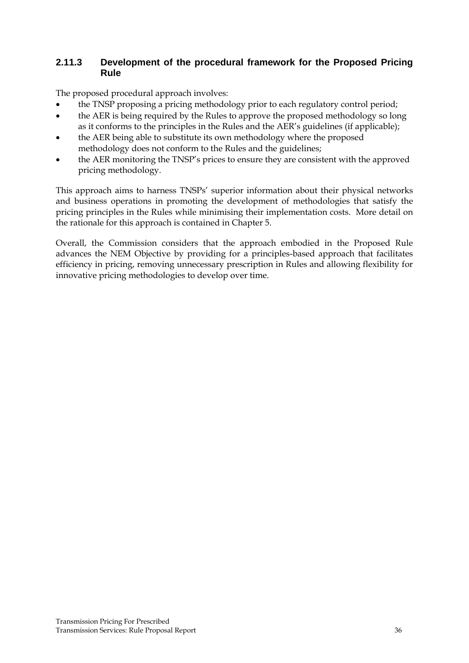#### <span id="page-35-0"></span>**2.11.3 Development of the procedural framework for the Proposed Pricing Rule**

The proposed procedural approach involves:

- the TNSP proposing a pricing methodology prior to each regulatory control period;
- the AER is being required by the Rules to approve the proposed methodology so long as it conforms to the principles in the Rules and the AER's guidelines (if applicable);
- the AER being able to substitute its own methodology where the proposed methodology does not conform to the Rules and the guidelines;
- the AER monitoring the TNSP's prices to ensure they are consistent with the approved pricing methodology.

This approach aims to harness TNSPs' superior information about their physical networks and business operations in promoting the development of methodologies that satisfy the pricing principles in the Rules while minimising their implementation costs. More detail on the rationale for this approach is contained in Chapter 5.

Overall, the Commission considers that the approach embodied in the Proposed Rule advances the NEM Objective by providing for a principles-based approach that facilitates efficiency in pricing, removing unnecessary prescription in Rules and allowing flexibility for innovative pricing methodologies to develop over time.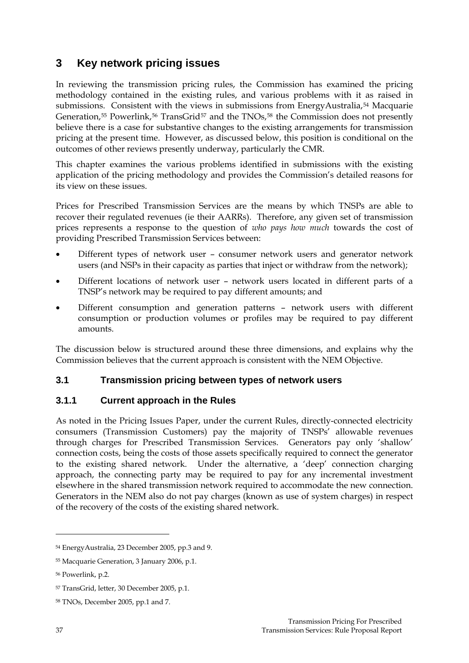# **3 Key network pricing issues**

In reviewing the transmission pricing rules, the Commission has examined the pricing methodology contained in the existing rules, and various problems with it as raised in submissions. Consistent with the views in submissions from EnergyAustralia,[54](#page-36-0) Macquarie Generation,<sup>[55](#page-36-1)</sup> Powerlink,<sup>[56](#page-36-2)</sup> TransGrid<sup>[57](#page-36-3)</sup> and the TNOs,<sup>[58](#page-36-4)</sup> the Commission does not presently believe there is a case for substantive changes to the existing arrangements for transmission pricing at the present time. However, as discussed below, this position is conditional on the outcomes of other reviews presently underway, particularly the CMR.

This chapter examines the various problems identified in submissions with the existing application of the pricing methodology and provides the Commission's detailed reasons for its view on these issues.

Prices for Prescribed Transmission Services are the means by which TNSPs are able to recover their regulated revenues (ie their AARRs). Therefore, any given set of transmission prices represents a response to the question of *who pays how much* towards the cost of providing Prescribed Transmission Services between:

- Different types of network user consumer network users and generator network users (and NSPs in their capacity as parties that inject or withdraw from the network);
- Different locations of network user network users located in different parts of a TNSP's network may be required to pay different amounts; and
- Different consumption and generation patterns network users with different consumption or production volumes or profiles may be required to pay different amounts.

The discussion below is structured around these three dimensions, and explains why the Commission believes that the current approach is consistent with the NEM Objective.

## **3.1 Transmission pricing between types of network users**

## **3.1.1 Current approach in the Rules**

As noted in the Pricing Issues Paper, under the current Rules, directly-connected electricity consumers (Transmission Customers) pay the majority of TNSPs' allowable revenues through charges for Prescribed Transmission Services. Generators pay only 'shallow' connection costs, being the costs of those assets specifically required to connect the generator to the existing shared network. Under the alternative, a 'deep' connection charging approach, the connecting party may be required to pay for any incremental investment elsewhere in the shared transmission network required to accommodate the new connection. Generators in the NEM also do not pay charges (known as use of system charges) in respect of the recovery of the costs of the existing shared network.

-

<span id="page-36-0"></span><sup>54</sup> EnergyAustralia, 23 December 2005, pp.3 and 9.

<span id="page-36-1"></span><sup>55</sup> Macquarie Generation, 3 January 2006, p.1.

<span id="page-36-2"></span><sup>56</sup> Powerlink, p.2.

<span id="page-36-3"></span><sup>57</sup> TransGrid, letter, 30 December 2005, p.1.

<span id="page-36-4"></span><sup>58</sup> TNOs, December 2005, pp.1 and 7.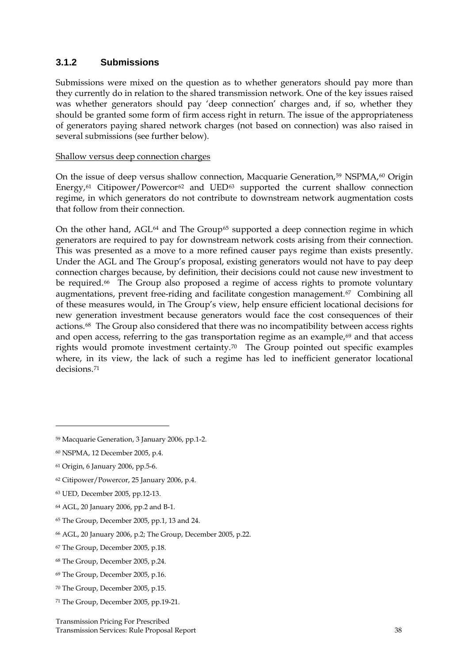# **3.1.2 Submissions**

Submissions were mixed on the question as to whether generators should pay more than they currently do in relation to the shared transmission network. One of the key issues raised was whether generators should pay 'deep connection' charges and, if so, whether they should be granted some form of firm access right in return. The issue of the appropriateness of generators paying shared network charges (not based on connection) was also raised in several submissions (see further below).

#### Shallow versus deep connection charges

On the issue of deep versus shallow connection, Macquarie Generation,<sup>[59](#page-37-0)</sup> NSPMA,<sup>[60](#page-37-1)</sup> Origin Energy, $61$  Citipower/Powercor $62$  and UED $63$  supported the current shallow connection regime, in which generators do not contribute to downstream network augmentation costs that follow from their connection.

On the other hand, AGL<sup>[64](#page-37-5)</sup> and The Group<sup>[65](#page-37-6)</sup> supported a deep connection regime in which generators are required to pay for downstream network costs arising from their connection. This was presented as a move to a more refined causer pays regime than exists presently. Under the AGL and The Group's proposal, existing generators would not have to pay deep connection charges because, by definition, their decisions could not cause new investment to be required.<sup>[66](#page-37-7)</sup> The Group also proposed a regime of access rights to promote voluntary augmentations, prevent free-riding and facilitate congestion management.<sup>[67](#page-37-8)</sup> Combining all of these measures would, in The Group's view, help ensure efficient locational decisions for new generation investment because generators would face the cost consequences of their actions.[68](#page-37-9) The Group also considered that there was no incompatibility between access rights and open access, referring to the gas transportation regime as an example, $69$  and that access rights would promote investment certainty.[70](#page-37-11) The Group pointed out specific examples where, in its view, the lack of such a regime has led to inefficient generator locational decisions<sup>[71](#page-37-12)</sup>

- <span id="page-37-5"></span>64 AGL, 20 January 2006, pp.2 and B-1.
- <span id="page-37-6"></span>65 The Group, December 2005, pp.1, 13 and 24.

- <span id="page-37-8"></span>67 The Group, December 2005, p.18.
- <span id="page-37-9"></span>68 The Group, December 2005, p.24.
- <span id="page-37-10"></span>69 The Group, December 2005, p.16.
- <span id="page-37-11"></span>70 The Group, December 2005, p.15.
- <span id="page-37-12"></span>71 The Group, December 2005, pp.19-21.

<span id="page-37-0"></span><sup>59</sup> Macquarie Generation, 3 January 2006, pp.1-2.

<span id="page-37-1"></span><sup>60</sup> NSPMA, 12 December 2005, p.4.

<span id="page-37-2"></span><sup>61</sup> Origin, 6 January 2006, pp.5-6.

<span id="page-37-3"></span><sup>62</sup> Citipower/Powercor, 25 January 2006, p.4.

<span id="page-37-4"></span><sup>63</sup> UED, December 2005, pp.12-13.

<span id="page-37-7"></span><sup>66</sup> AGL, 20 January 2006, p.2; The Group, December 2005, p.22.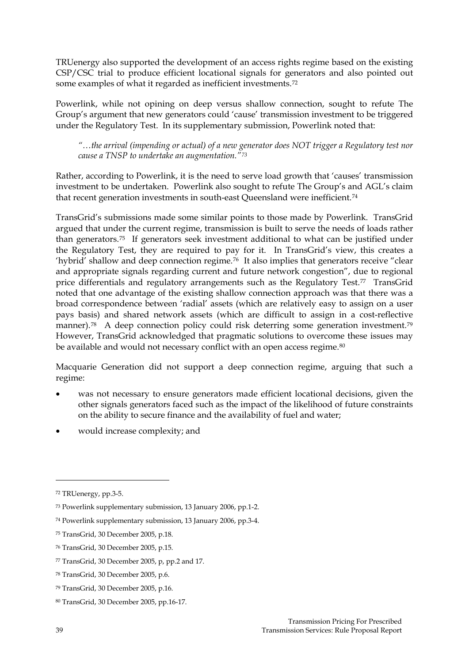TRUenergy also supported the development of an access rights regime based on the existing CSP/CSC trial to produce efficient locational signals for generators and also pointed out some examples of what it regarded as inefficient investments.[72](#page-38-0)

Powerlink, while not opining on deep versus shallow connection, sought to refute The Group's argument that new generators could 'cause' transmission investment to be triggered under the Regulatory Test. In its supplementary submission, Powerlink noted that:

*"…the arrival (impending or actual) of a new generator does NOT trigger a Regulatory test nor cause a TNSP to undertake an augmentation."[73](#page-38-1)* 

Rather, according to Powerlink, it is the need to serve load growth that 'causes' transmission investment to be undertaken. Powerlink also sought to refute The Group's and AGL's claim that recent generation investments in south-east Queensland were inefficient.<sup>[74](#page-38-2)</sup>

TransGrid's submissions made some similar points to those made by Powerlink. TransGrid argued that under the current regime, transmission is built to serve the needs of loads rather than generators.[75](#page-38-3) If generators seek investment additional to what can be justified under the Regulatory Test, they are required to pay for it. In TransGrid's view, this creates a 'hybrid' shallow and deep connection regime.<sup>[76](#page-38-4)</sup> It also implies that generators receive "clear and appropriate signals regarding current and future network congestion", due to regional price differentials and regulatory arrangements such as the Regulatory Test.[77](#page-38-5) TransGrid noted that one advantage of the existing shallow connection approach was that there was a broad correspondence between 'radial' assets (which are relatively easy to assign on a user pays basis) and shared network assets (which are difficult to assign in a cost-reflective manner).<sup>[78](#page-38-6)</sup> A deep connection policy could risk deterring some generation investment.<sup>[79](#page-38-7)</sup> However, TransGrid acknowledged that pragmatic solutions to overcome these issues may be available and would not necessary conflict with an open access regime.<sup>[80](#page-38-8)</sup>

Macquarie Generation did not support a deep connection regime, arguing that such a regime:

- was not necessary to ensure generators made efficient locational decisions, given the other signals generators faced such as the impact of the likelihood of future constraints on the ability to secure finance and the availability of fuel and water;
- would increase complexity; and

<span id="page-38-0"></span><sup>72</sup> TRUenergy, pp.3-5.

<span id="page-38-1"></span><sup>73</sup> Powerlink supplementary submission, 13 January 2006, pp.1-2.

<span id="page-38-2"></span><sup>74</sup> Powerlink supplementary submission, 13 January 2006, pp.3-4.

<span id="page-38-3"></span><sup>75</sup> TransGrid, 30 December 2005, p.18.

<span id="page-38-4"></span><sup>76</sup> TransGrid, 30 December 2005, p.15.

<span id="page-38-5"></span><sup>77</sup> TransGrid, 30 December 2005, p, pp.2 and 17.

<span id="page-38-6"></span><sup>78</sup> TransGrid, 30 December 2005, p.6.

<span id="page-38-7"></span><sup>79</sup> TransGrid, 30 December 2005, p.16.

<span id="page-38-8"></span><sup>80</sup> TransGrid, 30 December 2005, pp.16-17.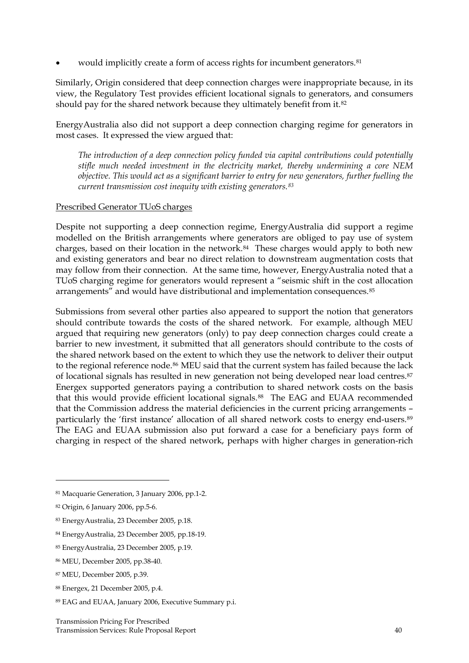would implicitly create a form of access rights for incumbent generators.<sup>[81](#page-39-0)</sup>

Similarly, Origin considered that deep connection charges were inappropriate because, in its view, the Regulatory Test provides efficient locational signals to generators, and consumers should pay for the shared network because they ultimately benefit from it.<sup>[82](#page-39-1)</sup>

EnergyAustralia also did not support a deep connection charging regime for generators in most cases. It expressed the view argued that:

*The introduction of a deep connection policy funded via capital contributions could potentially stifle much needed investment in the electricity market, thereby undermining a core NEM objective. This would act as a significant barrier to entry for new generators, further fuelling the current transmission cost inequity with existing generators.[83](#page-39-2)*

### Prescribed Generator TUoS charges

Despite not supporting a deep connection regime, EnergyAustralia did support a regime modelled on the British arrangements where generators are obliged to pay use of system charges, based on their location in the network.[84](#page-39-3) These charges would apply to both new and existing generators and bear no direct relation to downstream augmentation costs that may follow from their connection. At the same time, however, EnergyAustralia noted that a TUoS charging regime for generators would represent a "seismic shift in the cost allocation arrangements" and would have distributional and implementation consequences.[85](#page-39-4)

Submissions from several other parties also appeared to support the notion that generators should contribute towards the costs of the shared network. For example, although MEU argued that requiring new generators (only) to pay deep connection charges could create a barrier to new investment, it submitted that all generators should contribute to the costs of the shared network based on the extent to which they use the network to deliver their output to the regional reference node.<sup>[86](#page-39-5)</sup> MEU said that the current system has failed because the lack of locational signals has resulted in new generation not being developed near load centres.[87](#page-39-6) Energex supported generators paying a contribution to shared network costs on the basis that this would provide efficient locational signals.<sup>[88](#page-39-7)</sup> The EAG and EUAA recommended that the Commission address the material deficiencies in the current pricing arrangements – particularly the 'first instance' allocation of all shared network costs to energy end-users.<sup>[89](#page-39-8)</sup> The EAG and EUAA submission also put forward a case for a beneficiary pays form of charging in respect of the shared network, perhaps with higher charges in generation-rich

<u>.</u>

<span id="page-39-7"></span>88 Energex, 21 December 2005, p.4.

<span id="page-39-0"></span><sup>81</sup> Macquarie Generation, 3 January 2006, pp.1-2.

<span id="page-39-1"></span><sup>82</sup> Origin, 6 January 2006, pp.5-6.

<span id="page-39-2"></span><sup>83</sup> EnergyAustralia, 23 December 2005, p.18.

<span id="page-39-3"></span><sup>84</sup> EnergyAustralia, 23 December 2005, pp.18-19.

<span id="page-39-4"></span><sup>85</sup> EnergyAustralia, 23 December 2005, p.19.

<span id="page-39-5"></span><sup>86</sup> MEU, December 2005, pp.38-40.

<span id="page-39-6"></span><sup>87</sup> MEU, December 2005, p.39.

<span id="page-39-8"></span><sup>89</sup> EAG and EUAA, January 2006, Executive Summary p.i.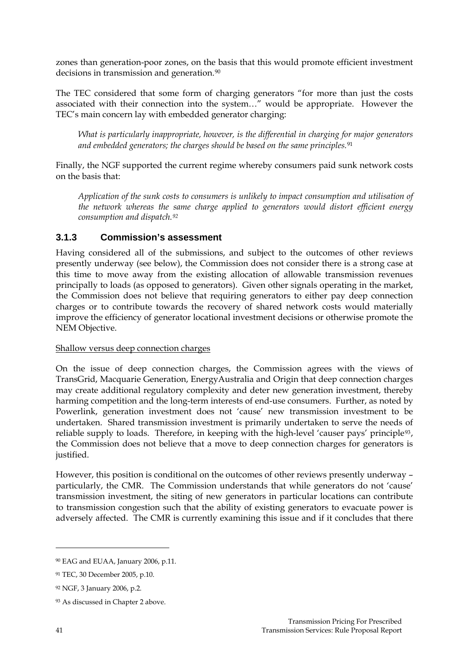zones than generation-poor zones, on the basis that this would promote efficient investment decisions in transmission and generation.<sup>[90](#page-40-0)</sup>

The TEC considered that some form of charging generators "for more than just the costs associated with their connection into the system…" would be appropriate. However the TEC's main concern lay with embedded generator charging:

*What is particularly inappropriate, however, is the differential in charging for major generators and embedded generators; the charges should be based on the same principles.*[91](#page-40-1)

Finally, the NGF supported the current regime whereby consumers paid sunk network costs on the basis that:

*Application of the sunk costs to consumers is unlikely to impact consumption and utilisation of the network whereas the same charge applied to generators would distort efficient energy consumption and dispatch.[92](#page-40-2)*

### **3.1.3 Commission's assessment**

Having considered all of the submissions, and subject to the outcomes of other reviews presently underway (see below), the Commission does not consider there is a strong case at this time to move away from the existing allocation of allowable transmission revenues principally to loads (as opposed to generators). Given other signals operating in the market, the Commission does not believe that requiring generators to either pay deep connection charges or to contribute towards the recovery of shared network costs would materially improve the efficiency of generator locational investment decisions or otherwise promote the NEM Objective.

### Shallow versus deep connection charges

On the issue of deep connection charges, the Commission agrees with the views of TransGrid, Macquarie Generation, EnergyAustralia and Origin that deep connection charges may create additional regulatory complexity and deter new generation investment, thereby harming competition and the long-term interests of end-use consumers. Further, as noted by Powerlink, generation investment does not 'cause' new transmission investment to be undertaken. Shared transmission investment is primarily undertaken to serve the needs of reliable supply to loads. Therefore, in keeping with the high-level 'causer pays' principle<sup>[93](#page-40-3)</sup>, the Commission does not believe that a move to deep connection charges for generators is justified.

However, this position is conditional on the outcomes of other reviews presently underway – particularly, the CMR. The Commission understands that while generators do not 'cause' transmission investment, the siting of new generators in particular locations can contribute to transmission congestion such that the ability of existing generators to evacuate power is adversely affected. The CMR is currently examining this issue and if it concludes that there

-

<span id="page-40-0"></span><sup>90</sup> EAG and EUAA, January 2006, p.11.

<span id="page-40-1"></span><sup>91</sup> TEC, 30 December 2005, p.10.

<span id="page-40-2"></span><sup>92</sup> NGF, 3 January 2006, p.2.

<span id="page-40-3"></span><sup>93</sup> As discussed in Chapter 2 above.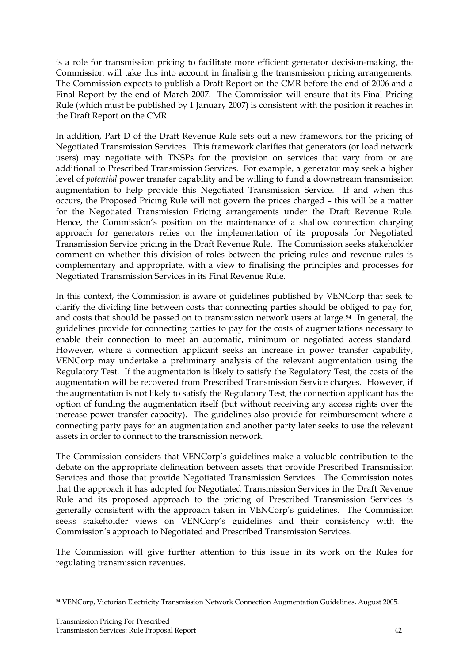is a role for transmission pricing to facilitate more efficient generator decision-making, the Commission will take this into account in finalising the transmission pricing arrangements. The Commission expects to publish a Draft Report on the CMR before the end of 2006 and a Final Report by the end of March 2007. The Commission will ensure that its Final Pricing Rule (which must be published by 1 January 2007) is consistent with the position it reaches in the Draft Report on the CMR.

In addition, Part D of the Draft Revenue Rule sets out a new framework for the pricing of Negotiated Transmission Services. This framework clarifies that generators (or load network users) may negotiate with TNSPs for the provision on services that vary from or are additional to Prescribed Transmission Services. For example, a generator may seek a higher level of *potential* power transfer capability and be willing to fund a downstream transmission augmentation to help provide this Negotiated Transmission Service. If and when this occurs, the Proposed Pricing Rule will not govern the prices charged – this will be a matter for the Negotiated Transmission Pricing arrangements under the Draft Revenue Rule. Hence, the Commission's position on the maintenance of a shallow connection charging approach for generators relies on the implementation of its proposals for Negotiated Transmission Service pricing in the Draft Revenue Rule. The Commission seeks stakeholder comment on whether this division of roles between the pricing rules and revenue rules is complementary and appropriate, with a view to finalising the principles and processes for Negotiated Transmission Services in its Final Revenue Rule.

In this context, the Commission is aware of guidelines published by VENCorp that seek to clarify the dividing line between costs that connecting parties should be obliged to pay for, and costs that should be passed on to transmission network users at large.<sup>[94](#page-41-0)</sup> In general, the guidelines provide for connecting parties to pay for the costs of augmentations necessary to enable their connection to meet an automatic, minimum or negotiated access standard. However, where a connection applicant seeks an increase in power transfer capability, VENCorp may undertake a preliminary analysis of the relevant augmentation using the Regulatory Test. If the augmentation is likely to satisfy the Regulatory Test, the costs of the augmentation will be recovered from Prescribed Transmission Service charges. However, if the augmentation is not likely to satisfy the Regulatory Test, the connection applicant has the option of funding the augmentation itself (but without receiving any access rights over the increase power transfer capacity). The guidelines also provide for reimbursement where a connecting party pays for an augmentation and another party later seeks to use the relevant assets in order to connect to the transmission network.

The Commission considers that VENCorp's guidelines make a valuable contribution to the debate on the appropriate delineation between assets that provide Prescribed Transmission Services and those that provide Negotiated Transmission Services. The Commission notes that the approach it has adopted for Negotiated Transmission Services in the Draft Revenue Rule and its proposed approach to the pricing of Prescribed Transmission Services is generally consistent with the approach taken in VENCorp's guidelines. The Commission seeks stakeholder views on VENCorp's guidelines and their consistency with the Commission's approach to Negotiated and Prescribed Transmission Services.

The Commission will give further attention to this issue in its work on the Rules for regulating transmission revenues.

<span id="page-41-0"></span><sup>94</sup> VENCorp, Victorian Electricity Transmission Network Connection Augmentation Guidelines, August 2005.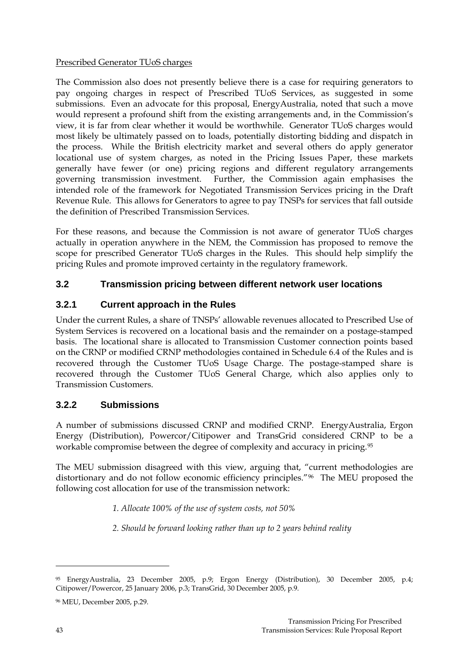### Prescribed Generator TUoS charges

The Commission also does not presently believe there is a case for requiring generators to pay ongoing charges in respect of Prescribed TUoS Services, as suggested in some submissions. Even an advocate for this proposal, EnergyAustralia, noted that such a move would represent a profound shift from the existing arrangements and, in the Commission's view, it is far from clear whether it would be worthwhile. Generator TUoS charges would most likely be ultimately passed on to loads, potentially distorting bidding and dispatch in the process. While the British electricity market and several others do apply generator locational use of system charges, as noted in the Pricing Issues Paper, these markets generally have fewer (or one) pricing regions and different regulatory arrangements governing transmission investment. Further, the Commission again emphasises the intended role of the framework for Negotiated Transmission Services pricing in the Draft Revenue Rule. This allows for Generators to agree to pay TNSPs for services that fall outside the definition of Prescribed Transmission Services.

For these reasons, and because the Commission is not aware of generator TUoS charges actually in operation anywhere in the NEM, the Commission has proposed to remove the scope for prescribed Generator TUoS charges in the Rules. This should help simplify the pricing Rules and promote improved certainty in the regulatory framework.

## **3.2 Transmission pricing between different network user locations**

# **3.2.1 Current approach in the Rules**

Under the current Rules, a share of TNSPs' allowable revenues allocated to Prescribed Use of System Services is recovered on a locational basis and the remainder on a postage-stamped basis. The locational share is allocated to Transmission Customer connection points based on the CRNP or modified CRNP methodologies contained in Schedule 6.4 of the Rules and is recovered through the Customer TUoS Usage Charge. The postage-stamped share is recovered through the Customer TUoS General Charge, which also applies only to Transmission Customers.

## **3.2.2 Submissions**

A number of submissions discussed CRNP and modified CRNP. EnergyAustralia, Ergon Energy (Distribution), Powercor/Citipower and TransGrid considered CRNP to be a workable compromise between the degree of complexity and accuracy in pricing.<sup>[95](#page-42-0)</sup>

The MEU submission disagreed with this view, arguing that, "current methodologies are distortionary and do not follow economic efficiency principles."[96](#page-42-1) The MEU proposed the following cost allocation for use of the transmission network:

- *1. Allocate 100% of the use of system costs, not 50%*
- *2. Should be forward looking rather than up to 2 years behind reality*

<span id="page-42-0"></span><sup>95</sup> EnergyAustralia, 23 December 2005, p.9; Ergon Energy (Distribution), 30 December 2005, p.4; Citipower/Powercor, 25 January 2006, p.3; TransGrid, 30 December 2005, p.9.

<span id="page-42-1"></span><sup>96</sup> MEU, December 2005, p.29.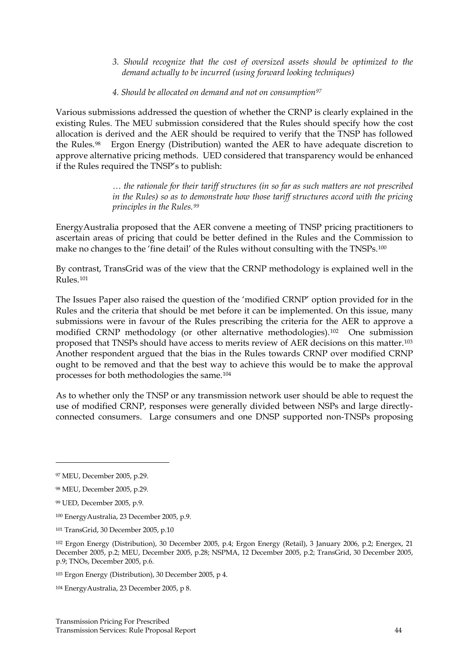- *3. Should recognize that the cost of oversized assets should be optimized to the demand actually to be incurred (using forward looking techniques)*
- *4. Should be allocated on demand and not on consumption[97](#page-43-0)*

Various submissions addressed the question of whether the CRNP is clearly explained in the existing Rules. The MEU submission considered that the Rules should specify how the cost allocation is derived and the AER should be required to verify that the TNSP has followed the Rules.[98](#page-43-1) Ergon Energy (Distribution) wanted the AER to have adequate discretion to approve alternative pricing methods. UED considered that transparency would be enhanced if the Rules required the TNSP's to publish:

> *… the rationale for their tariff structures (in so far as such matters are not prescribed in the Rules) so as to demonstrate how those tariff structures accord with the pricing principles in the Rules.[99](#page-43-2)*

EnergyAustralia proposed that the AER convene a meeting of TNSP pricing practitioners to ascertain areas of pricing that could be better defined in the Rules and the Commission to make no changes to the 'fine detail' of the Rules without consulting with the TNSPs.[100](#page-43-3)

By contrast, TransGrid was of the view that the CRNP methodology is explained well in the Rules.[101](#page-43-4)

The Issues Paper also raised the question of the 'modified CRNP' option provided for in the Rules and the criteria that should be met before it can be implemented. On this issue, many submissions were in favour of the Rules prescribing the criteria for the AER to approve a modified CRNP methodology (or other alternative methodologies).[102](#page-43-5) One submission proposed that TNSPs should have access to merits review of AER decisions on this matter.[103](#page-43-6) Another respondent argued that the bias in the Rules towards CRNP over modified CRNP ought to be removed and that the best way to achieve this would be to make the approval processes for both methodologies the same.[104](#page-43-7)

As to whether only the TNSP or any transmission network user should be able to request the use of modified CRNP, responses were generally divided between NSPs and large directlyconnected consumers. Large consumers and one DNSP supported non-TNSPs proposing

-

<span id="page-43-0"></span><sup>97</sup> MEU, December 2005, p.29.

<span id="page-43-1"></span><sup>98</sup> MEU, December 2005, p.29.

<span id="page-43-2"></span><sup>99</sup> UED, December 2005, p.9.

<span id="page-43-3"></span><sup>100</sup> EnergyAustralia, 23 December 2005, p.9.

<span id="page-43-4"></span><sup>101</sup> TransGrid, 30 December 2005, p.10

<span id="page-43-5"></span><sup>102</sup> Ergon Energy (Distribution), 30 December 2005, p.4; Ergon Energy (Retail), 3 January 2006, p.2; Energex, 21 December 2005, p.2; MEU, December 2005, p.28; NSPMA, 12 December 2005, p.2; TransGrid, 30 December 2005, p.9; TNOs, December 2005, p.6.

<span id="page-43-6"></span><sup>103</sup> Ergon Energy (Distribution), 30 December 2005, p 4.

<span id="page-43-7"></span><sup>104</sup> EnergyAustralia, 23 December 2005, p 8.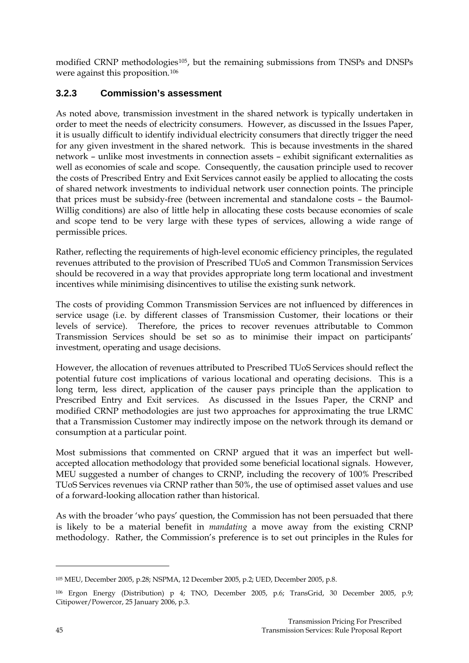modified CRNP methodologies[105](#page-44-0), but the remaining submissions from TNSPs and DNSPs were against this proposition.[106](#page-44-1)

## **3.2.3 Commission's assessment**

As noted above, transmission investment in the shared network is typically undertaken in order to meet the needs of electricity consumers. However, as discussed in the Issues Paper, it is usually difficult to identify individual electricity consumers that directly trigger the need for any given investment in the shared network. This is because investments in the shared network – unlike most investments in connection assets – exhibit significant externalities as well as economies of scale and scope. Consequently, the causation principle used to recover the costs of Prescribed Entry and Exit Services cannot easily be applied to allocating the costs of shared network investments to individual network user connection points. The principle that prices must be subsidy-free (between incremental and standalone costs – the Baumol-Willig conditions) are also of little help in allocating these costs because economies of scale and scope tend to be very large with these types of services, allowing a wide range of permissible prices.

Rather, reflecting the requirements of high-level economic efficiency principles, the regulated revenues attributed to the provision of Prescribed TUoS and Common Transmission Services should be recovered in a way that provides appropriate long term locational and investment incentives while minimising disincentives to utilise the existing sunk network.

The costs of providing Common Transmission Services are not influenced by differences in service usage (i.e. by different classes of Transmission Customer, their locations or their levels of service). Therefore, the prices to recover revenues attributable to Common Transmission Services should be set so as to minimise their impact on participants' investment, operating and usage decisions.

However, the allocation of revenues attributed to Prescribed TUoS Services should reflect the potential future cost implications of various locational and operating decisions. This is a long term, less direct, application of the causer pays principle than the application to Prescribed Entry and Exit services. As discussed in the Issues Paper, the CRNP and modified CRNP methodologies are just two approaches for approximating the true LRMC that a Transmission Customer may indirectly impose on the network through its demand or consumption at a particular point.

Most submissions that commented on CRNP argued that it was an imperfect but wellaccepted allocation methodology that provided some beneficial locational signals. However, MEU suggested a number of changes to CRNP, including the recovery of 100% Prescribed TUoS Services revenues via CRNP rather than 50%, the use of optimised asset values and use of a forward-looking allocation rather than historical.

As with the broader 'who pays' question, the Commission has not been persuaded that there is likely to be a material benefit in *mandating* a move away from the existing CRNP methodology. Rather, the Commission's preference is to set out principles in the Rules for

<span id="page-44-0"></span><sup>105</sup> MEU, December 2005, p.28; NSPMA, 12 December 2005, p.2; UED, December 2005, p.8.

<span id="page-44-1"></span><sup>106</sup> Ergon Energy (Distribution) p 4; TNO, December 2005, p.6; TransGrid, 30 December 2005, p.9; Citipower/Powercor, 25 January 2006, p.3.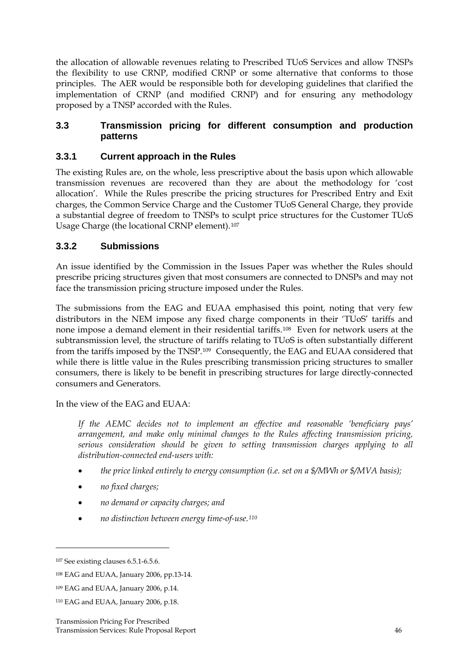the allocation of allowable revenues relating to Prescribed TUoS Services and allow TNSPs the flexibility to use CRNP, modified CRNP or some alternative that conforms to those principles. The AER would be responsible both for developing guidelines that clarified the implementation of CRNP (and modified CRNP) and for ensuring any methodology proposed by a TNSP accorded with the Rules.

### **3.3 Transmission pricing for different consumption and production patterns**

# **3.3.1 Current approach in the Rules**

The existing Rules are, on the whole, less prescriptive about the basis upon which allowable transmission revenues are recovered than they are about the methodology for 'cost allocation'. While the Rules prescribe the pricing structures for Prescribed Entry and Exit charges, the Common Service Charge and the Customer TUoS General Charge, they provide a substantial degree of freedom to TNSPs to sculpt price structures for the Customer TUoS Usage Charge (the locational CRNP element).[107](#page-45-0)

## **3.3.2 Submissions**

An issue identified by the Commission in the Issues Paper was whether the Rules should prescribe pricing structures given that most consumers are connected to DNSPs and may not face the transmission pricing structure imposed under the Rules.

The submissions from the EAG and EUAA emphasised this point, noting that very few distributors in the NEM impose any fixed charge components in their 'TUoS' tariffs and none impose a demand element in their residential tariffs.[108](#page-45-1) Even for network users at the subtransmission level, the structure of tariffs relating to TUoS is often substantially different from the tariffs imposed by the TNSP.[109](#page-45-2) Consequently, the EAG and EUAA considered that while there is little value in the Rules prescribing transmission pricing structures to smaller consumers, there is likely to be benefit in prescribing structures for large directly-connected consumers and Generators.

In the view of the EAG and EUAA:

*If the AEMC decides not to implement an effective and reasonable 'beneficiary pays' arrangement, and make only minimal changes to the Rules affecting transmission pricing, serious consideration should be given to setting transmission charges applying to all distribution-connected end-users with:* 

- *the price linked entirely to energy consumption (i.e. set on a \$/MWh or \$/MVA basis);*
- *no fixed charges;*
- *no demand or capacity charges; and*
- *no distinction between energy time-of-use.[110](#page-45-3)*

-

<span id="page-45-0"></span><sup>107</sup> See existing clauses 6.5.1-6.5.6.

<span id="page-45-1"></span><sup>108</sup> EAG and EUAA, January 2006, pp.13-14.

<span id="page-45-2"></span><sup>109</sup> EAG and EUAA, January 2006, p.14.

<span id="page-45-3"></span><sup>110</sup> EAG and EUAA, January 2006, p.18.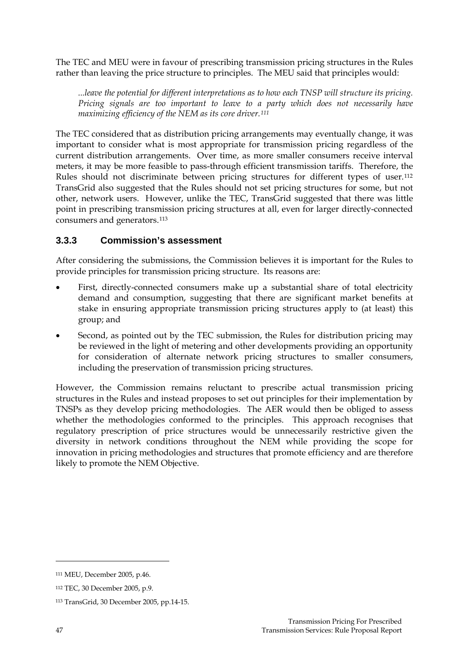The TEC and MEU were in favour of prescribing transmission pricing structures in the Rules rather than leaving the price structure to principles. The MEU said that principles would:

*...leave the potential for different interpretations as to how each TNSP will structure its pricing. Pricing signals are too important to leave to a party which does not necessarily have maximizing efficiency of the NEM as its core driver.[111](#page-46-0)*

The TEC considered that as distribution pricing arrangements may eventually change, it was important to consider what is most appropriate for transmission pricing regardless of the current distribution arrangements. Over time, as more smaller consumers receive interval meters, it may be more feasible to pass-through efficient transmission tariffs. Therefore, the Rules should not discriminate between pricing structures for different types of user.<sup>[112](#page-46-1)</sup> TransGrid also suggested that the Rules should not set pricing structures for some, but not other, network users. However, unlike the TEC, TransGrid suggested that there was little point in prescribing transmission pricing structures at all, even for larger directly-connected consumers and generators.[113](#page-46-2)

# **3.3.3 Commission's assessment**

After considering the submissions, the Commission believes it is important for the Rules to provide principles for transmission pricing structure. Its reasons are:

- First, directly-connected consumers make up a substantial share of total electricity demand and consumption, suggesting that there are significant market benefits at stake in ensuring appropriate transmission pricing structures apply to (at least) this group; and
- Second, as pointed out by the TEC submission, the Rules for distribution pricing may be reviewed in the light of metering and other developments providing an opportunity for consideration of alternate network pricing structures to smaller consumers, including the preservation of transmission pricing structures.

However, the Commission remains reluctant to prescribe actual transmission pricing structures in the Rules and instead proposes to set out principles for their implementation by TNSPs as they develop pricing methodologies. The AER would then be obliged to assess whether the methodologies conformed to the principles. This approach recognises that regulatory prescription of price structures would be unnecessarily restrictive given the diversity in network conditions throughout the NEM while providing the scope for innovation in pricing methodologies and structures that promote efficiency and are therefore likely to promote the NEM Objective.

<span id="page-46-0"></span><sup>111</sup> MEU, December 2005, p.46.

<span id="page-46-1"></span><sup>112</sup> TEC, 30 December 2005, p.9.

<span id="page-46-2"></span><sup>113</sup> TransGrid, 30 December 2005, pp.14-15.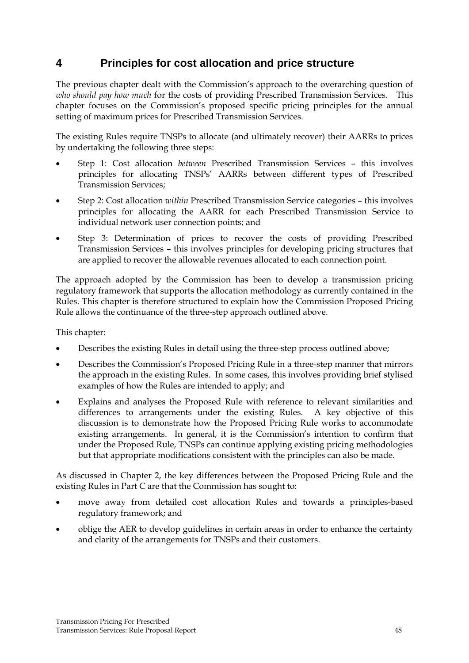# **4 Principles for cost allocation and price structure**

The previous chapter dealt with the Commission's approach to the overarching question of *who should pay how much* for the costs of providing Prescribed Transmission Services. This chapter focuses on the Commission's proposed specific pricing principles for the annual setting of maximum prices for Prescribed Transmission Services.

The existing Rules require TNSPs to allocate (and ultimately recover) their AARRs to prices by undertaking the following three steps:

- Step 1: Cost allocation *between* Prescribed Transmission Services this involves principles for allocating TNSPs' AARRs between different types of Prescribed Transmission Services;
- Step 2: Cost allocation *within* Prescribed Transmission Service categories this involves principles for allocating the AARR for each Prescribed Transmission Service to individual network user connection points; and
- Step 3: Determination of prices to recover the costs of providing Prescribed Transmission Services – this involves principles for developing pricing structures that are applied to recover the allowable revenues allocated to each connection point.

The approach adopted by the Commission has been to develop a transmission pricing regulatory framework that supports the allocation methodology as currently contained in the Rules. This chapter is therefore structured to explain how the Commission Proposed Pricing Rule allows the continuance of the three-step approach outlined above.

This chapter:

- Describes the existing Rules in detail using the three-step process outlined above;
- Describes the Commission's Proposed Pricing Rule in a three-step manner that mirrors the approach in the existing Rules. In some cases, this involves providing brief stylised examples of how the Rules are intended to apply; and
- Explains and analyses the Proposed Rule with reference to relevant similarities and differences to arrangements under the existing Rules. A key objective of this discussion is to demonstrate how the Proposed Pricing Rule works to accommodate existing arrangements. In general, it is the Commission's intention to confirm that under the Proposed Rule, TNSPs can continue applying existing pricing methodologies but that appropriate modifications consistent with the principles can also be made.

As discussed in Chapter 2, the key differences between the Proposed Pricing Rule and the existing Rules in Part C are that the Commission has sought to:

- move away from detailed cost allocation Rules and towards a principles-based regulatory framework; and
- oblige the AER to develop guidelines in certain areas in order to enhance the certainty and clarity of the arrangements for TNSPs and their customers.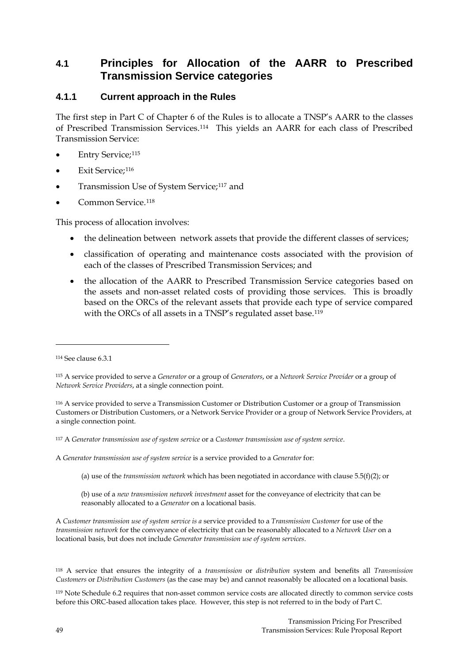# **4.1 Principles for Allocation of the AARR to Prescribed Transmission Service categories**

### **4.1.1 Current approach in the Rules**

The first step in Part C of Chapter 6 of the Rules is to allocate a TNSP's AARR to the classes of Prescribed Transmission Services.[114](#page-48-0) This yields an AARR for each class of Prescribed Transmission Service:

- **Entry Service**;<sup>[115](#page-48-1)</sup>
- Exit Service;<sup>[116](#page-48-2)</sup>
- Transmission Use of System Service;[117](#page-48-3) and
- Common Service.<sup>118</sup>

This process of allocation involves:

- the delineation between network assets that provide the different classes of services;
- classification of operating and maintenance costs associated with the provision of each of the classes of Prescribed Transmission Services; and
- the allocation of the AARR to Prescribed Transmission Service categories based on the assets and non-asset related costs of providing those services. This is broadly based on the ORCs of the relevant assets that provide each type of service compared with the ORCs of all assets in a TNSP's regulated asset base.<sup>[119](#page-48-5)</sup>

<u>.</u>

- A *Generator transmission use of system service* is a service provided to a *Generator* for:
	- (a) use of the *transmission network* which has been negotiated in accordance with clause 5.5(f)(2); or
	- (b) use of a *new transmission network investment* asset for the conveyance of electricity that can be reasonably allocated to a *Generator* on a locational basis.

A *Customer transmission use of system service is a* service provided to a *Transmission Customer* for use of the *transmission network* for the conveyance of electricity that can be reasonably allocated to a *Network User* on a locational basis, but does not include *Generator transmission use of system services*.

<span id="page-48-0"></span><sup>114</sup> See clause 6.3.1

<span id="page-48-1"></span><sup>115</sup> A service provided to serve a *Generator* or a group of *Generators*, or a *Network Service Provider* or a group of *Network Service Providers*, at a single connection point.

<span id="page-48-2"></span><sup>116</sup> A service provided to serve a Transmission Customer or Distribution Customer or a group of Transmission Customers or Distribution Customers, or a Network Service Provider or a group of Network Service Providers, at a single connection point.

<span id="page-48-3"></span><sup>117</sup> A *Generator transmission use of system service* or a *Customer transmission use of system service*.

<span id="page-48-4"></span><sup>118</sup> A service that ensures the integrity of a *transmission* or *distribution* system and benefits all *Transmission Customers* or *Distribution Customers* (as the case may be) and cannot reasonably be allocated on a locational basis.

<span id="page-48-5"></span><sup>119</sup> Note Schedule 6.2 requires that non-asset common service costs are allocated directly to common service costs before this ORC-based allocation takes place. However, this step is not referred to in the body of Part C.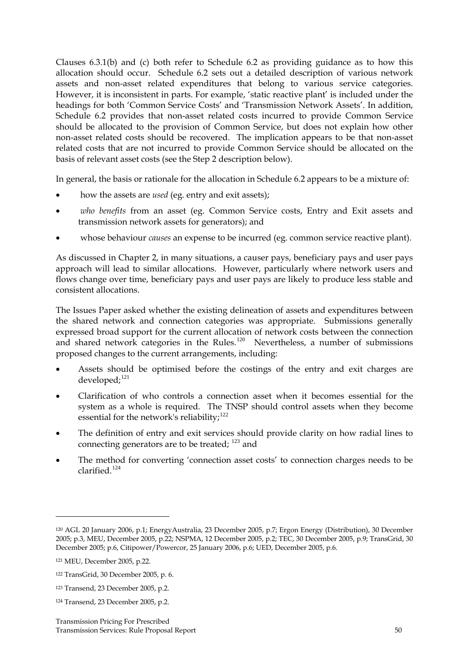Clauses 6.3.1(b) and (c) both refer to Schedule 6.2 as providing guidance as to how this allocation should occur. Schedule 6.2 sets out a detailed description of various network assets and non-asset related expenditures that belong to various service categories. However, it is inconsistent in parts. For example, 'static reactive plant' is included under the headings for both 'Common Service Costs' and 'Transmission Network Assets'. In addition, Schedule 6.2 provides that non-asset related costs incurred to provide Common Service should be allocated to the provision of Common Service, but does not explain how other non-asset related costs should be recovered. The implication appears to be that non-asset related costs that are not incurred to provide Common Service should be allocated on the basis of relevant asset costs (see the Step 2 description below).

In general, the basis or rationale for the allocation in Schedule 6.2 appears to be a mixture of:

- how the assets are *used* (eg. entry and exit assets);
- *who benefits* from an asset (eg. Common Service costs, Entry and Exit assets and transmission network assets for generators); and
- whose behaviour *causes* an expense to be incurred (eg. common service reactive plant).

As discussed in Chapter 2, in many situations, a causer pays, beneficiary pays and user pays approach will lead to similar allocations. However, particularly where network users and flows change over time, beneficiary pays and user pays are likely to produce less stable and consistent allocations.

The Issues Paper asked whether the existing delineation of assets and expenditures between the shared network and connection categories was appropriate. Submissions generally expressed broad support for the current allocation of network costs between the connection and shared network categories in the Rules.<sup>[120](#page-49-0)</sup> Nevertheless, a number of submissions proposed changes to the current arrangements, including:

- Assets should be optimised before the costings of the entry and exit charges are developed;<sup>[121](#page-49-1)</sup>
- Clarification of who controls a connection asset when it becomes essential for the system as a whole is required. The TNSP should control assets when they become essential for the network's reliability;<sup>[122](#page-49-2)</sup>
- The definition of entry and exit services should provide clarity on how radial lines to connecting generators are to be treated; <sup>[123](#page-49-3)</sup> and
- The method for converting 'connection asset costs' to connection charges needs to be  $clarified.<sup>124</sup>$  $clarified.<sup>124</sup>$  $clarified.<sup>124</sup>$

<span id="page-49-0"></span><sup>120</sup> AGL 20 January 2006, p.1; EnergyAustralia, 23 December 2005, p.7; Ergon Energy (Distribution), 30 December 2005; p.3, MEU, December 2005, p.22; NSPMA, 12 December 2005, p.2; TEC, 30 December 2005, p.9; TransGrid, 30 December 2005; p.6, Citipower/Powercor, 25 January 2006, p.6; UED, December 2005, p.6.

<span id="page-49-1"></span><sup>121</sup> MEU, December 2005, p.22.

<span id="page-49-2"></span><sup>122</sup> TransGrid, 30 December 2005, p. 6.

<span id="page-49-3"></span><sup>123</sup> Transend, 23 December 2005, p.2.

<span id="page-49-4"></span><sup>124</sup> Transend, 23 December 2005, p.2.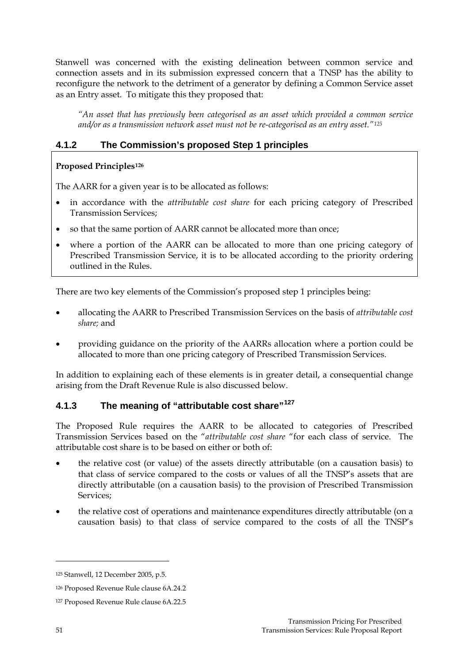Stanwell was concerned with the existing delineation between common service and connection assets and in its submission expressed concern that a TNSP has the ability to reconfigure the network to the detriment of a generator by defining a Common Service asset as an Entry asset. To mitigate this they proposed that:

*"An asset that has previously been categorised as an asset which provided a common service and/or as a transmission network asset must not be re-categorised as an entry asset."[125](#page-50-0)*

# **4.1.2 The Commission's proposed Step 1 principles**

### **Proposed Principles[126](#page-50-1)**

The AARR for a given year is to be allocated as follows:

- in accordance with the *attributable cost share* for each pricing category of Prescribed Transmission Services;
- so that the same portion of AARR cannot be allocated more than once;
- where a portion of the AARR can be allocated to more than one pricing category of Prescribed Transmission Service, it is to be allocated according to the priority ordering outlined in the Rules.

There are two key elements of the Commission's proposed step 1 principles being:

- allocating the AARR to Prescribed Transmission Services on the basis of *attributable cost share;* and
- providing guidance on the priority of the AARRs allocation where a portion could be allocated to more than one pricing category of Prescribed Transmission Services.

In addition to explaining each of these elements is in greater detail, a consequential change arising from the Draft Revenue Rule is also discussed below.

# **4.1.3 The meaning of "attributable cost share"[127](#page-50-2)**

The Proposed Rule requires the AARR to be allocated to categories of Prescribed Transmission Services based on the "*attributable cost share* "for each class of service. The attributable cost share is to be based on either or both of:

- the relative cost (or value) of the assets directly attributable (on a causation basis) to that class of service compared to the costs or values of all the TNSP's assets that are directly attributable (on a causation basis) to the provision of Prescribed Transmission Services;
- the relative cost of operations and maintenance expenditures directly attributable (on a causation basis) to that class of service compared to the costs of all the TNSP's

<span id="page-50-0"></span><sup>125</sup> Stanwell, 12 December 2005, p.5.

<span id="page-50-1"></span><sup>126</sup> Proposed Revenue Rule clause 6A.24.2

<span id="page-50-2"></span><sup>127</sup> Proposed Revenue Rule clause 6A.22.5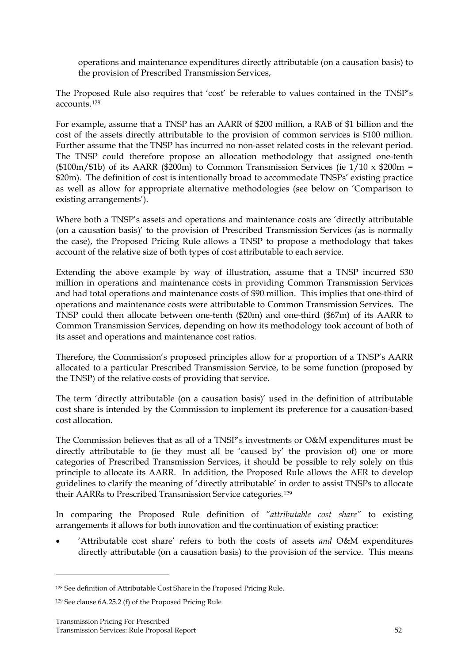operations and maintenance expenditures directly attributable (on a causation basis) to the provision of Prescribed Transmission Services,

The Proposed Rule also requires that 'cost' be referable to values contained in the TNSP's accounts.[128](#page-51-0)

For example, assume that a TNSP has an AARR of \$200 million, a RAB of \$1 billion and the cost of the assets directly attributable to the provision of common services is \$100 million. Further assume that the TNSP has incurred no non-asset related costs in the relevant period. The TNSP could therefore propose an allocation methodology that assigned one-tenth ( $$100m/$1b$ ) of its AARR ( $$200m$ ) to Common Transmission Services (ie  $1/10 \times $200m =$ \$20m). The definition of cost is intentionally broad to accommodate TNSPs' existing practice as well as allow for appropriate alternative methodologies (see below on 'Comparison to existing arrangements').

Where both a TNSP's assets and operations and maintenance costs are 'directly attributable (on a causation basis)' to the provision of Prescribed Transmission Services (as is normally the case), the Proposed Pricing Rule allows a TNSP to propose a methodology that takes account of the relative size of both types of cost attributable to each service.

Extending the above example by way of illustration, assume that a TNSP incurred \$30 million in operations and maintenance costs in providing Common Transmission Services and had total operations and maintenance costs of \$90 million. This implies that one-third of operations and maintenance costs were attributable to Common Transmission Services. The TNSP could then allocate between one-tenth (\$20m) and one-third (\$67m) of its AARR to Common Transmission Services, depending on how its methodology took account of both of its asset and operations and maintenance cost ratios.

Therefore, the Commission's proposed principles allow for a proportion of a TNSP's AARR allocated to a particular Prescribed Transmission Service, to be some function (proposed by the TNSP) of the relative costs of providing that service.

The term 'directly attributable (on a causation basis)' used in the definition of attributable cost share is intended by the Commission to implement its preference for a causation-based cost allocation.

The Commission believes that as all of a TNSP's investments or O&M expenditures must be directly attributable to (ie they must all be 'caused by' the provision of) one or more categories of Prescribed Transmission Services, it should be possible to rely solely on this principle to allocate its AARR. In addition, the Proposed Rule allows the AER to develop guidelines to clarify the meaning of 'directly attributable' in order to assist TNSPs to allocate their AARRs to Prescribed Transmission Service categories.[129](#page-51-1)

In comparing the Proposed Rule definition of *"attributable cost share"* to existing arrangements it allows for both innovation and the continuation of existing practice:

• 'Attributable cost share' refers to both the costs of assets *and* O&M expenditures directly attributable (on a causation basis) to the provision of the service. This means

<span id="page-51-0"></span><sup>128</sup> See definition of Attributable Cost Share in the Proposed Pricing Rule.

<span id="page-51-1"></span><sup>129</sup> See clause 6A.25.2 (f) of the Proposed Pricing Rule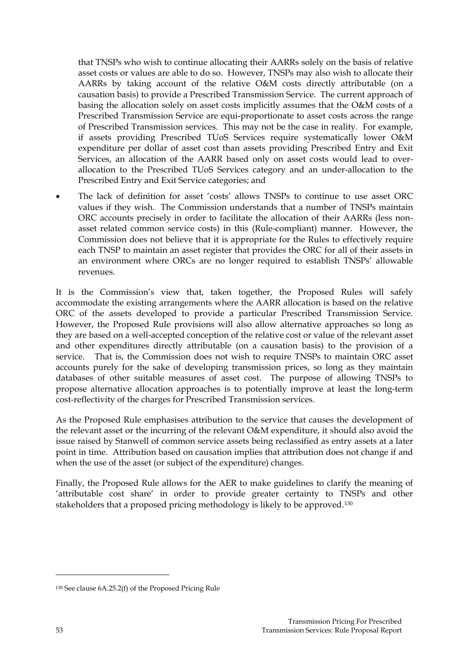that TNSPs who wish to continue allocating their AARRs solely on the basis of relative asset costs or values are able to do so. However, TNSPs may also wish to allocate their AARRs by taking account of the relative O&M costs directly attributable (on a causation basis) to provide a Prescribed Transmission Service. The current approach of basing the allocation solely on asset costs implicitly assumes that the O&M costs of a Prescribed Transmission Service are equi-proportionate to asset costs across the range of Prescribed Transmission services. This may not be the case in reality. For example, if assets providing Prescribed TUoS Services require systematically lower O&M expenditure per dollar of asset cost than assets providing Prescribed Entry and Exit Services, an allocation of the AARR based only on asset costs would lead to overallocation to the Prescribed TUoS Services category and an under-allocation to the Prescribed Entry and Exit Service categories; and

• The lack of definition for asset 'costs' allows TNSPs to continue to use asset ORC values if they wish. The Commission understands that a number of TNSPs maintain ORC accounts precisely in order to facilitate the allocation of their AARRs (less nonasset related common service costs) in this (Rule-compliant) manner. However, the Commission does not believe that it is appropriate for the Rules to effectively require each TNSP to maintain an asset register that provides the ORC for all of their assets in an environment where ORCs are no longer required to establish TNSPs' allowable revenues.

It is the Commission's view that, taken together, the Proposed Rules will safely accommodate the existing arrangements where the AARR allocation is based on the relative ORC of the assets developed to provide a particular Prescribed Transmission Service. However, the Proposed Rule provisions will also allow alternative approaches so long as they are based on a well-accepted conception of the relative cost or value of the relevant asset and other expenditures directly attributable (on a causation basis) to the provision of a service. That is, the Commission does not wish to require TNSPs to maintain ORC asset accounts purely for the sake of developing transmission prices, so long as they maintain databases of other suitable measures of asset cost. The purpose of allowing TNSPs to propose alternative allocation approaches is to potentially improve at least the long-term cost-reflectivity of the charges for Prescribed Transmission services.

As the Proposed Rule emphasises attribution to the service that causes the development of the relevant asset or the incurring of the relevant O&M expenditure, it should also avoid the issue raised by Stanwell of common service assets being reclassified as entry assets at a later point in time. Attribution based on causation implies that attribution does not change if and when the use of the asset (or subject of the expenditure) changes.

Finally, the Proposed Rule allows for the AER to make guidelines to clarify the meaning of 'attributable cost share' in order to provide greater certainty to TNSPs and other stakeholders that a proposed pricing methodology is likely to be approved.[130](#page-52-0)

<span id="page-52-0"></span><sup>130</sup> See clause 6A.25.2(f) of the Proposed Pricing Rule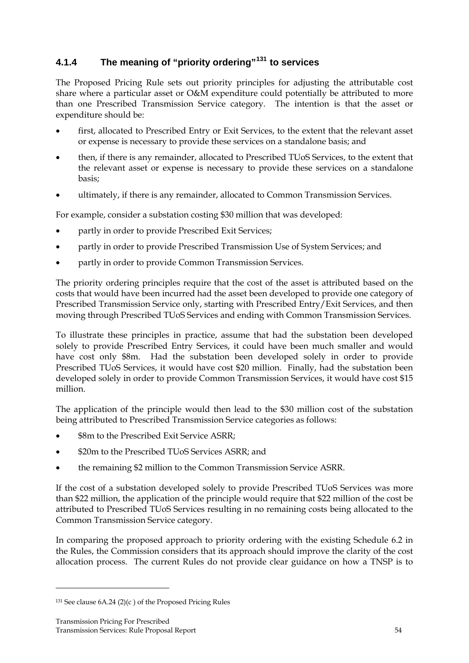# **4.1.4 The meaning of "priority ordering"[131](#page-53-0) to services**

The Proposed Pricing Rule sets out priority principles for adjusting the attributable cost share where a particular asset or O&M expenditure could potentially be attributed to more than one Prescribed Transmission Service category. The intention is that the asset or expenditure should be:

- first, allocated to Prescribed Entry or Exit Services, to the extent that the relevant asset or expense is necessary to provide these services on a standalone basis; and
- then, if there is any remainder, allocated to Prescribed TUoS Services, to the extent that the relevant asset or expense is necessary to provide these services on a standalone basis;
- ultimately, if there is any remainder, allocated to Common Transmission Services.

For example, consider a substation costing \$30 million that was developed:

- partly in order to provide Prescribed Exit Services;
- partly in order to provide Prescribed Transmission Use of System Services; and
- partly in order to provide Common Transmission Services.

The priority ordering principles require that the cost of the asset is attributed based on the costs that would have been incurred had the asset been developed to provide one category of Prescribed Transmission Service only, starting with Prescribed Entry/Exit Services, and then moving through Prescribed TUoS Services and ending with Common Transmission Services.

To illustrate these principles in practice, assume that had the substation been developed solely to provide Prescribed Entry Services, it could have been much smaller and would have cost only \$8m. Had the substation been developed solely in order to provide Prescribed TUoS Services, it would have cost \$20 million. Finally, had the substation been developed solely in order to provide Common Transmission Services, it would have cost \$15 million.

The application of the principle would then lead to the \$30 million cost of the substation being attributed to Prescribed Transmission Service categories as follows:

- \$8m to the Prescribed Exit Service ASRR:
- \$20m to the Prescribed TUoS Services ASRR; and
- the remaining \$2 million to the Common Transmission Service ASRR.

If the cost of a substation developed solely to provide Prescribed TUoS Services was more than \$22 million, the application of the principle would require that \$22 million of the cost be attributed to Prescribed TUoS Services resulting in no remaining costs being allocated to the Common Transmission Service category.

In comparing the proposed approach to priority ordering with the existing Schedule 6.2 in the Rules, the Commission considers that its approach should improve the clarity of the cost allocation process. The current Rules do not provide clear guidance on how a TNSP is to

<span id="page-53-0"></span><sup>131</sup> See clause 6A.24 (2)(c ) of the Proposed Pricing Rules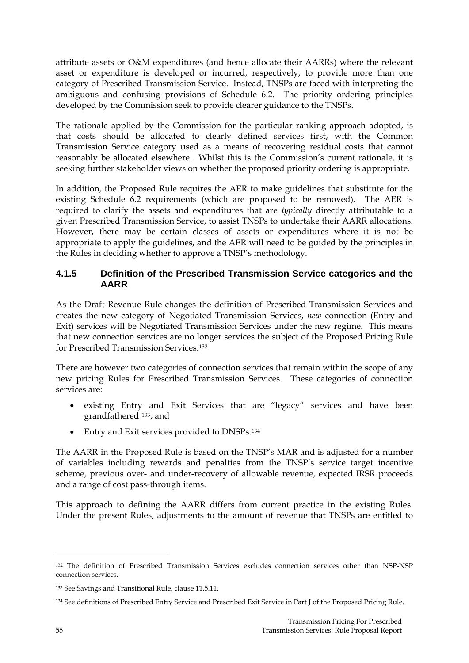attribute assets or O&M expenditures (and hence allocate their AARRs) where the relevant asset or expenditure is developed or incurred, respectively, to provide more than one category of Prescribed Transmission Service. Instead, TNSPs are faced with interpreting the ambiguous and confusing provisions of Schedule 6.2. The priority ordering principles developed by the Commission seek to provide clearer guidance to the TNSPs.

The rationale applied by the Commission for the particular ranking approach adopted, is that costs should be allocated to clearly defined services first, with the Common Transmission Service category used as a means of recovering residual costs that cannot reasonably be allocated elsewhere. Whilst this is the Commission's current rationale, it is seeking further stakeholder views on whether the proposed priority ordering is appropriate.

In addition, the Proposed Rule requires the AER to make guidelines that substitute for the existing Schedule 6.2 requirements (which are proposed to be removed). The AER is required to clarify the assets and expenditures that are *typically* directly attributable to a given Prescribed Transmission Service, to assist TNSPs to undertake their AARR allocations. However, there may be certain classes of assets or expenditures where it is not be appropriate to apply the guidelines, and the AER will need to be guided by the principles in the Rules in deciding whether to approve a TNSP's methodology.

### **4.1.5 Definition of the Prescribed Transmission Service categories and the AARR**

As the Draft Revenue Rule changes the definition of Prescribed Transmission Services and creates the new category of Negotiated Transmission Services, *new* connection (Entry and Exit) services will be Negotiated Transmission Services under the new regime. This means that new connection services are no longer services the subject of the Proposed Pricing Rule for Prescribed Transmission Services.[132](#page-54-0)

There are however two categories of connection services that remain within the scope of any new pricing Rules for Prescribed Transmission Services. These categories of connection services are:

- existing Entry and Exit Services that are "legacy" services and have been grandfathered [133](#page-54-1); and
- Entry and Exit services provided to DNSPs.<sup>[134](#page-54-2)</sup>

The AARR in the Proposed Rule is based on the TNSP's MAR and is adjusted for a number of variables including rewards and penalties from the TNSP's service target incentive scheme, previous over- and under-recovery of allowable revenue, expected IRSR proceeds and a range of cost pass-through items.

This approach to defining the AARR differs from current practice in the existing Rules. Under the present Rules, adjustments to the amount of revenue that TNSPs are entitled to

-

<span id="page-54-0"></span><sup>132</sup> The definition of Prescribed Transmission Services excludes connection services other than NSP-NSP connection services.

<span id="page-54-1"></span><sup>133</sup> See Savings and Transitional Rule, clause 11.5.11.

<span id="page-54-2"></span><sup>134</sup> See definitions of Prescribed Entry Service and Prescribed Exit Service in Part J of the Proposed Pricing Rule.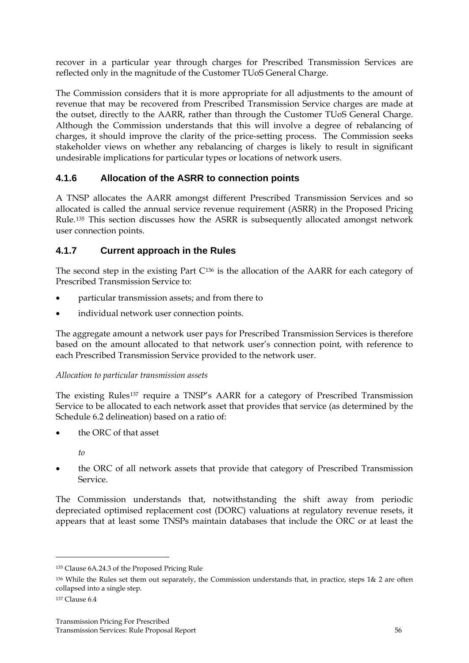recover in a particular year through charges for Prescribed Transmission Services are reflected only in the magnitude of the Customer TUoS General Charge.

The Commission considers that it is more appropriate for all adjustments to the amount of revenue that may be recovered from Prescribed Transmission Service charges are made at the outset, directly to the AARR, rather than through the Customer TUoS General Charge. Although the Commission understands that this will involve a degree of rebalancing of charges, it should improve the clarity of the price-setting process. The Commission seeks stakeholder views on whether any rebalancing of charges is likely to result in significant undesirable implications for particular types or locations of network users.

## **4.1.6 Allocation of the ASRR to connection points**

A TNSP allocates the AARR amongst different Prescribed Transmission Services and so allocated is called the annual service revenue requirement (ASRR) in the Proposed Pricing Rule.[135](#page-55-0) This section discusses how the ASRR is subsequently allocated amongst network user connection points.

## **4.1.7 Current approach in the Rules**

The second step in the existing Part C[136](#page-55-1) is the allocation of the AARR for each category of Prescribed Transmission Service to:

- particular transmission assets; and from there to
- individual network user connection points.

The aggregate amount a network user pays for Prescribed Transmission Services is therefore based on the amount allocated to that network user's connection point, with reference to each Prescribed Transmission Service provided to the network user.

### *Allocation to particular transmission assets*

The existing Rules<sup>[137](#page-55-2)</sup> require a TNSP's AARR for a category of Prescribed Transmission Service to be allocated to each network asset that provides that service (as determined by the Schedule 6.2 delineation) based on a ratio of:

• the ORC of that asset

*to* 

• the ORC of all network assets that provide that category of Prescribed Transmission Service.

The Commission understands that, notwithstanding the shift away from periodic depreciated optimised replacement cost (DORC) valuations at regulatory revenue resets, it appears that at least some TNSPs maintain databases that include the ORC or at least the

-

<span id="page-55-0"></span><sup>135</sup> Clause 6A.24.3 of the Proposed Pricing Rule

<span id="page-55-1"></span><sup>136</sup> While the Rules set them out separately, the Commission understands that, in practice, steps 1& 2 are often collapsed into a single step.

<span id="page-55-2"></span><sup>137</sup> Clause 6.4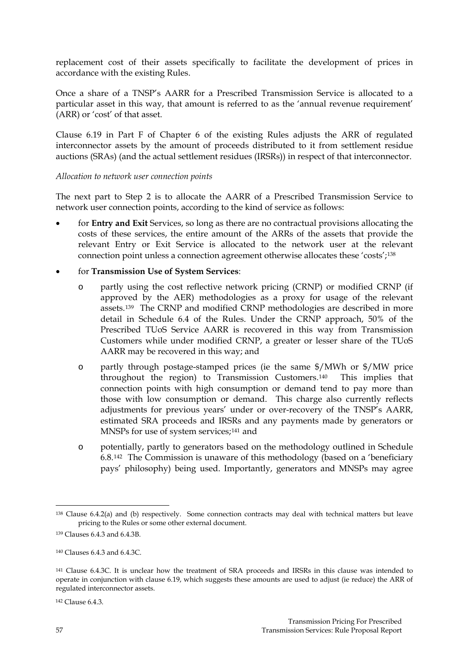replacement cost of their assets specifically to facilitate the development of prices in accordance with the existing Rules.

Once a share of a TNSP's AARR for a Prescribed Transmission Service is allocated to a particular asset in this way, that amount is referred to as the 'annual revenue requirement' (ARR) or 'cost' of that asset.

Clause 6.19 in Part F of Chapter 6 of the existing Rules adjusts the ARR of regulated interconnector assets by the amount of proceeds distributed to it from settlement residue auctions (SRAs) (and the actual settlement residues (IRSRs)) in respect of that interconnector.

#### *Allocation to network user connection points*

The next part to Step 2 is to allocate the AARR of a Prescribed Transmission Service to network user connection points, according to the kind of service as follows:

- for **Entry and Exit** Services, so long as there are no contractual provisions allocating the costs of these services, the entire amount of the ARRs of the assets that provide the relevant Entry or Exit Service is allocated to the network user at the relevant connection point unless a connection agreement otherwise allocates these 'costs';[138](#page-56-0)
- for **Transmission Use of System Services**:
	- o partly using the cost reflective network pricing (CRNP) or modified CRNP (if approved by the AER) methodologies as a proxy for usage of the relevant assets.[139](#page-56-1) The CRNP and modified CRNP methodologies are described in more detail in Schedule 6.4 of the Rules. Under the CRNP approach, 50% of the Prescribed TUoS Service AARR is recovered in this way from Transmission Customers while under modified CRNP, a greater or lesser share of the TUoS AARR may be recovered in this way; and
	- o partly through postage-stamped prices (ie the same \$/MWh or \$/MW price throughout the region) to Transmission Customers.[140](#page-56-2) This implies that connection points with high consumption or demand tend to pay more than those with low consumption or demand. This charge also currently reflects adjustments for previous years' under or over-recovery of the TNSP's AARR, estimated SRA proceeds and IRSRs and any payments made by generators or MNSPs for use of system services;[141](#page-56-3) and
	- o potentially, partly to generators based on the methodology outlined in Schedule 6.8.[142](#page-56-4) The Commission is unaware of this methodology (based on a 'beneficiary pays' philosophy) being used. Importantly, generators and MNSPs may agree

<span id="page-56-0"></span><sup>138</sup> Clause 6.4.2(a) and (b) respectively. Some connection contracts may deal with technical matters but leave pricing to the Rules or some other external document.

<span id="page-56-1"></span><sup>139</sup> Clauses 6.4.3 and 6.4.3B.

<span id="page-56-2"></span><sup>140</sup> Clauses 6.4.3 and 6.4.3C.

<span id="page-56-4"></span><span id="page-56-3"></span><sup>141</sup> Clause 6.4.3C. It is unclear how the treatment of SRA proceeds and IRSRs in this clause was intended to operate in conjunction with clause 6.19, which suggests these amounts are used to adjust (ie reduce) the ARR of regulated interconnector assets.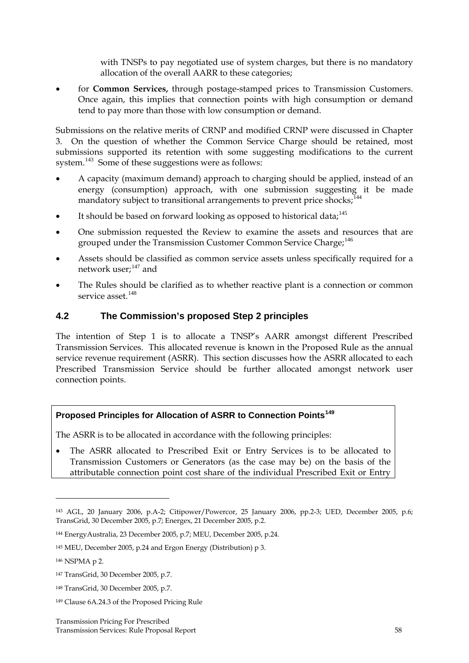with TNSPs to pay negotiated use of system charges, but there is no mandatory allocation of the overall AARR to these categories;

• for **Common Services,** through postage-stamped prices to Transmission Customers. Once again, this implies that connection points with high consumption or demand tend to pay more than those with low consumption or demand.

Submissions on the relative merits of CRNP and modified CRNP were discussed in Chapter 3. On the question of whether the Common Service Charge should be retained, most submissions supported its retention with some suggesting modifications to the current system.<sup>[143](#page-57-0)</sup> Some of these suggestions were as follows:

- A capacity (maximum demand) approach to charging should be applied, instead of an energy (consumption) approach, with one submission suggesting it be made mandatory subject to transitional arrangements to prevent price  $\text{shocks}_i$ <sup>1</sup>
- It should be based on forward looking as opposed to historical data;  $145$
- One submission requested the Review to examine the assets and resources that are grouped under the Transmission Customer Common Service Charge;<sup>[146](#page-57-3)</sup>
- Assets should be classified as common service assets unless specifically required for a network user: $147$  and
- The Rules should be clarified as to whether reactive plant is a connection or common service asset.<sup>[148](#page-57-5)</sup>

### **4.2 The Commission's proposed Step 2 principles**

The intention of Step 1 is to allocate a TNSP's AARR amongst different Prescribed Transmission Services. This allocated revenue is known in the Proposed Rule as the annual service revenue requirement (ASRR). This section discusses how the ASRR allocated to each Prescribed Transmission Service should be further allocated amongst network user connection points.

# **Proposed Principles for Allocation of ASRR to Connection Points[149](#page-57-6)**

The ASRR is to be allocated in accordance with the following principles:

The ASRR allocated to Prescribed Exit or Entry Services is to be allocated to Transmission Customers or Generators (as the case may be) on the basis of the attributable connection point cost share of the individual Prescribed Exit or Entry

<span id="page-57-0"></span><sup>143</sup> AGL, 20 January 2006, p.A-2; Citipower/Powercor, 25 January 2006, pp.2-3; UED, December 2005, p.6; TransGrid, 30 December 2005, p.7; Energex, 21 December 2005, p.2.

<span id="page-57-1"></span><sup>144</sup> EnergyAustralia, 23 December 2005, p.7; MEU, December 2005, p.24.

<span id="page-57-2"></span><sup>145</sup> MEU, December 2005, p.24 and Ergon Energy (Distribution) p 3.

<span id="page-57-3"></span><sup>146</sup> NSPMA p 2.

<span id="page-57-4"></span><sup>147</sup> TransGrid, 30 December 2005, p.7.

<span id="page-57-5"></span><sup>148</sup> TransGrid, 30 December 2005, p.7.

<span id="page-57-6"></span><sup>149</sup> Clause 6A.24.3 of the Proposed Pricing Rule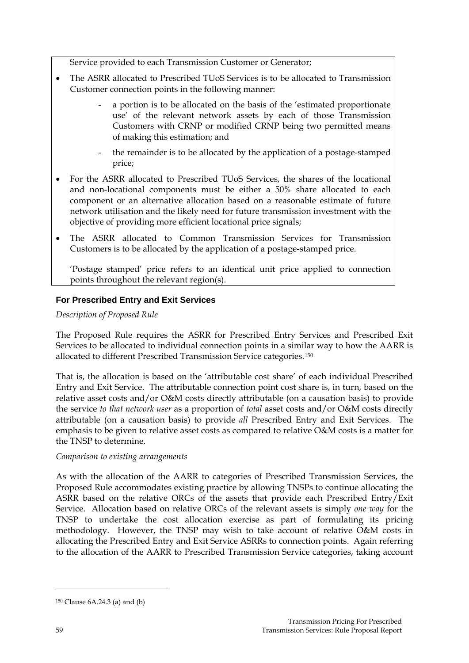Service provided to each Transmission Customer or Generator;

- The ASRR allocated to Prescribed TUoS Services is to be allocated to Transmission Customer connection points in the following manner:
	- a portion is to be allocated on the basis of the 'estimated proportionate use' of the relevant network assets by each of those Transmission Customers with CRNP or modified CRNP being two permitted means of making this estimation; and
	- the remainder is to be allocated by the application of a postage-stamped price;
- For the ASRR allocated to Prescribed TUoS Services, the shares of the locational and non-locational components must be either a 50% share allocated to each component or an alternative allocation based on a reasonable estimate of future network utilisation and the likely need for future transmission investment with the objective of providing more efficient locational price signals;
- The ASRR allocated to Common Transmission Services for Transmission Customers is to be allocated by the application of a postage-stamped price.

'Postage stamped' price refers to an identical unit price applied to connection points throughout the relevant region(s).

## **For Prescribed Entry and Exit Services**

### *Description of Proposed Rule*

The Proposed Rule requires the ASRR for Prescribed Entry Services and Prescribed Exit Services to be allocated to individual connection points in a similar way to how the AARR is allocated to different Prescribed Transmission Service categories.[150](#page-58-0)

That is, the allocation is based on the 'attributable cost share' of each individual Prescribed Entry and Exit Service. The attributable connection point cost share is, in turn, based on the relative asset costs and/or O&M costs directly attributable (on a causation basis) to provide the service *to that network user* as a proportion of *total* asset costs and/or O&M costs directly attributable (on a causation basis) to provide *all* Prescribed Entry and Exit Services. The emphasis to be given to relative asset costs as compared to relative O&M costs is a matter for the TNSP to determine.

### *Comparison to existing arrangements*

As with the allocation of the AARR to categories of Prescribed Transmission Services, the Proposed Rule accommodates existing practice by allowing TNSPs to continue allocating the ASRR based on the relative ORCs of the assets that provide each Prescribed Entry/Exit Service. Allocation based on relative ORCs of the relevant assets is simply *one way* for the TNSP to undertake the cost allocation exercise as part of formulating its pricing methodology. However, the TNSP may wish to take account of relative O&M costs in allocating the Prescribed Entry and Exit Service ASRRs to connection points. Again referring to the allocation of the AARR to Prescribed Transmission Service categories, taking account

<span id="page-58-0"></span><sup>150</sup> Clause 6A.24.3 (a) and (b)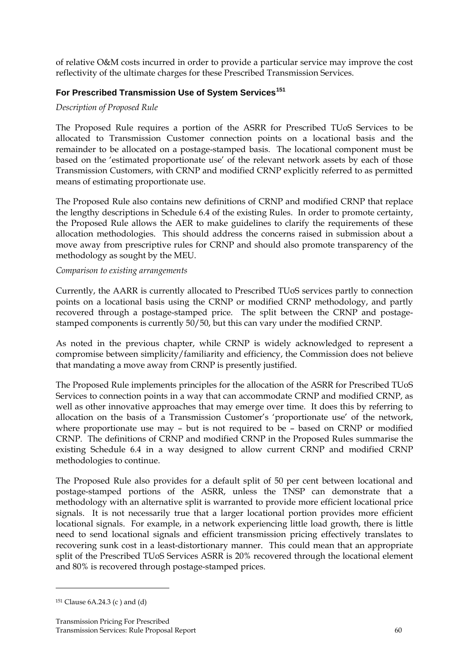of relative O&M costs incurred in order to provide a particular service may improve the cost reflectivity of the ultimate charges for these Prescribed Transmission Services.

### **For Prescribed Transmission Use of System Services[151](#page-59-0)**

#### *Description of Proposed Rule*

The Proposed Rule requires a portion of the ASRR for Prescribed TUoS Services to be allocated to Transmission Customer connection points on a locational basis and the remainder to be allocated on a postage-stamped basis. The locational component must be based on the 'estimated proportionate use' of the relevant network assets by each of those Transmission Customers, with CRNP and modified CRNP explicitly referred to as permitted means of estimating proportionate use.

The Proposed Rule also contains new definitions of CRNP and modified CRNP that replace the lengthy descriptions in Schedule 6.4 of the existing Rules. In order to promote certainty, the Proposed Rule allows the AER to make guidelines to clarify the requirements of these allocation methodologies. This should address the concerns raised in submission about a move away from prescriptive rules for CRNP and should also promote transparency of the methodology as sought by the MEU.

#### *Comparison to existing arrangements*

Currently, the AARR is currently allocated to Prescribed TUoS services partly to connection points on a locational basis using the CRNP or modified CRNP methodology, and partly recovered through a postage-stamped price. The split between the CRNP and postagestamped components is currently 50/50, but this can vary under the modified CRNP.

As noted in the previous chapter, while CRNP is widely acknowledged to represent a compromise between simplicity/familiarity and efficiency, the Commission does not believe that mandating a move away from CRNP is presently justified.

The Proposed Rule implements principles for the allocation of the ASRR for Prescribed TUoS Services to connection points in a way that can accommodate CRNP and modified CRNP, as well as other innovative approaches that may emerge over time. It does this by referring to allocation on the basis of a Transmission Customer's 'proportionate use' of the network, where proportionate use may – but is not required to be – based on CRNP or modified CRNP. The definitions of CRNP and modified CRNP in the Proposed Rules summarise the existing Schedule 6.4 in a way designed to allow current CRNP and modified CRNP methodologies to continue.

The Proposed Rule also provides for a default split of 50 per cent between locational and postage-stamped portions of the ASRR, unless the TNSP can demonstrate that a methodology with an alternative split is warranted to provide more efficient locational price signals. It is not necessarily true that a larger locational portion provides more efficient locational signals. For example, in a network experiencing little load growth, there is little need to send locational signals and efficient transmission pricing effectively translates to recovering sunk cost in a least-distortionary manner. This could mean that an appropriate split of the Prescribed TUoS Services ASRR is 20% recovered through the locational element and 80% is recovered through postage-stamped prices.

<span id="page-59-0"></span><sup>151</sup> Clause 6A.24.3 (c ) and (d)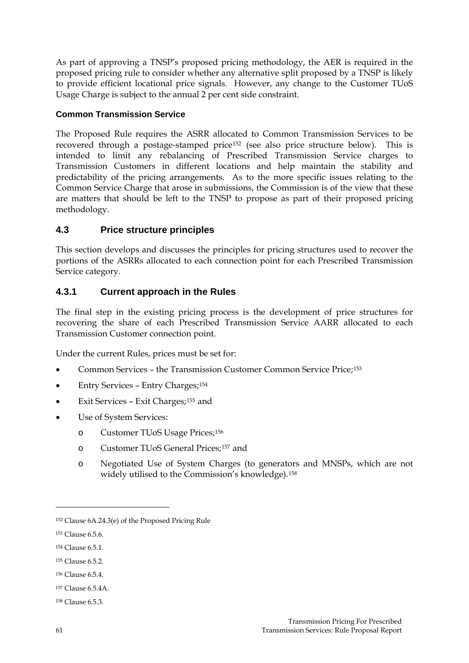As part of approving a TNSP's proposed pricing methodology, the AER is required in the proposed pricing rule to consider whether any alternative split proposed by a TNSP is likely to provide efficient locational price signals. However, any change to the Customer TUoS Usage Charge is subject to the annual 2 per cent side constraint.

### **Common Transmission Service**

The Proposed Rule requires the ASRR allocated to Common Transmission Services to be recovered through a postage-stamped price[152](#page-60-0) (see also price structure below). This is intended to limit any rebalancing of Prescribed Transmission Service charges to Transmission Customers in different locations and help maintain the stability and predictability of the pricing arrangements. As to the more specific issues relating to the Common Service Charge that arose in submissions, the Commission is of the view that these are matters that should be left to the TNSP to propose as part of their proposed pricing methodology.

### **4.3 Price structure principles**

This section develops and discusses the principles for pricing structures used to recover the portions of the ASRRs allocated to each connection point for each Prescribed Transmission Service category.

### **4.3.1 Current approach in the Rules**

The final step in the existing pricing process is the development of price structures for recovering the share of each Prescribed Transmission Service AARR allocated to each Transmission Customer connection point.

Under the current Rules, prices must be set for:

- Common Services the Transmission Customer Common Service Price;[153](#page-60-1)
- Entry Services Entry Charges;<sup>[154](#page-60-2)</sup>
- Exit Services Exit Charges;<sup>[155](#page-60-3)</sup> and
- Use of System Services:
	- o Customer TUoS Usage Prices;[156](#page-60-4)
	- o Customer TUoS General Prices;[157](#page-60-5) and
	- o Negotiated Use of System Charges (to generators and MNSPs, which are not widely utilised to the Commission's knowledge).[158](#page-60-6)

<span id="page-60-0"></span><sup>152</sup> Clause 6A.24.3(e) of the Proposed Pricing Rule

<span id="page-60-1"></span><sup>153</sup> Clause 6.5.6.

<span id="page-60-2"></span><sup>154</sup> Clause 6.5.1.

<span id="page-60-3"></span><sup>155</sup> Clause 6.5.2.

<span id="page-60-4"></span><sup>156</sup> Clause 6.5.4.

<span id="page-60-5"></span><sup>157</sup> Clause 6.5.4A.

<span id="page-60-6"></span><sup>158</sup> Clause 6.5.3.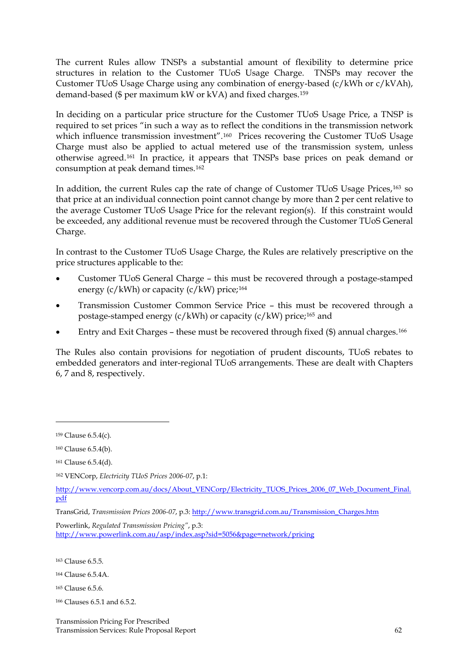The current Rules allow TNSPs a substantial amount of flexibility to determine price structures in relation to the Customer TUoS Usage Charge. TNSPs may recover the Customer TUoS Usage Charge using any combination of energy-based (c/kWh or c/kVAh), demand-based (\$ per maximum kW or kVA) and fixed charges.[159](#page-61-0)

In deciding on a particular price structure for the Customer TUoS Usage Price, a TNSP is required to set prices "in such a way as to reflect the conditions in the transmission network which influence transmission investment".<sup>[160](#page-61-1)</sup> Prices recovering the Customer TUoS Usage Charge must also be applied to actual metered use of the transmission system, unless otherwise agreed.[161](#page-61-2) In practice, it appears that TNSPs base prices on peak demand or consumption at peak demand times.[162](#page-61-3)

In addition, the current Rules cap the rate of change of Customer TUoS Usage Prices,[163](#page-61-4) so that price at an individual connection point cannot change by more than 2 per cent relative to the average Customer TUoS Usage Price for the relevant region(s). If this constraint would be exceeded, any additional revenue must be recovered through the Customer TUoS General Charge.

In contrast to the Customer TUoS Usage Charge, the Rules are relatively prescriptive on the price structures applicable to the:

- Customer TUoS General Charge this must be recovered through a postage-stamped energy (c/kWh) or capacity (c/kW) price; $164$
- Transmission Customer Common Service Price this must be recovered through a postage-stamped energy  $(c/kWh)$  or capacity  $(c/kW)$  price;<sup>[165](#page-61-6)</sup> and
- Entry and Exit Charges these must be recovered through fixed (\$) annual charges.<sup>[166](#page-61-7)</sup>

The Rules also contain provisions for negotiation of prudent discounts, TUoS rebates to embedded generators and inter-regional TUoS arrangements. These are dealt with Chapters 6, 7 and 8, respectively.

<u>.</u>

Powerlink, *Regulated Transmission Pricing"*, p.3: <http://www.powerlink.com.au/asp/index.asp?sid=5056&page=network/pricing>

<span id="page-61-4"></span>163 Clause 6.5.5.

- <span id="page-61-5"></span>164 Clause 6.5.4A.
- <span id="page-61-6"></span>165 Clause 6.5.6.
- <span id="page-61-7"></span>166 Clauses 6.5.1 and 6.5.2.

<span id="page-61-0"></span><sup>159</sup> Clause 6.5.4(c).

<span id="page-61-1"></span><sup>160</sup> Clause 6.5.4(b).

<span id="page-61-2"></span><sup>161</sup> Clause 6.5.4(d).

<span id="page-61-3"></span><sup>162</sup> VENCorp, *Electricity TUoS Prices 2006-07*, p.1:

[http://www.vencorp.com.au/docs/About\\_VENCorp/Electricity\\_TUOS\\_Prices\\_2006\\_07\\_Web\\_Document\\_Final.](http://www.vencorp.com.au/docs/About_VENCorp/Electricity_TUOS_Prices_2006_07_Web_Document_Final.pdf) [pdf](http://www.vencorp.com.au/docs/About_VENCorp/Electricity_TUOS_Prices_2006_07_Web_Document_Final.pdf)

TransGrid, *Transmission Prices 2006-07*, p.3: [http://www.transgrid.com.au/Transmission\\_Charges.htm](http://www.transgrid.com.au/Transmission_Charges.htm)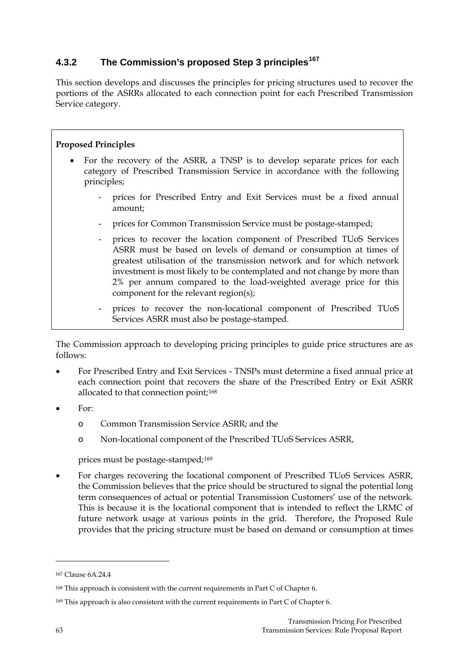# **4.3.2 The Commission's proposed Step 3 principles[167](#page-62-0)**

This section develops and discusses the principles for pricing structures used to recover the portions of the ASRRs allocated to each connection point for each Prescribed Transmission Service category.

### **Proposed Principles**

- For the recovery of the ASRR, a TNSP is to develop separate prices for each category of Prescribed Transmission Service in accordance with the following principles;
	- prices for Prescribed Entry and Exit Services must be a fixed annual amount;
	- prices for Common Transmission Service must be postage-stamped;
	- prices to recover the location component of Prescribed TUoS Services ASRR must be based on levels of demand or consumption at times of greatest utilisation of the transmission network and for which network investment is most likely to be contemplated and not change by more than 2% per annum compared to the load-weighted average price for this component for the relevant region(s);
	- prices to recover the non-locational component of Prescribed TUoS Services ASRR must also be postage-stamped.

The Commission approach to developing pricing principles to guide price structures are as follows:

- For Prescribed Entry and Exit Services TNSPs must determine a fixed annual price at each connection point that recovers the share of the Prescribed Entry or Exit ASRR allocated to that connection point;[168](#page-62-1)
- For:
	- o Common Transmission Service ASRR; and the
	- o Non-locational component of the Prescribed TUoS Services ASRR,

prices must be postage-stamped;[169](#page-62-2)

• For charges recovering the locational component of Prescribed TUoS Services ASRR, the Commission believes that the price should be structured to signal the potential long term consequences of actual or potential Transmission Customers' use of the network. This is because it is the locational component that is intended to reflect the LRMC of future network usage at various points in the grid. Therefore, the Proposed Rule provides that the pricing structure must be based on demand or consumption at times

<span id="page-62-0"></span><sup>167</sup> Clause 6A.24.4

<span id="page-62-1"></span><sup>168</sup> This approach is consistent with the current requirements in Part C of Chapter 6.

<span id="page-62-2"></span><sup>&</sup>lt;sup>169</sup> This approach is also consistent with the current requirements in Part C of Chapter 6.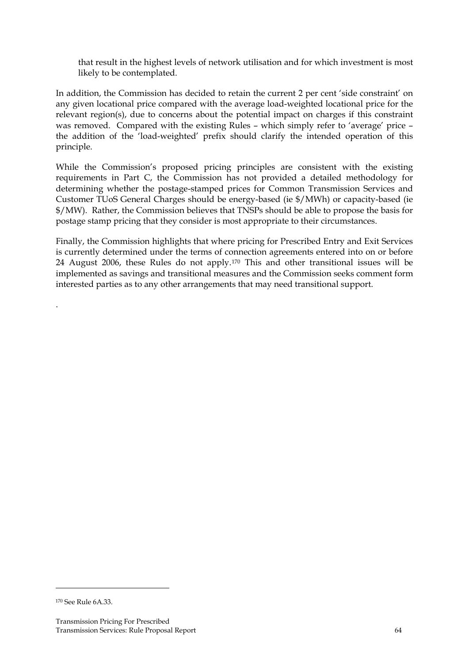that result in the highest levels of network utilisation and for which investment is most likely to be contemplated.

In addition, the Commission has decided to retain the current 2 per cent 'side constraint' on any given locational price compared with the average load-weighted locational price for the relevant region(s), due to concerns about the potential impact on charges if this constraint was removed. Compared with the existing Rules – which simply refer to 'average' price – the addition of the 'load-weighted' prefix should clarify the intended operation of this principle.

While the Commission's proposed pricing principles are consistent with the existing requirements in Part C, the Commission has not provided a detailed methodology for determining whether the postage-stamped prices for Common Transmission Services and Customer TUoS General Charges should be energy-based (ie \$/MWh) or capacity-based (ie \$/MW). Rather, the Commission believes that TNSPs should be able to propose the basis for postage stamp pricing that they consider is most appropriate to their circumstances.

Finally, the Commission highlights that where pricing for Prescribed Entry and Exit Services is currently determined under the terms of connection agreements entered into on or before 24 August 2006, these Rules do not apply.[170](#page-63-0) This and other transitional issues will be implemented as savings and transitional measures and the Commission seeks comment form interested parties as to any other arrangements that may need transitional support.

<u>.</u>

.

<span id="page-63-0"></span><sup>170</sup> See Rule 6A.33.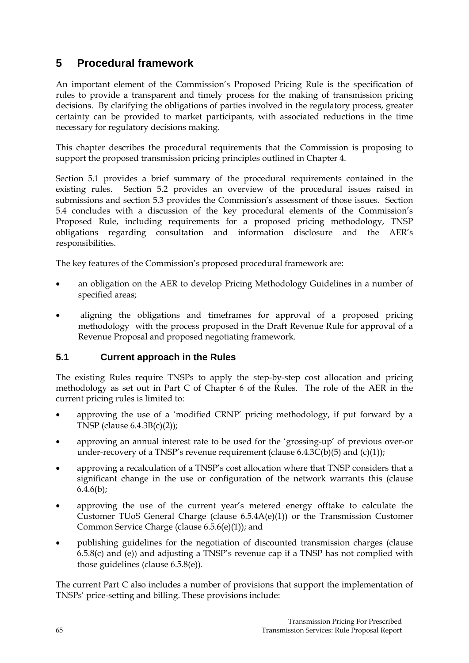# **5 Procedural framework**

An important element of the Commission's Proposed Pricing Rule is the specification of rules to provide a transparent and timely process for the making of transmission pricing decisions. By clarifying the obligations of parties involved in the regulatory process, greater certainty can be provided to market participants, with associated reductions in the time necessary for regulatory decisions making.

This chapter describes the procedural requirements that the Commission is proposing to support the proposed transmission pricing principles outlined in Chapter 4.

Section 5.1 provides a brief summary of the procedural requirements contained in the existing rules. Section 5.2 provides an overview of the procedural issues raised in submissions and section 5.3 provides the Commission's assessment of those issues. Section 5.4 concludes with a discussion of the key procedural elements of the Commission's Proposed Rule, including requirements for a proposed pricing methodology, TNSP obligations regarding consultation and information disclosure and the AER's responsibilities.

The key features of the Commission's proposed procedural framework are:

- an obligation on the AER to develop Pricing Methodology Guidelines in a number of specified areas;
- aligning the obligations and timeframes for approval of a proposed pricing methodology with the process proposed in the Draft Revenue Rule for approval of a Revenue Proposal and proposed negotiating framework.

## **5.1 Current approach in the Rules**

The existing Rules require TNSPs to apply the step-by-step cost allocation and pricing methodology as set out in Part C of Chapter 6 of the Rules. The role of the AER in the current pricing rules is limited to:

- approving the use of a 'modified CRNP' pricing methodology, if put forward by a TNSP (clause 6.4.3B(c)(2));
- approving an annual interest rate to be used for the 'grossing-up' of previous over-or under-recovery of a TNSP's revenue requirement (clause  $6.4.3C(b)(5)$  and  $(c)(1)$ );
- approving a recalculation of a TNSP's cost allocation where that TNSP considers that a significant change in the use or configuration of the network warrants this (clause  $6.4.6(b);$
- approving the use of the current year's metered energy offtake to calculate the Customer TUoS General Charge (clause 6.5.4A(e)(1)) or the Transmission Customer Common Service Charge (clause 6.5.6(e)(1)); and
- publishing guidelines for the negotiation of discounted transmission charges (clause 6.5.8(c) and (e)) and adjusting a TNSP's revenue cap if a TNSP has not complied with those guidelines (clause 6.5.8(e)).

The current Part C also includes a number of provisions that support the implementation of TNSPs' price-setting and billing. These provisions include: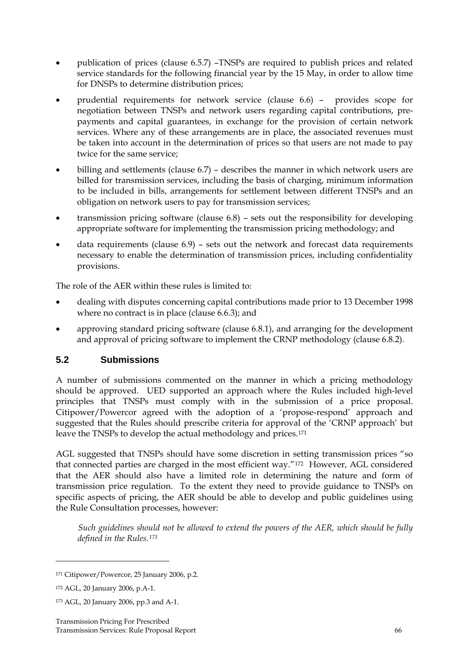- publication of prices (clause 6.5.7) –TNSPs are required to publish prices and related service standards for the following financial year by the 15 May, in order to allow time for DNSPs to determine distribution prices;
- prudential requirements for network service (clause 6.6) provides scope for negotiation between TNSPs and network users regarding capital contributions, prepayments and capital guarantees, in exchange for the provision of certain network services. Where any of these arrangements are in place, the associated revenues must be taken into account in the determination of prices so that users are not made to pay twice for the same service;
- billing and settlements (clause 6.7) describes the manner in which network users are billed for transmission services, including the basis of charging, minimum information to be included in bills, arrangements for settlement between different TNSPs and an obligation on network users to pay for transmission services;
- transmission pricing software (clause 6.8) sets out the responsibility for developing appropriate software for implementing the transmission pricing methodology; and
- data requirements (clause 6.9) sets out the network and forecast data requirements necessary to enable the determination of transmission prices, including confidentiality provisions.

The role of the AER within these rules is limited to:

- dealing with disputes concerning capital contributions made prior to 13 December 1998 where no contract is in place (clause 6.6.3); and
- approving standard pricing software (clause 6.8.1), and arranging for the development and approval of pricing software to implement the CRNP methodology (clause 6.8.2).

### **5.2 Submissions**

A number of submissions commented on the manner in which a pricing methodology should be approved. UED supported an approach where the Rules included high-level principles that TNSPs must comply with in the submission of a price proposal. Citipower/Powercor agreed with the adoption of a 'propose-respond' approach and suggested that the Rules should prescribe criteria for approval of the 'CRNP approach' but leave the TNSPs to develop the actual methodology and prices.[171](#page-65-0)

AGL suggested that TNSPs should have some discretion in setting transmission prices "so that connected parties are charged in the most efficient way."[172](#page-65-1) However, AGL considered that the AER should also have a limited role in determining the nature and form of transmission price regulation. To the extent they need to provide guidance to TNSPs on specific aspects of pricing, the AER should be able to develop and public guidelines using the Rule Consultation processes, however:

*Such guidelines should not be allowed to extend the powers of the AER, which should be fully defined in the Rules.[173](#page-65-2)*

<span id="page-65-0"></span><sup>171</sup> Citipower/Powercor, 25 January 2006, p.2.

<span id="page-65-1"></span><sup>172</sup> AGL, 20 January 2006, p.A-1.

<span id="page-65-2"></span><sup>173</sup> AGL, 20 January 2006, pp.3 and A-1.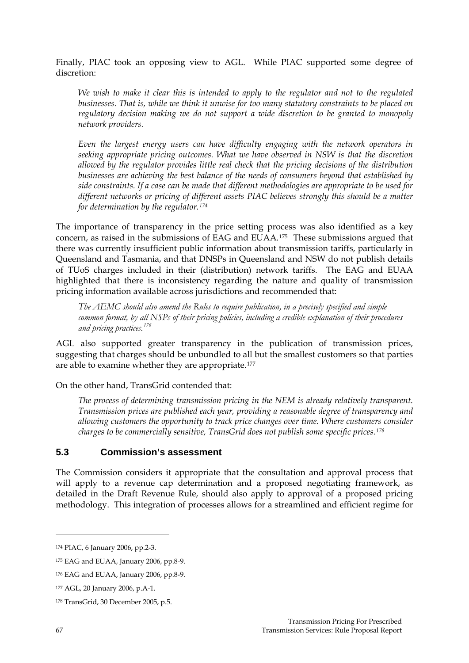Finally, PIAC took an opposing view to AGL. While PIAC supported some degree of discretion:

*We wish to make it clear this is intended to apply to the regulator and not to the regulated businesses. That is, while we think it unwise for too many statutory constraints to be placed on regulatory decision making we do not support a wide discretion to be granted to monopoly network providers.* 

*Even the largest energy users can have difficulty engaging with the network operators in seeking appropriate pricing outcomes. What we have observed in NSW is that the discretion allowed by the regulator provides little real check that the pricing decisions of the distribution businesses are achieving the best balance of the needs of consumers beyond that established by side constraints. If a case can be made that different methodologies are appropriate to be used for different networks or pricing of different assets PIAC believes strongly this should be a matter for determination by the regulator.[174](#page-66-0)*

The importance of transparency in the price setting process was also identified as a key concern, as raised in the submissions of EAG and EUAA.[175](#page-66-1) These submissions argued that there was currently insufficient public information about transmission tariffs, particularly in Queensland and Tasmania, and that DNSPs in Queensland and NSW do not publish details of TUoS charges included in their (distribution) network tariffs. The EAG and EUAA highlighted that there is inconsistency regarding the nature and quality of transmission pricing information available across jurisdictions and recommended that:

*The AEMC should also amend the Rules to require publication, in a precisely specified and simple common format, by all NSPs of their pricing policies, including a credible explanation of their procedures and pricing practices.[176](#page-66-2)*

AGL also supported greater transparency in the publication of transmission prices, suggesting that charges should be unbundled to all but the smallest customers so that parties are able to examine whether they are appropriate.[177](#page-66-3)

On the other hand, TransGrid contended that:

*The process of determining transmission pricing in the NEM is already relatively transparent. Transmission prices are published each year, providing a reasonable degree of transparency and allowing customers the opportunity to track price changes over time. Where customers consider charges to be commercially sensitive, TransGrid does not publish some specific prices.[178](#page-66-4)*

### **5.3 Commission's assessment**

The Commission considers it appropriate that the consultation and approval process that will apply to a revenue cap determination and a proposed negotiating framework, as detailed in the Draft Revenue Rule, should also apply to approval of a proposed pricing methodology. This integration of processes allows for a streamlined and efficient regime for

-

<span id="page-66-0"></span><sup>174</sup> PIAC, 6 January 2006, pp.2-3.

<span id="page-66-1"></span><sup>175</sup> EAG and EUAA, January 2006, pp.8-9.

<span id="page-66-2"></span><sup>176</sup> EAG and EUAA, January 2006, pp.8-9.

<span id="page-66-3"></span><sup>177</sup> AGL, 20 January 2006, p.A-1.

<span id="page-66-4"></span><sup>178</sup> TransGrid, 30 December 2005, p.5.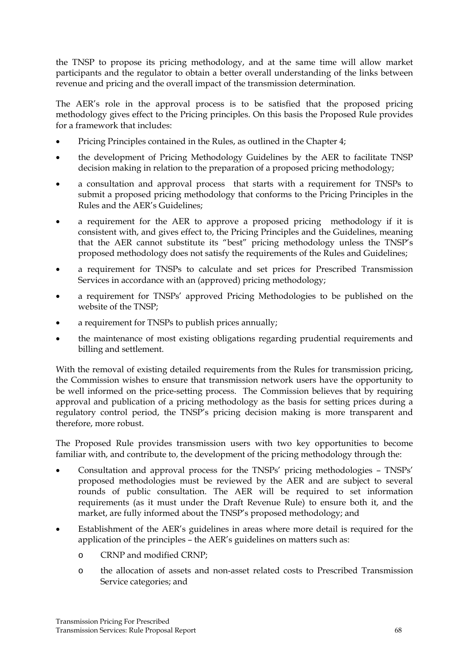the TNSP to propose its pricing methodology, and at the same time will allow market participants and the regulator to obtain a better overall understanding of the links between revenue and pricing and the overall impact of the transmission determination.

The AER's role in the approval process is to be satisfied that the proposed pricing methodology gives effect to the Pricing principles. On this basis the Proposed Rule provides for a framework that includes:

- Pricing Principles contained in the Rules, as outlined in the Chapter 4;
- the development of Pricing Methodology Guidelines by the AER to facilitate TNSP decision making in relation to the preparation of a proposed pricing methodology;
- a consultation and approval process that starts with a requirement for TNSPs to submit a proposed pricing methodology that conforms to the Pricing Principles in the Rules and the AER's Guidelines;
- a requirement for the AER to approve a proposed pricing methodology if it is consistent with, and gives effect to, the Pricing Principles and the Guidelines, meaning that the AER cannot substitute its "best" pricing methodology unless the TNSP's proposed methodology does not satisfy the requirements of the Rules and Guidelines;
- a requirement for TNSPs to calculate and set prices for Prescribed Transmission Services in accordance with an (approved) pricing methodology;
- a requirement for TNSPs' approved Pricing Methodologies to be published on the website of the TNSP;
- a requirement for TNSPs to publish prices annually;
- the maintenance of most existing obligations regarding prudential requirements and billing and settlement.

With the removal of existing detailed requirements from the Rules for transmission pricing, the Commission wishes to ensure that transmission network users have the opportunity to be well informed on the price-setting process. The Commission believes that by requiring approval and publication of a pricing methodology as the basis for setting prices during a regulatory control period, the TNSP's pricing decision making is more transparent and therefore, more robust.

The Proposed Rule provides transmission users with two key opportunities to become familiar with, and contribute to, the development of the pricing methodology through the:

- Consultation and approval process for the TNSPs' pricing methodologies TNSPs' proposed methodologies must be reviewed by the AER and are subject to several rounds of public consultation. The AER will be required to set information requirements (as it must under the Draft Revenue Rule) to ensure both it, and the market, are fully informed about the TNSP's proposed methodology; and
- Establishment of the AER's guidelines in areas where more detail is required for the application of the principles – the AER's guidelines on matters such as:
	- o CRNP and modified CRNP;
	- o the allocation of assets and non-asset related costs to Prescribed Transmission Service categories; and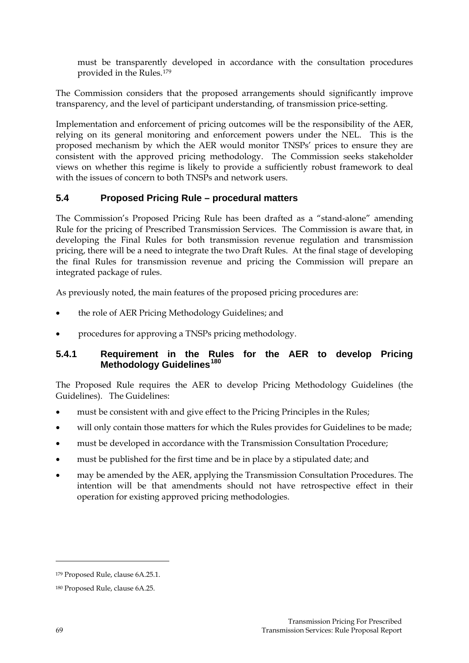must be transparently developed in accordance with the consultation procedures provided in the Rules.[179](#page-68-0)

The Commission considers that the proposed arrangements should significantly improve transparency, and the level of participant understanding, of transmission price-setting.

Implementation and enforcement of pricing outcomes will be the responsibility of the AER, relying on its general monitoring and enforcement powers under the NEL. This is the proposed mechanism by which the AER would monitor TNSPs' prices to ensure they are consistent with the approved pricing methodology. The Commission seeks stakeholder views on whether this regime is likely to provide a sufficiently robust framework to deal with the issues of concern to both TNSPs and network users.

### **5.4 Proposed Pricing Rule – procedural matters**

The Commission's Proposed Pricing Rule has been drafted as a "stand-alone" amending Rule for the pricing of Prescribed Transmission Services. The Commission is aware that, in developing the Final Rules for both transmission revenue regulation and transmission pricing, there will be a need to integrate the two Draft Rules. At the final stage of developing the final Rules for transmission revenue and pricing the Commission will prepare an integrated package of rules.

As previously noted, the main features of the proposed pricing procedures are:

- the role of AER Pricing Methodology Guidelines; and
- procedures for approving a TNSPs pricing methodology.

### **5.4.1 Requirement in the Rules for the AER to develop Pricing Methodology Guidelines[180](#page-68-1)**

The Proposed Rule requires the AER to develop Pricing Methodology Guidelines (the Guidelines). The Guidelines:

- must be consistent with and give effect to the Pricing Principles in the Rules;
- will only contain those matters for which the Rules provides for Guidelines to be made;
- must be developed in accordance with the Transmission Consultation Procedure;
- must be published for the first time and be in place by a stipulated date; and
- may be amended by the AER, applying the Transmission Consultation Procedures. The intention will be that amendments should not have retrospective effect in their operation for existing approved pricing methodologies.

<span id="page-68-0"></span><sup>179</sup> Proposed Rule, clause 6A.25.1.

<span id="page-68-1"></span><sup>180</sup> Proposed Rule, clause 6A.25.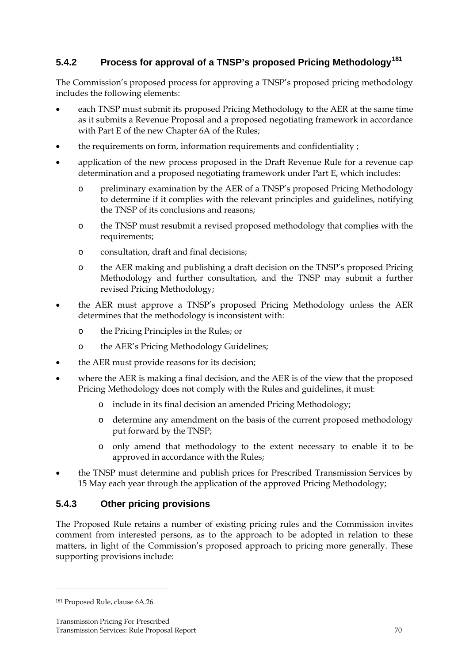# **5.4.2 Process for approval of a TNSP's proposed Pricing Methodology[181](#page-69-0)**

The Commission's proposed process for approving a TNSP's proposed pricing methodology includes the following elements:

- each TNSP must submit its proposed Pricing Methodology to the AER at the same time as it submits a Revenue Proposal and a proposed negotiating framework in accordance with Part E of the new Chapter 6A of the Rules;
- the requirements on form, information requirements and confidentiality ;
- application of the new process proposed in the Draft Revenue Rule for a revenue cap determination and a proposed negotiating framework under Part E, which includes:
	- o preliminary examination by the AER of a TNSP's proposed Pricing Methodology to determine if it complies with the relevant principles and guidelines, notifying the TNSP of its conclusions and reasons;
	- o the TNSP must resubmit a revised proposed methodology that complies with the requirements;
	- o consultation, draft and final decisions;
	- o the AER making and publishing a draft decision on the TNSP's proposed Pricing Methodology and further consultation, and the TNSP may submit a further revised Pricing Methodology;
- the AER must approve a TNSP's proposed Pricing Methodology unless the AER determines that the methodology is inconsistent with:
	- o the Pricing Principles in the Rules; or
	- o the AER's Pricing Methodology Guidelines;
- the AER must provide reasons for its decision;
- where the AER is making a final decision, and the AER is of the view that the proposed Pricing Methodology does not comply with the Rules and guidelines, it must:
	- o include in its final decision an amended Pricing Methodology;
	- o determine any amendment on the basis of the current proposed methodology put forward by the TNSP;
	- o only amend that methodology to the extent necessary to enable it to be approved in accordance with the Rules;
- the TNSP must determine and publish prices for Prescribed Transmission Services by 15 May each year through the application of the approved Pricing Methodology;

## **5.4.3 Other pricing provisions**

The Proposed Rule retains a number of existing pricing rules and the Commission invites comment from interested persons, as to the approach to be adopted in relation to these matters, in light of the Commission's proposed approach to pricing more generally. These supporting provisions include:

<span id="page-69-0"></span><sup>181</sup> Proposed Rule, clause 6A.26.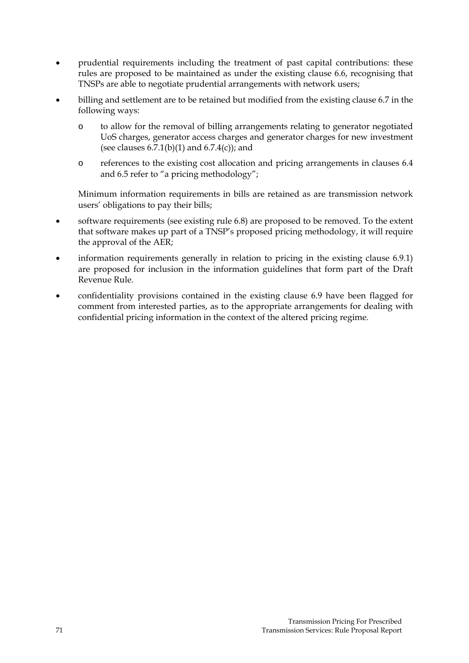- prudential requirements including the treatment of past capital contributions: these rules are proposed to be maintained as under the existing clause 6.6, recognising that TNSPs are able to negotiate prudential arrangements with network users;
- billing and settlement are to be retained but modified from the existing clause 6.7 in the following ways:
	- o to allow for the removal of billing arrangements relating to generator negotiated UoS charges, generator access charges and generator charges for new investment (see clauses  $6.7.1(b)(1)$  and  $6.7.4(c)$ ); and
	- o references to the existing cost allocation and pricing arrangements in clauses 6.4 and 6.5 refer to "a pricing methodology";

Minimum information requirements in bills are retained as are transmission network users' obligations to pay their bills;

- software requirements (see existing rule 6.8) are proposed to be removed. To the extent that software makes up part of a TNSP's proposed pricing methodology, it will require the approval of the AER;
- information requirements generally in relation to pricing in the existing clause 6.9.1) are proposed for inclusion in the information guidelines that form part of the Draft Revenue Rule.
- confidentiality provisions contained in the existing clause 6.9 have been flagged for comment from interested parties, as to the appropriate arrangements for dealing with confidential pricing information in the context of the altered pricing regime.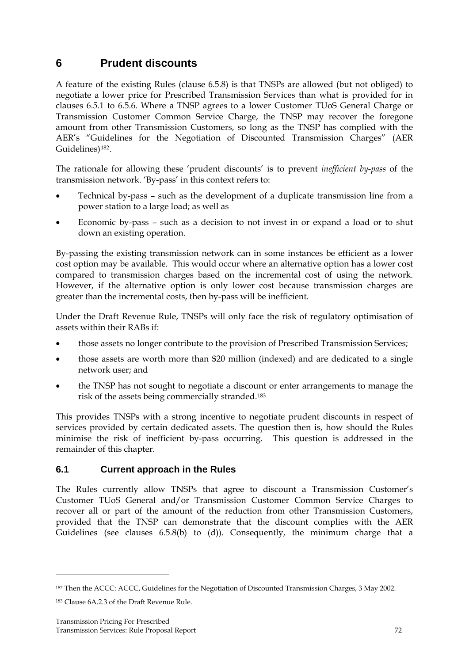# **6 Prudent discounts**

A feature of the existing Rules (clause 6.5.8) is that TNSPs are allowed (but not obliged) to negotiate a lower price for Prescribed Transmission Services than what is provided for in clauses 6.5.1 to 6.5.6. Where a TNSP agrees to a lower Customer TUoS General Charge or Transmission Customer Common Service Charge, the TNSP may recover the foregone amount from other Transmission Customers, so long as the TNSP has complied with the AER's "Guidelines for the Negotiation of Discounted Transmission Charges" (AER Guidelines)<sup>[182](#page-71-0)</sup>.

The rationale for allowing these 'prudent discounts' is to prevent *inefficient by-pass* of the transmission network. 'By-pass' in this context refers to:

- Technical by-pass such as the development of a duplicate transmission line from a power station to a large load; as well as
- Economic by-pass such as a decision to not invest in or expand a load or to shut down an existing operation.

By-passing the existing transmission network can in some instances be efficient as a lower cost option may be available. This would occur where an alternative option has a lower cost compared to transmission charges based on the incremental cost of using the network. However, if the alternative option is only lower cost because transmission charges are greater than the incremental costs, then by-pass will be inefficient.

Under the Draft Revenue Rule, TNSPs will only face the risk of regulatory optimisation of assets within their RABs if:

- those assets no longer contribute to the provision of Prescribed Transmission Services;
- those assets are worth more than \$20 million (indexed) and are dedicated to a single network user; and
- the TNSP has not sought to negotiate a discount or enter arrangements to manage the risk of the assets being commercially stranded.[183](#page-71-1)

This provides TNSPs with a strong incentive to negotiate prudent discounts in respect of services provided by certain dedicated assets. The question then is, how should the Rules minimise the risk of inefficient by-pass occurring. This question is addressed in the remainder of this chapter.

### **6.1 Current approach in the Rules**

The Rules currently allow TNSPs that agree to discount a Transmission Customer's Customer TUoS General and/or Transmission Customer Common Service Charges to recover all or part of the amount of the reduction from other Transmission Customers, provided that the TNSP can demonstrate that the discount complies with the AER Guidelines (see clauses  $6.5.8(b)$  to (d)). Consequently, the minimum charge that a

<span id="page-71-0"></span><sup>182</sup> Then the ACCC: ACCC, Guidelines for the Negotiation of Discounted Transmission Charges, 3 May 2002.

<span id="page-71-1"></span><sup>183</sup> Clause 6A.2.3 of the Draft Revenue Rule.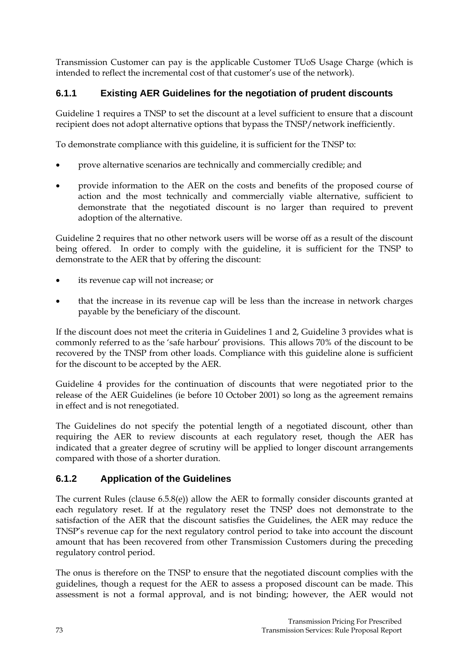Transmission Customer can pay is the applicable Customer TUoS Usage Charge (which is intended to reflect the incremental cost of that customer's use of the network).

# **6.1.1 Existing AER Guidelines for the negotiation of prudent discounts**

Guideline 1 requires a TNSP to set the discount at a level sufficient to ensure that a discount recipient does not adopt alternative options that bypass the TNSP/network inefficiently.

To demonstrate compliance with this guideline, it is sufficient for the TNSP to:

- prove alternative scenarios are technically and commercially credible; and
- provide information to the AER on the costs and benefits of the proposed course of action and the most technically and commercially viable alternative, sufficient to demonstrate that the negotiated discount is no larger than required to prevent adoption of the alternative.

Guideline 2 requires that no other network users will be worse off as a result of the discount being offered. In order to comply with the guideline, it is sufficient for the TNSP to demonstrate to the AER that by offering the discount:

- its revenue cap will not increase; or
- that the increase in its revenue cap will be less than the increase in network charges payable by the beneficiary of the discount.

If the discount does not meet the criteria in Guidelines 1 and 2, Guideline 3 provides what is commonly referred to as the 'safe harbour' provisions. This allows 70% of the discount to be recovered by the TNSP from other loads. Compliance with this guideline alone is sufficient for the discount to be accepted by the AER.

Guideline 4 provides for the continuation of discounts that were negotiated prior to the release of the AER Guidelines (ie before 10 October 2001) so long as the agreement remains in effect and is not renegotiated.

The Guidelines do not specify the potential length of a negotiated discount, other than requiring the AER to review discounts at each regulatory reset, though the AER has indicated that a greater degree of scrutiny will be applied to longer discount arrangements compared with those of a shorter duration.

# **6.1.2 Application of the Guidelines**

The current Rules (clause 6.5.8(e)) allow the AER to formally consider discounts granted at each regulatory reset. If at the regulatory reset the TNSP does not demonstrate to the satisfaction of the AER that the discount satisfies the Guidelines, the AER may reduce the TNSP's revenue cap for the next regulatory control period to take into account the discount amount that has been recovered from other Transmission Customers during the preceding regulatory control period.

The onus is therefore on the TNSP to ensure that the negotiated discount complies with the guidelines, though a request for the AER to assess a proposed discount can be made. This assessment is not a formal approval, and is not binding; however, the AER would not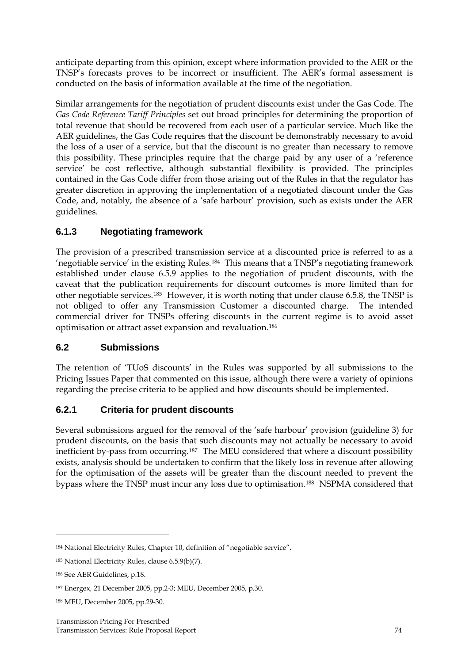anticipate departing from this opinion, except where information provided to the AER or the TNSP's forecasts proves to be incorrect or insufficient. The AER's formal assessment is conducted on the basis of information available at the time of the negotiation.

Similar arrangements for the negotiation of prudent discounts exist under the Gas Code. The *Gas Code Reference Tariff Principles* set out broad principles for determining the proportion of total revenue that should be recovered from each user of a particular service. Much like the AER guidelines, the Gas Code requires that the discount be demonstrably necessary to avoid the loss of a user of a service, but that the discount is no greater than necessary to remove this possibility. These principles require that the charge paid by any user of a 'reference service' be cost reflective, although substantial flexibility is provided. The principles contained in the Gas Code differ from those arising out of the Rules in that the regulator has greater discretion in approving the implementation of a negotiated discount under the Gas Code, and, notably, the absence of a 'safe harbour' provision, such as exists under the AER guidelines.

# **6.1.3 Negotiating framework**

The provision of a prescribed transmission service at a discounted price is referred to as a 'negotiable service' in the existing Rules.[184](#page-73-0) This means that a TNSP's negotiating framework established under clause 6.5.9 applies to the negotiation of prudent discounts, with the caveat that the publication requirements for discount outcomes is more limited than for other negotiable services.[185](#page-73-1) However, it is worth noting that under clause 6.5.8, the TNSP is not obliged to offer any Transmission Customer a discounted charge. The intended commercial driver for TNSPs offering discounts in the current regime is to avoid asset optimisation or attract asset expansion and revaluation.[186](#page-73-2)

# **6.2 Submissions**

The retention of 'TUoS discounts' in the Rules was supported by all submissions to the Pricing Issues Paper that commented on this issue, although there were a variety of opinions regarding the precise criteria to be applied and how discounts should be implemented.

# **6.2.1 Criteria for prudent discounts**

Several submissions argued for the removal of the 'safe harbour' provision (guideline 3) for prudent discounts, on the basis that such discounts may not actually be necessary to avoid inefficient by-pass from occurring.[187](#page-73-3) The MEU considered that where a discount possibility exists, analysis should be undertaken to confirm that the likely loss in revenue after allowing for the optimisation of the assets will be greater than the discount needed to prevent the bypass where the TNSP must incur any loss due to optimisation.[188](#page-73-4) NSPMA considered that

<span id="page-73-0"></span><sup>184</sup> National Electricity Rules, Chapter 10, definition of "negotiable service".

<span id="page-73-1"></span><sup>185</sup> National Electricity Rules, clause 6.5.9(b)(7).

<span id="page-73-2"></span><sup>186</sup> See AER Guidelines, p.18.

<span id="page-73-3"></span><sup>187</sup> Energex, 21 December 2005, pp.2-3; MEU, December 2005, p.30.

<span id="page-73-4"></span><sup>188</sup> MEU, December 2005, pp.29-30.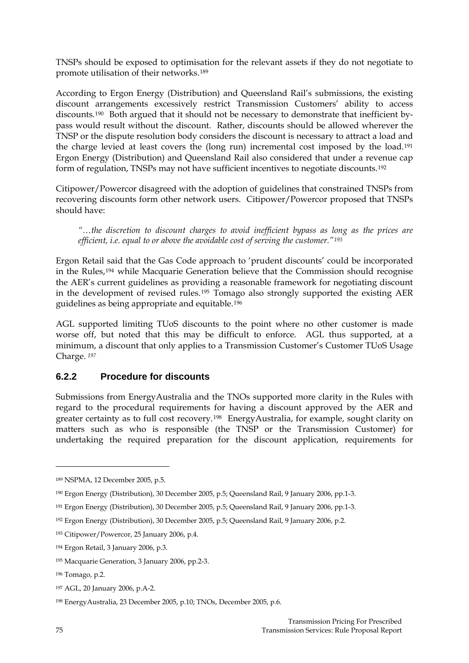TNSPs should be exposed to optimisation for the relevant assets if they do not negotiate to promote utilisation of their networks.[189](#page-74-0)

According to Ergon Energy (Distribution) and Queensland Rail's submissions, the existing discount arrangements excessively restrict Transmission Customers' ability to access discounts.[190](#page-74-1) Both argued that it should not be necessary to demonstrate that inefficient bypass would result without the discount. Rather, discounts should be allowed wherever the TNSP or the dispute resolution body considers the discount is necessary to attract a load and the charge levied at least covers the (long run) incremental cost imposed by the load.[191](#page-74-2) Ergon Energy (Distribution) and Queensland Rail also considered that under a revenue cap form of regulation, TNSPs may not have sufficient incentives to negotiate discounts.[192](#page-74-3)

Citipower/Powercor disagreed with the adoption of guidelines that constrained TNSPs from recovering discounts form other network users. Citipower/Powercor proposed that TNSPs should have:

*"…the discretion to discount charges to avoid inefficient bypass as long as the prices are efficient, i.e. equal to or above the avoidable cost of serving the customer."[193](#page-74-4)*

Ergon Retail said that the Gas Code approach to 'prudent discounts' could be incorporated in the Rules,[194](#page-74-5) while Macquarie Generation believe that the Commission should recognise the AER's current guidelines as providing a reasonable framework for negotiating discount in the development of revised rules.[195](#page-74-6) Tomago also strongly supported the existing AER guidelines as being appropriate and equitable.[196](#page-74-7)

AGL supported limiting TUoS discounts to the point where no other customer is made worse off, but noted that this may be difficult to enforce. AGL thus supported, at a minimum, a discount that only applies to a Transmission Customer's Customer TUoS Usage Charge. *[197](#page-74-8)*

#### **6.2.2 Procedure for discounts**

Submissions from EnergyAustralia and the TNOs supported more clarity in the Rules with regard to the procedural requirements for having a discount approved by the AER and greater certainty as to full cost recovery.[198](#page-74-9) EnergyAustralia, for example, sought clarity on matters such as who is responsible (the TNSP or the Transmission Customer) for undertaking the required preparation for the discount application, requirements for

<span id="page-74-0"></span><sup>189</sup> NSPMA, 12 December 2005, p.5.

<span id="page-74-1"></span><sup>190</sup> Ergon Energy (Distribution), 30 December 2005, p.5; Queensland Rail, 9 January 2006, pp.1-3.

<span id="page-74-2"></span><sup>191</sup> Ergon Energy (Distribution), 30 December 2005, p.5; Queensland Rail, 9 January 2006, pp.1-3.

<span id="page-74-3"></span><sup>192</sup> Ergon Energy (Distribution), 30 December 2005, p.5; Queensland Rail, 9 January 2006, p.2.

<span id="page-74-4"></span><sup>193</sup> Citipower/Powercor, 25 January 2006, p.4.

<span id="page-74-5"></span><sup>194</sup> Ergon Retail, 3 January 2006, p.3.

<span id="page-74-6"></span><sup>195</sup> Macquarie Generation, 3 January 2006, pp.2-3.

<span id="page-74-7"></span><sup>196</sup> Tomago, p.2.

<span id="page-74-8"></span><sup>197</sup> AGL, 20 January 2006, p.A-2.

<span id="page-74-9"></span><sup>198</sup> EnergyAustralia, 23 December 2005, p.10; TNOs, December 2005, p.6.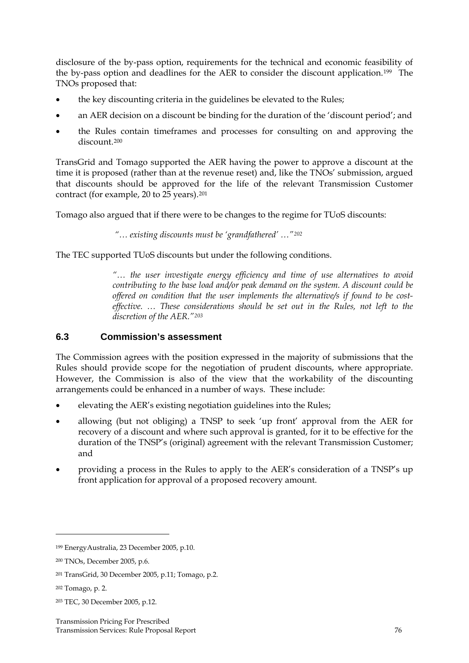disclosure of the by-pass option, requirements for the technical and economic feasibility of the by-pass option and deadlines for the AER to consider the discount application.[199](#page-75-0) The TNOs proposed that:

- the key discounting criteria in the guidelines be elevated to the Rules;
- an AER decision on a discount be binding for the duration of the 'discount period'; and
- the Rules contain timeframes and processes for consulting on and approving the discount.[200](#page-75-1)

TransGrid and Tomago supported the AER having the power to approve a discount at the time it is proposed (rather than at the revenue reset) and, like the TNOs' submission, argued that discounts should be approved for the life of the relevant Transmission Customer contract (for example, 20 to 25 years).[201](#page-75-2)

Tomago also argued that if there were to be changes to the regime for TUoS discounts:

*"… existing discounts must be 'grandfathered' …"[202](#page-75-3)*

The TEC supported TUoS discounts but under the following conditions.

*"… the user investigate energy efficiency and time of use alternatives to avoid contributing to the base load and/or peak demand on the system. A discount could be offered on condition that the user implements the alternative/s if found to be costeffective. … These considerations should be set out in the Rules, not left to the discretion of the AER."[203](#page-75-4)*

#### **6.3 Commission's assessment**

The Commission agrees with the position expressed in the majority of submissions that the Rules should provide scope for the negotiation of prudent discounts, where appropriate. However, the Commission is also of the view that the workability of the discounting arrangements could be enhanced in a number of ways. These include:

- elevating the AER's existing negotiation guidelines into the Rules;
- allowing (but not obliging) a TNSP to seek 'up front' approval from the AER for recovery of a discount and where such approval is granted, for it to be effective for the duration of the TNSP's (original) agreement with the relevant Transmission Customer; and
- providing a process in the Rules to apply to the AER's consideration of a TNSP's up front application for approval of a proposed recovery amount.

<span id="page-75-0"></span><sup>199</sup> EnergyAustralia, 23 December 2005, p.10.

<span id="page-75-1"></span><sup>200</sup> TNOs, December 2005, p.6.

<span id="page-75-2"></span><sup>201</sup> TransGrid, 30 December 2005, p.11; Tomago, p.2.

<span id="page-75-3"></span><sup>202</sup> Tomago, p. 2.

<span id="page-75-4"></span><sup>203</sup> TEC, 30 December 2005, p.12.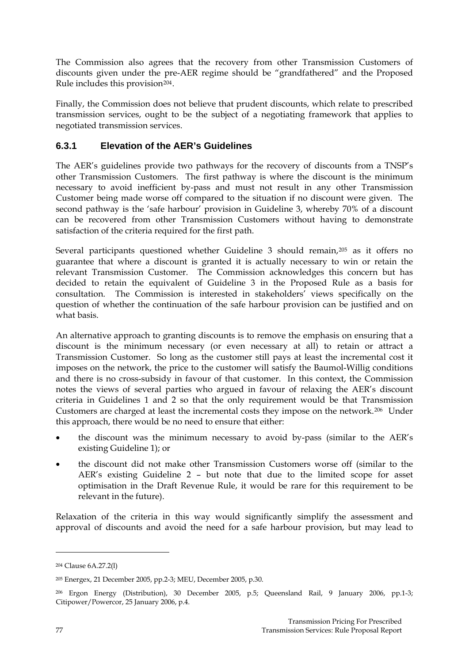The Commission also agrees that the recovery from other Transmission Customers of discounts given under the pre-AER regime should be "grandfathered" and the Proposed Rule includes this provision<sup>[204](#page-76-0)</sup>.

Finally, the Commission does not believe that prudent discounts, which relate to prescribed transmission services, ought to be the subject of a negotiating framework that applies to negotiated transmission services.

# **6.3.1 Elevation of the AER's Guidelines**

The AER's guidelines provide two pathways for the recovery of discounts from a TNSP's other Transmission Customers. The first pathway is where the discount is the minimum necessary to avoid inefficient by-pass and must not result in any other Transmission Customer being made worse off compared to the situation if no discount were given. The second pathway is the 'safe harbour' provision in Guideline 3, whereby 70% of a discount can be recovered from other Transmission Customers without having to demonstrate satisfaction of the criteria required for the first path.

Several participants questioned whether Guideline 3 should remain,[205](#page-76-1) as it offers no guarantee that where a discount is granted it is actually necessary to win or retain the relevant Transmission Customer. The Commission acknowledges this concern but has decided to retain the equivalent of Guideline 3 in the Proposed Rule as a basis for consultation. The Commission is interested in stakeholders' views specifically on the question of whether the continuation of the safe harbour provision can be justified and on what basis.

An alternative approach to granting discounts is to remove the emphasis on ensuring that a discount is the minimum necessary (or even necessary at all) to retain or attract a Transmission Customer. So long as the customer still pays at least the incremental cost it imposes on the network, the price to the customer will satisfy the Baumol-Willig conditions and there is no cross-subsidy in favour of that customer. In this context, the Commission notes the views of several parties who argued in favour of relaxing the AER's discount criteria in Guidelines 1 and 2 so that the only requirement would be that Transmission Customers are charged at least the incremental costs they impose on the network.[206](#page-76-2) Under this approach, there would be no need to ensure that either:

- the discount was the minimum necessary to avoid by-pass (similar to the AER's existing Guideline 1); or
- the discount did not make other Transmission Customers worse off (similar to the AER's existing Guideline 2 – but note that due to the limited scope for asset optimisation in the Draft Revenue Rule, it would be rare for this requirement to be relevant in the future).

Relaxation of the criteria in this way would significantly simplify the assessment and approval of discounts and avoid the need for a safe harbour provision, but may lead to

<span id="page-76-0"></span><sup>204</sup> Clause 6A.27.2(l)

<span id="page-76-1"></span><sup>205</sup> Energex, 21 December 2005, pp.2-3; MEU, December 2005, p.30.

<span id="page-76-2"></span><sup>206</sup> Ergon Energy (Distribution), 30 December 2005, p.5; Queensland Rail, 9 January 2006, pp.1-3; Citipower/Powercor, 25 January 2006, p.4.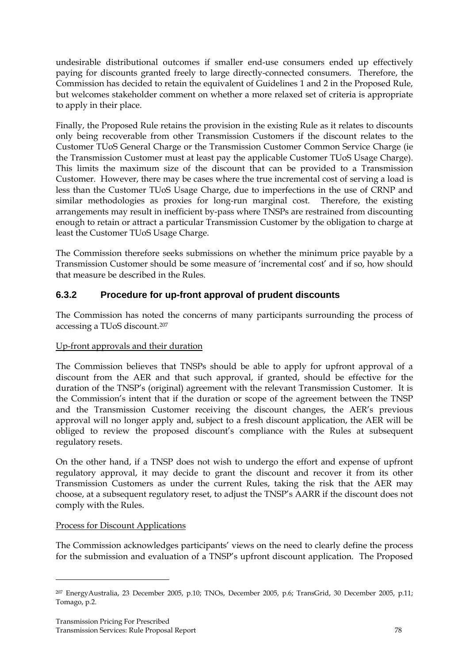undesirable distributional outcomes if smaller end-use consumers ended up effectively paying for discounts granted freely to large directly-connected consumers. Therefore, the Commission has decided to retain the equivalent of Guidelines 1 and 2 in the Proposed Rule, but welcomes stakeholder comment on whether a more relaxed set of criteria is appropriate to apply in their place.

Finally, the Proposed Rule retains the provision in the existing Rule as it relates to discounts only being recoverable from other Transmission Customers if the discount relates to the Customer TUoS General Charge or the Transmission Customer Common Service Charge (ie the Transmission Customer must at least pay the applicable Customer TUoS Usage Charge). This limits the maximum size of the discount that can be provided to a Transmission Customer. However, there may be cases where the true incremental cost of serving a load is less than the Customer TUoS Usage Charge, due to imperfections in the use of CRNP and similar methodologies as proxies for long-run marginal cost. Therefore, the existing arrangements may result in inefficient by-pass where TNSPs are restrained from discounting enough to retain or attract a particular Transmission Customer by the obligation to charge at least the Customer TUoS Usage Charge.

The Commission therefore seeks submissions on whether the minimum price payable by a Transmission Customer should be some measure of 'incremental cost' and if so, how should that measure be described in the Rules.

# **6.3.2 Procedure for up-front approval of prudent discounts**

The Commission has noted the concerns of many participants surrounding the process of accessing a TUoS discount.[207](#page-77-0)

#### Up-front approvals and their duration

The Commission believes that TNSPs should be able to apply for upfront approval of a discount from the AER and that such approval, if granted, should be effective for the duration of the TNSP's (original) agreement with the relevant Transmission Customer. It is the Commission's intent that if the duration or scope of the agreement between the TNSP and the Transmission Customer receiving the discount changes, the AER's previous approval will no longer apply and, subject to a fresh discount application, the AER will be obliged to review the proposed discount's compliance with the Rules at subsequent regulatory resets.

On the other hand, if a TNSP does not wish to undergo the effort and expense of upfront regulatory approval, it may decide to grant the discount and recover it from its other Transmission Customers as under the current Rules, taking the risk that the AER may choose, at a subsequent regulatory reset, to adjust the TNSP's AARR if the discount does not comply with the Rules.

#### Process for Discount Applications

<u>.</u>

The Commission acknowledges participants' views on the need to clearly define the process for the submission and evaluation of a TNSP's upfront discount application. The Proposed

<span id="page-77-0"></span><sup>207</sup> EnergyAustralia, 23 December 2005, p.10; TNOs, December 2005, p.6; TransGrid, 30 December 2005, p.11; Tomago, p.2.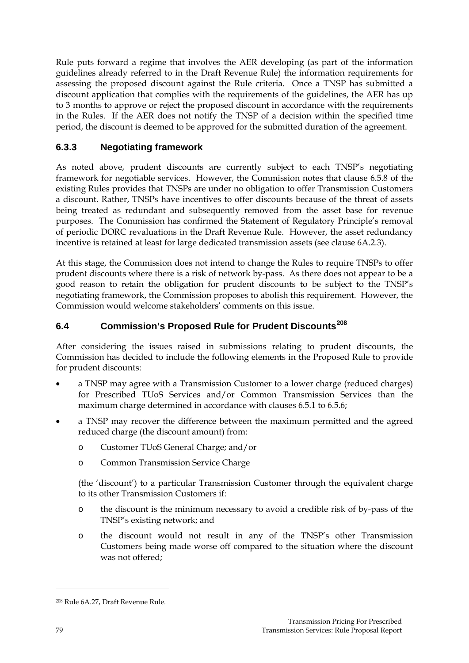Rule puts forward a regime that involves the AER developing (as part of the information guidelines already referred to in the Draft Revenue Rule) the information requirements for assessing the proposed discount against the Rule criteria. Once a TNSP has submitted a discount application that complies with the requirements of the guidelines, the AER has up to 3 months to approve or reject the proposed discount in accordance with the requirements in the Rules. If the AER does not notify the TNSP of a decision within the specified time period, the discount is deemed to be approved for the submitted duration of the agreement.

# **6.3.3 Negotiating framework**

As noted above, prudent discounts are currently subject to each TNSP's negotiating framework for negotiable services. However, the Commission notes that clause 6.5.8 of the existing Rules provides that TNSPs are under no obligation to offer Transmission Customers a discount. Rather, TNSPs have incentives to offer discounts because of the threat of assets being treated as redundant and subsequently removed from the asset base for revenue purposes. The Commission has confirmed the Statement of Regulatory Principle's removal of periodic DORC revaluations in the Draft Revenue Rule. However, the asset redundancy incentive is retained at least for large dedicated transmission assets (see clause 6A.2.3).

At this stage, the Commission does not intend to change the Rules to require TNSPs to offer prudent discounts where there is a risk of network by-pass. As there does not appear to be a good reason to retain the obligation for prudent discounts to be subject to the TNSP's negotiating framework, the Commission proposes to abolish this requirement. However, the Commission would welcome stakeholders' comments on this issue.

# **6.4 Commission's Proposed Rule for Prudent Discounts[208](#page-78-0)**

After considering the issues raised in submissions relating to prudent discounts, the Commission has decided to include the following elements in the Proposed Rule to provide for prudent discounts:

- a TNSP may agree with a Transmission Customer to a lower charge (reduced charges) for Prescribed TUoS Services and/or Common Transmission Services than the maximum charge determined in accordance with clauses 6.5.1 to 6.5.6;
- a TNSP may recover the difference between the maximum permitted and the agreed reduced charge (the discount amount) from:
	- o Customer TUoS General Charge; and/or
	- o Common Transmission Service Charge

(the 'discount') to a particular Transmission Customer through the equivalent charge to its other Transmission Customers if:

- o the discount is the minimum necessary to avoid a credible risk of by-pass of the TNSP's existing network; and
- o the discount would not result in any of the TNSP's other Transmission Customers being made worse off compared to the situation where the discount was not offered;

<span id="page-78-0"></span><sup>208</sup> Rule 6A.27, Draft Revenue Rule.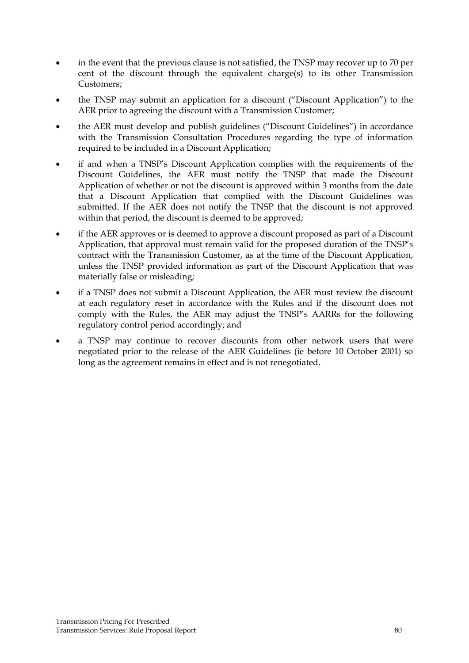- in the event that the previous clause is not satisfied, the TNSP may recover up to 70 per cent of the discount through the equivalent charge(s) to its other Transmission Customers;
- the TNSP may submit an application for a discount ("Discount Application") to the AER prior to agreeing the discount with a Transmission Customer;
- the AER must develop and publish guidelines ("Discount Guidelines") in accordance with the Transmission Consultation Procedures regarding the type of information required to be included in a Discount Application;
- if and when a TNSP's Discount Application complies with the requirements of the Discount Guidelines, the AER must notify the TNSP that made the Discount Application of whether or not the discount is approved within 3 months from the date that a Discount Application that complied with the Discount Guidelines was submitted. If the AER does not notify the TNSP that the discount is not approved within that period, the discount is deemed to be approved;
- if the AER approves or is deemed to approve a discount proposed as part of a Discount Application, that approval must remain valid for the proposed duration of the TNSP's contract with the Transmission Customer, as at the time of the Discount Application, unless the TNSP provided information as part of the Discount Application that was materially false or misleading;
- if a TNSP does not submit a Discount Application, the AER must review the discount at each regulatory reset in accordance with the Rules and if the discount does not comply with the Rules, the AER may adjust the TNSP's AARRs for the following regulatory control period accordingly; and
- a TNSP may continue to recover discounts from other network users that were negotiated prior to the release of the AER Guidelines (ie before 10 October 2001) so long as the agreement remains in effect and is not renegotiated.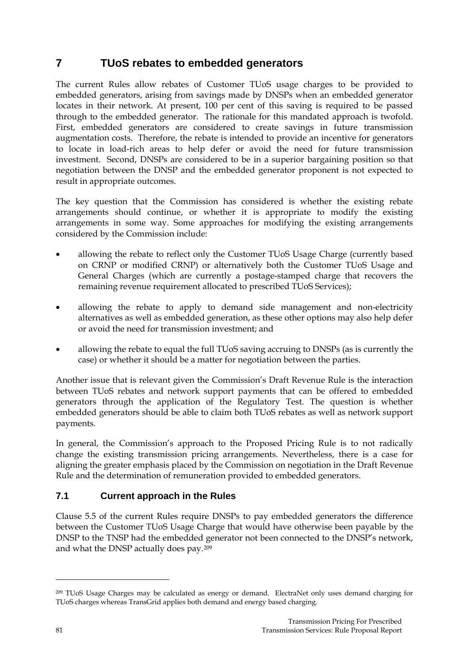# **7 TUoS rebates to embedded generators**

The current Rules allow rebates of Customer TUoS usage charges to be provided to embedded generators, arising from savings made by DNSPs when an embedded generator locates in their network. At present, 100 per cent of this saving is required to be passed through to the embedded generator. The rationale for this mandated approach is twofold. First, embedded generators are considered to create savings in future transmission augmentation costs. Therefore, the rebate is intended to provide an incentive for generators to locate in load-rich areas to help defer or avoid the need for future transmission investment. Second, DNSPs are considered to be in a superior bargaining position so that negotiation between the DNSP and the embedded generator proponent is not expected to result in appropriate outcomes.

The key question that the Commission has considered is whether the existing rebate arrangements should continue, or whether it is appropriate to modify the existing arrangements in some way. Some approaches for modifying the existing arrangements considered by the Commission include:

- allowing the rebate to reflect only the Customer TUoS Usage Charge (currently based on CRNP or modified CRNP) or alternatively both the Customer TUoS Usage and General Charges (which are currently a postage-stamped charge that recovers the remaining revenue requirement allocated to prescribed TUoS Services);
- allowing the rebate to apply to demand side management and non-electricity alternatives as well as embedded generation, as these other options may also help defer or avoid the need for transmission investment; and
- allowing the rebate to equal the full TUoS saving accruing to DNSPs (as is currently the case) or whether it should be a matter for negotiation between the parties.

Another issue that is relevant given the Commission's Draft Revenue Rule is the interaction between TUoS rebates and network support payments that can be offered to embedded generators through the application of the Regulatory Test. The question is whether embedded generators should be able to claim both TUoS rebates as well as network support payments.

In general, the Commission's approach to the Proposed Pricing Rule is to not radically change the existing transmission pricing arrangements. Nevertheless, there is a case for aligning the greater emphasis placed by the Commission on negotiation in the Draft Revenue Rule and the determination of remuneration provided to embedded generators.

# **7.1 Current approach in the Rules**

Clause 5.5 of the current Rules require DNSPs to pay embedded generators the difference between the Customer TUoS Usage Charge that would have otherwise been payable by the DNSP to the TNSP had the embedded generator not been connected to the DNSP's network, and what the DNSP actually does pay.[209](#page-80-0)

<span id="page-80-0"></span><sup>209</sup> TUoS Usage Charges may be calculated as energy or demand. ElectraNet only uses demand charging for TUoS charges whereas TransGrid applies both demand and energy based charging.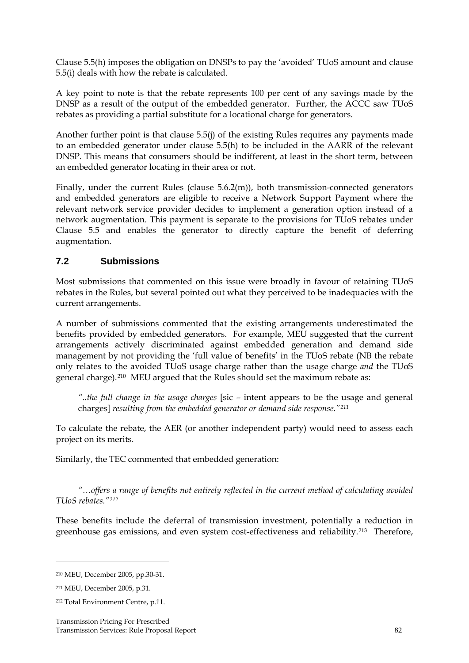Clause 5.5(h) imposes the obligation on DNSPs to pay the 'avoided' TUoS amount and clause 5.5(i) deals with how the rebate is calculated.

A key point to note is that the rebate represents 100 per cent of any savings made by the DNSP as a result of the output of the embedded generator. Further, the ACCC saw TUoS rebates as providing a partial substitute for a locational charge for generators.

Another further point is that clause 5.5(j) of the existing Rules requires any payments made to an embedded generator under clause 5.5(h) to be included in the AARR of the relevant DNSP. This means that consumers should be indifferent, at least in the short term, between an embedded generator locating in their area or not.

Finally, under the current Rules (clause 5.6.2(m)), both transmission-connected generators and embedded generators are eligible to receive a Network Support Payment where the relevant network service provider decides to implement a generation option instead of a network augmentation. This payment is separate to the provisions for TUoS rebates under Clause 5.5 and enables the generator to directly capture the benefit of deferring augmentation.

#### **7.2 Submissions**

Most submissions that commented on this issue were broadly in favour of retaining TUoS rebates in the Rules, but several pointed out what they perceived to be inadequacies with the current arrangements.

A number of submissions commented that the existing arrangements underestimated the benefits provided by embedded generators. For example, MEU suggested that the current arrangements actively discriminated against embedded generation and demand side management by not providing the 'full value of benefits' in the TUoS rebate (NB the rebate only relates to the avoided TUoS usage charge rather than the usage charge *and* the TUoS general charge).[210](#page-81-0) MEU argued that the Rules should set the maximum rebate as:

*"..the full change in the usage charges* [sic – intent appears to be the usage and general charges] *resulting from the embedded generator or demand side response."[211](#page-81-1)*

To calculate the rebate, the AER (or another independent party) would need to assess each project on its merits.

Similarly, the TEC commented that embedded generation:

*"…offers a range of benefits not entirely reflected in the current method of calculating avoided TUoS rebates."[212](#page-81-2)*

<span id="page-81-3"></span>These benefits include the deferral of transmission investment, potentially a reduction in greenhouse gas emissions, and even system cost-effectiveness and reliability.[213](#page-81-3) Therefore,

<span id="page-81-0"></span><sup>210</sup> MEU, December 2005, pp.30-31.

<span id="page-81-1"></span><sup>211</sup> MEU, December 2005, p.31.

<span id="page-81-2"></span><sup>212</sup> Total Environment Centre, p.11.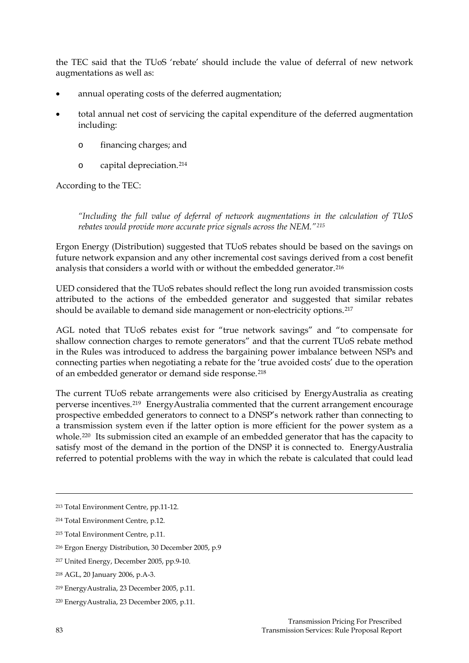the TEC said that the TUoS 'rebate' should include the value of deferral of new network augmentations as well as:

- annual operating costs of the deferred augmentation;
- total annual net cost of servicing the capital expenditure of the deferred augmentation including:
	- o financing charges; and
	- o capital depreciation.[214](#page-82-0)

According to the TEC:

*"Including the full value of deferral of network augmentations in the calculation of TUoS rebates would provide more accurate price signals across the NEM."[215](#page-82-1)*

Ergon Energy (Distribution) suggested that TUoS rebates should be based on the savings on future network expansion and any other incremental cost savings derived from a cost benefit analysis that considers a world with or without the embedded generator.<sup>[216](#page-82-2)</sup>

UED considered that the TUoS rebates should reflect the long run avoided transmission costs attributed to the actions of the embedded generator and suggested that similar rebates should be available to demand side management or non-electricity options.<sup>[217](#page-82-3)</sup>

AGL noted that TUoS rebates exist for "true network savings" and "to compensate for shallow connection charges to remote generators" and that the current TUoS rebate method in the Rules was introduced to address the bargaining power imbalance between NSPs and connecting parties when negotiating a rebate for the 'true avoided costs' due to the operation of an embedded generator or demand side response.[218](#page-82-4)

The current TUoS rebate arrangements were also criticised by EnergyAustralia as creating perverse incentives.[219](#page-82-5) EnergyAustralia commented that the current arrangement encourage prospective embedded generators to connect to a DNSP's network rather than connecting to a transmission system even if the latter option is more efficient for the power system as a whole.<sup>[220](#page-82-6)</sup> Its submission cited an example of an embedded generator that has the capacity to satisfy most of the demand in the portion of the DNSP it is connected to. EnergyAustralia referred to potential problems with the way in which the rebate is calculated that could lead

<sup>213</sup> Total Environment Centre, pp.11-12.

<span id="page-82-0"></span><sup>214</sup> Total Environment Centre, p.12.

<span id="page-82-1"></span><sup>215</sup> Total Environment Centre, p.11.

<span id="page-82-2"></span><sup>216</sup> Ergon Energy Distribution, 30 December 2005, p.9

<span id="page-82-3"></span><sup>217</sup> United Energy, December 2005, pp.9-10.

<span id="page-82-4"></span><sup>218</sup> AGL, 20 January 2006, p.A-3.

<span id="page-82-5"></span><sup>219</sup> EnergyAustralia, 23 December 2005, p.11.

<span id="page-82-6"></span><sup>220</sup> EnergyAustralia, 23 December 2005, p.11.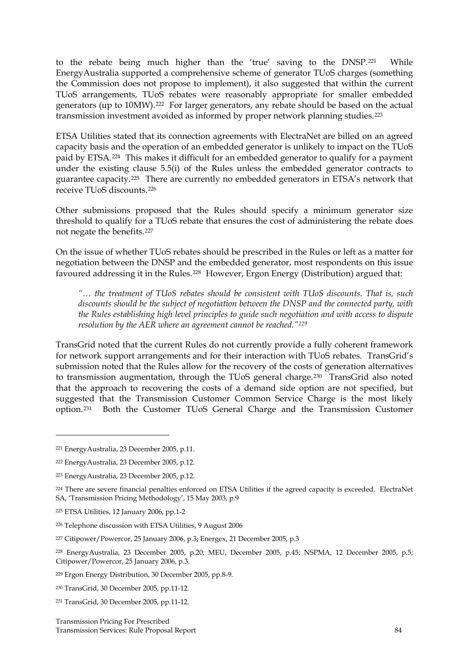to the rebate being much higher than the 'true' saving to the DNSP.[221](#page-83-0) While EnergyAustralia supported a comprehensive scheme of generator TUoS charges (something the Commission does not propose to implement), it also suggested that within the current TUoS arrangements, TUoS rebates were reasonably appropriate for smaller embedded generators (up to 10MW).[222](#page-83-1) For larger generators, any rebate should be based on the actual transmission investment avoided as informed by proper network planning studies.[223](#page-83-2)

ETSA Utilities stated that its connection agreements with ElectraNet are billed on an agreed capacity basis and the operation of an embedded generator is unlikely to impact on the TUoS paid by ETSA.[224](#page-83-3) This makes it difficult for an embedded generator to qualify for a payment under the existing clause 5.5(i) of the Rules unless the embedded generator contracts to guarantee capacity.[225](#page-83-4) There are currently no embedded generators in ETSA's network that receive TUoS discounts.[226](#page-83-5)

Other submissions proposed that the Rules should specify a minimum generator size threshold to qualify for a TUoS rebate that ensures the cost of administering the rebate does not negate the benefits.[227](#page-83-6)

On the issue of whether TUoS rebates should be prescribed in the Rules or left as a matter for negotiation between the DNSP and the embedded generator, most respondents on this issue favoured addressing it in the Rules.[228](#page-83-7) However, Ergon Energy (Distribution) argued that:

*"… the treatment of TUoS rebates should be consistent with TUoS discounts. That is, such discounts should be the subject of negotiation between the DNSP and the connected party, with the Rules establishing high level principles to guide such negotiation and with access to dispute resolution by the AER where an agreement cannot be reached."[229](#page-83-8)* 

TransGrid noted that the current Rules do not currently provide a fully coherent framework for network support arrangements and for their interaction with TUoS rebates. TransGrid's submission noted that the Rules allow for the recovery of the costs of generation alternatives to transmission augmentation, through the TUoS general charge.<sup>[230](#page-83-9)</sup> TransGrid also noted that the approach to recovering the costs of a demand side option are not specified, but suggested that the Transmission Customer Common Service Charge is the most likely option.[231](#page-83-10) Both the Customer TUoS General Charge and the Transmission Customer

<span id="page-83-0"></span><sup>221</sup> EnergyAustralia, 23 December 2005, p.11.

<span id="page-83-1"></span><sup>222</sup> EnergyAustralia, 23 December 2005, p.12.

<span id="page-83-2"></span><sup>223</sup> EnergyAustralia, 23 December 2005, p.12.

<span id="page-83-3"></span><sup>224</sup> There are severe financial penalties enforced on ETSA Utilities if the agreed capacity is exceeded. ElectraNet SA, 'Transmission Pricing Methodology', 15 May 2003, p.9

<span id="page-83-4"></span><sup>225</sup> ETSA Utilities, 12 January 2006, pp.1-2

<span id="page-83-5"></span><sup>226</sup> Telephone discussion with ETSA Utilities, 9 August 2006

<span id="page-83-6"></span><sup>227</sup> Citipower/Powercor, 25 January 2006, p.3; Energex, 21 December 2005, p.3

<span id="page-83-7"></span><sup>228</sup> EnergyAustralia, 23 December 2005, p.20; MEU, December 2005, p.45; NSPMA, 12 December 2005, p.5; Citipower/Powercor, 25 January 2006, p.3.

<span id="page-83-8"></span><sup>229</sup> Ergon Energy Distribution, 30 December 2005, pp.8-9.

<span id="page-83-9"></span><sup>230</sup> TransGrid, 30 December 2005, pp.11-12.

<span id="page-83-10"></span><sup>231</sup> TransGrid, 30 December 2005, pp.11-12.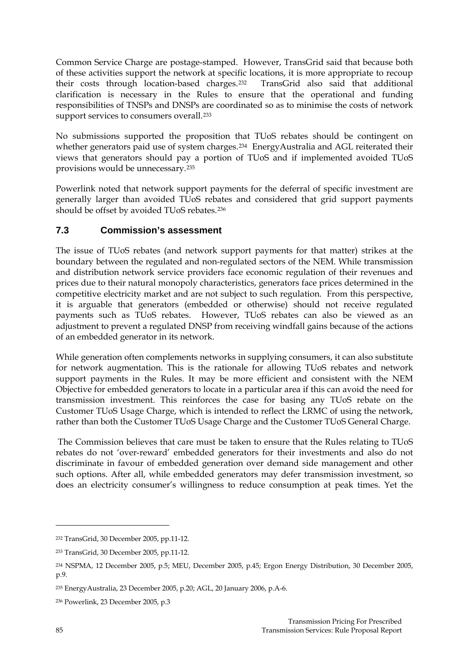Common Service Charge are postage-stamped. However, TransGrid said that because both of these activities support the network at specific locations, it is more appropriate to recoup their costs through location-based charges.[232](#page-84-0) TransGrid also said that additional clarification is necessary in the Rules to ensure that the operational and funding responsibilities of TNSPs and DNSPs are coordinated so as to minimise the costs of network support services to consumers overall.<sup>[233](#page-84-1)</sup>

No submissions supported the proposition that TUoS rebates should be contingent on whether generators paid use of system charges.<sup>[234](#page-84-2)</sup> EnergyAustralia and AGL reiterated their views that generators should pay a portion of TUoS and if implemented avoided TUoS provisions would be unnecessary.[235](#page-84-3)

Powerlink noted that network support payments for the deferral of specific investment are generally larger than avoided TUoS rebates and considered that grid support payments should be offset by avoided TUoS rebates.[236](#page-84-4)

# **7.3 Commission's assessment**

The issue of TUoS rebates (and network support payments for that matter) strikes at the boundary between the regulated and non-regulated sectors of the NEM. While transmission and distribution network service providers face economic regulation of their revenues and prices due to their natural monopoly characteristics, generators face prices determined in the competitive electricity market and are not subject to such regulation. From this perspective, it is arguable that generators (embedded or otherwise) should not receive regulated payments such as TUoS rebates. However, TUoS rebates can also be viewed as an adjustment to prevent a regulated DNSP from receiving windfall gains because of the actions of an embedded generator in its network.

While generation often complements networks in supplying consumers, it can also substitute for network augmentation. This is the rationale for allowing TUoS rebates and network support payments in the Rules. It may be more efficient and consistent with the NEM Objective for embedded generators to locate in a particular area if this can avoid the need for transmission investment. This reinforces the case for basing any TUoS rebate on the Customer TUoS Usage Charge, which is intended to reflect the LRMC of using the network, rather than both the Customer TUoS Usage Charge and the Customer TUoS General Charge.

 The Commission believes that care must be taken to ensure that the Rules relating to TUoS rebates do not 'over-reward' embedded generators for their investments and also do not discriminate in favour of embedded generation over demand side management and other such options. After all, while embedded generators may defer transmission investment, so does an electricity consumer's willingness to reduce consumption at peak times. Yet the

<span id="page-84-0"></span><sup>232</sup> TransGrid, 30 December 2005, pp.11-12.

<span id="page-84-1"></span><sup>233</sup> TransGrid, 30 December 2005, pp.11-12.

<span id="page-84-2"></span><sup>234</sup> NSPMA, 12 December 2005, p.5; MEU, December 2005, p.45; Ergon Energy Distribution, 30 December 2005, p.9.

<span id="page-84-3"></span><sup>235</sup> EnergyAustralia, 23 December 2005, p.20; AGL, 20 January 2006, p.A-6.

<span id="page-84-4"></span><sup>236</sup> Powerlink, 23 December 2005, p.3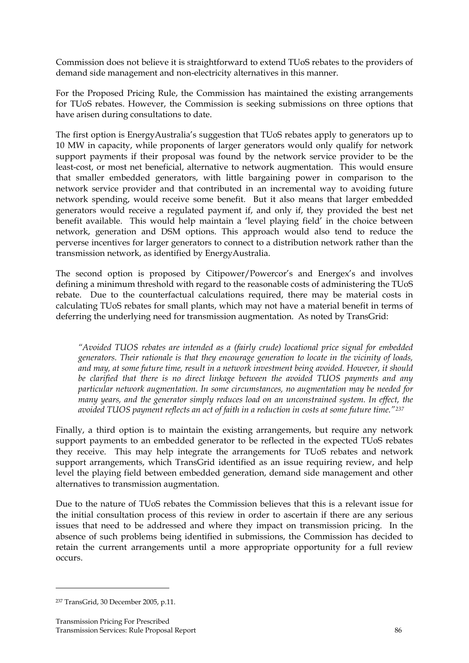Commission does not believe it is straightforward to extend TUoS rebates to the providers of demand side management and non-electricity alternatives in this manner.

For the Proposed Pricing Rule, the Commission has maintained the existing arrangements for TUoS rebates. However, the Commission is seeking submissions on three options that have arisen during consultations to date.

The first option is EnergyAustralia's suggestion that TUoS rebates apply to generators up to 10 MW in capacity, while proponents of larger generators would only qualify for network support payments if their proposal was found by the network service provider to be the least-cost, or most net beneficial, alternative to network augmentation. This would ensure that smaller embedded generators, with little bargaining power in comparison to the network service provider and that contributed in an incremental way to avoiding future network spending, would receive some benefit. But it also means that larger embedded generators would receive a regulated payment if, and only if, they provided the best net benefit available. This would help maintain a 'level playing field' in the choice between network, generation and DSM options. This approach would also tend to reduce the perverse incentives for larger generators to connect to a distribution network rather than the transmission network, as identified by EnergyAustralia.

The second option is proposed by Citipower/Powercor's and Energex's and involves defining a minimum threshold with regard to the reasonable costs of administering the TUoS rebate. Due to the counterfactual calculations required, there may be material costs in calculating TUoS rebates for small plants, which may not have a material benefit in terms of deferring the underlying need for transmission augmentation. As noted by TransGrid:

*"Avoided TUOS rebates are intended as a (fairly crude) locational price signal for embedded generators. Their rationale is that they encourage generation to locate in the vicinity of loads, and may, at some future time, result in a network investment being avoided. However, it should be clarified that there is no direct linkage between the avoided TUOS payments and any particular network augmentation. In some circumstances, no augmentation may be needed for many years, and the generator simply reduces load on an unconstrained system. In effect, the avoided TUOS payment reflects an act of faith in a reduction in costs at some future time."[237](#page-85-0)*

Finally, a third option is to maintain the existing arrangements, but require any network support payments to an embedded generator to be reflected in the expected TUoS rebates they receive. This may help integrate the arrangements for TUoS rebates and network support arrangements, which TransGrid identified as an issue requiring review, and help level the playing field between embedded generation, demand side management and other alternatives to transmission augmentation.

Due to the nature of TUoS rebates the Commission believes that this is a relevant issue for the initial consultation process of this review in order to ascertain if there are any serious issues that need to be addressed and where they impact on transmission pricing. In the absence of such problems being identified in submissions, the Commission has decided to retain the current arrangements until a more appropriate opportunity for a full review occurs.

<span id="page-85-0"></span><sup>237</sup> TransGrid, 30 December 2005, p.11.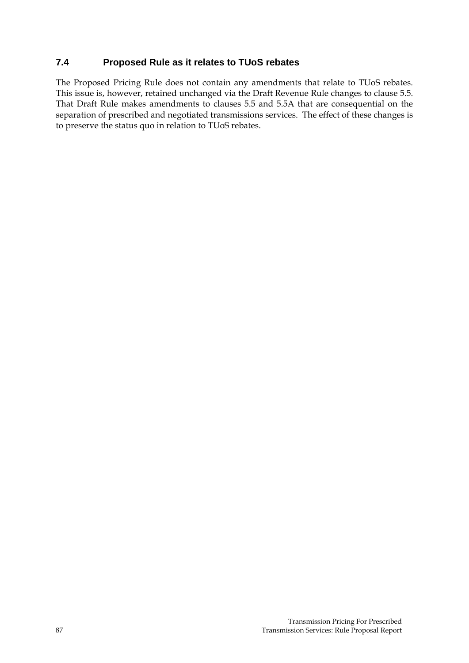# **7.4 Proposed Rule as it relates to TUoS rebates**

The Proposed Pricing Rule does not contain any amendments that relate to TUoS rebates. This issue is, however, retained unchanged via the Draft Revenue Rule changes to clause 5.5. That Draft Rule makes amendments to clauses 5.5 and 5.5A that are consequential on the separation of prescribed and negotiated transmissions services. The effect of these changes is to preserve the status quo in relation to TUoS rebates.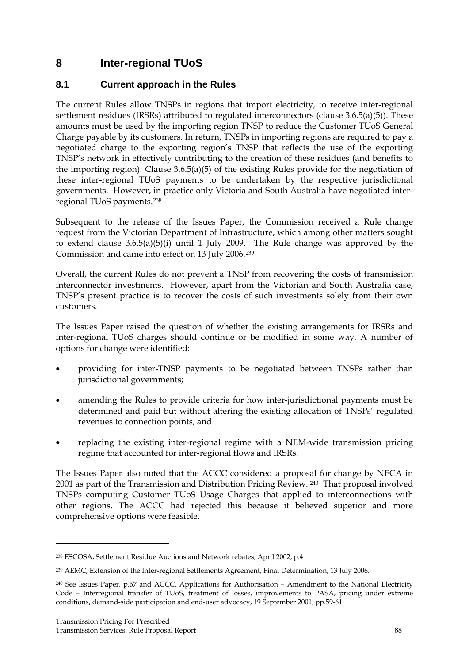# **8 Inter-regional TUoS**

## **8.1 Current approach in the Rules**

The current Rules allow TNSPs in regions that import electricity, to receive inter-regional settlement residues (IRSRs) attributed to regulated interconnectors (clause 3.6.5(a)(5)). These amounts must be used by the importing region TNSP to reduce the Customer TUoS General Charge payable by its customers. In return, TNSPs in importing regions are required to pay a negotiated charge to the exporting region's TNSP that reflects the use of the exporting TNSP's network in effectively contributing to the creation of these residues (and benefits to the importing region). Clause 3.6.5(a)(5) of the existing Rules provide for the negotiation of these inter-regional TUoS payments to be undertaken by the respective jurisdictional governments. However, in practice only Victoria and South Australia have negotiated interregional TUoS payments.[238](#page-87-0)

Subsequent to the release of the Issues Paper, the Commission received a Rule change request from the Victorian Department of Infrastructure, which among other matters sought to extend clause 3.6.5(a)(5)(i) until 1 July 2009. The Rule change was approved by the Commission and came into effect on 13 July 2006.[239](#page-87-1)

Overall, the current Rules do not prevent a TNSP from recovering the costs of transmission interconnector investments. However, apart from the Victorian and South Australia case, TNSP's present practice is to recover the costs of such investments solely from their own customers.

The Issues Paper raised the question of whether the existing arrangements for IRSRs and inter-regional TUoS charges should continue or be modified in some way. A number of options for change were identified:

- providing for inter-TNSP payments to be negotiated between TNSPs rather than jurisdictional governments;
- amending the Rules to provide criteria for how inter-jurisdictional payments must be determined and paid but without altering the existing allocation of TNSPs' regulated revenues to connection points; and
- replacing the existing inter-regional regime with a NEM-wide transmission pricing regime that accounted for inter-regional flows and IRSRs.

The Issues Paper also noted that the ACCC considered a proposal for change by NECA in 2001 as part of the Transmission and Distribution Pricing Review. [240](#page-87-2) That proposal involved TNSPs computing Customer TUoS Usage Charges that applied to interconnections with other regions. The ACCC had rejected this because it believed superior and more comprehensive options were feasible.

<span id="page-87-0"></span><sup>238</sup> ESCOSA, Settlement Residue Auctions and Network rebates, April 2002, p.4

<span id="page-87-1"></span><sup>&</sup>lt;sup>239</sup> AEMC, Extension of the Inter-regional Settlements Agreement, Final Determination, 13 July 2006.

<span id="page-87-2"></span><sup>240</sup> See Issues Paper, p.67 and ACCC, Applications for Authorisation – Amendment to the National Electricity Code – Interregional transfer of TUoS, treatment of losses, improvements to PASA, pricing under extreme conditions, demand-side participation and end-user advocacy, 19 September 2001, pp.59-61.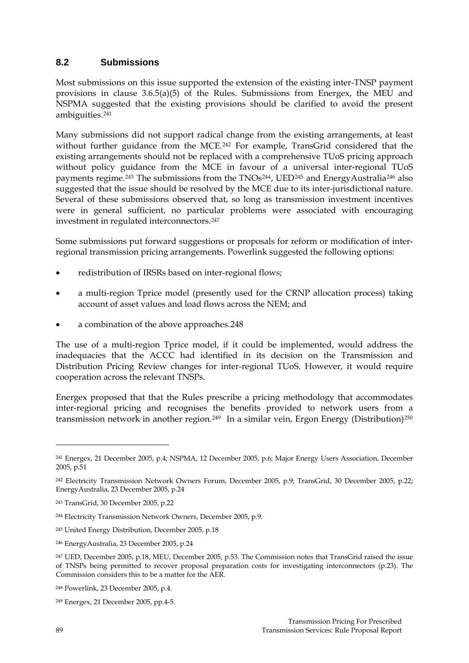#### **8.2 Submissions**

Most submissions on this issue supported the extension of the existing inter-TNSP payment provisions in clause 3.6.5(a)(5) of the Rules. Submissions from Energex, the MEU and NSPMA suggested that the existing provisions should be clarified to avoid the present ambiguities.[241](#page-88-0)

Many submissions did not support radical change from the existing arrangements, at least without further guidance from the MCE.<sup>[242](#page-88-1)</sup> For example, TransGrid considered that the existing arrangements should not be replaced with a comprehensive TUoS pricing approach without policy guidance from the MCE in favour of a universal inter-regional TUoS payments regime.<sup>[243](#page-88-2)</sup> The submissions from the TNOs<sup>[244](#page-88-3)</sup>, UED<sup>[245](#page-88-4)</sup> and EnergyAustralia<sup>[246](#page-88-5)</sup> also suggested that the issue should be resolved by the MCE due to its inter-jurisdictional nature. Several of these submissions observed that, so long as transmission investment incentives were in general sufficient, no particular problems were associated with encouraging investment in regulated interconnectors.[247](#page-88-6)

Some submissions put forward suggestions or proposals for reform or modification of interregional transmission pricing arrangements. Powerlink suggested the following options:

- redistribution of IRSRs based on inter-regional flows;
- a multi-region Tprice model (presently used for the CRNP allocation process) taking account of asset values and load flows across the NEM; and
- a combination of the above approaches.[248](#page-88-7)

The use of a multi-region Tprice model, if it could be implemented, would address the inadequacies that the ACCC had identified in its decision on the Transmission and Distribution Pricing Review changes for inter-regional TUoS. However, it would require cooperation across the relevant TNSPs.

Energex proposed that that the Rules prescribe a pricing methodology that accommodates inter-regional pricing and recognises the benefits provided to network users from a transmission network in another region.<sup>[249](#page-88-8)</sup> In a similar vein, Ergon Energy (Distribution)<sup>250</sup>

<span id="page-88-0"></span><sup>241</sup> Energex, 21 December 2005, p.4; NSPMA, 12 December 2005, p.6; Major Energy Users Association, December 2005, p.51

<span id="page-88-1"></span><sup>242</sup> Electricity Transmission Network Owners Forum, December 2005, p.9; TransGrid, 30 December 2005, p.22; EnergyAustralia, 23 December 2005, p.24

<span id="page-88-2"></span><sup>243</sup> TransGrid, 30 December 2005, p.22

<span id="page-88-3"></span><sup>244</sup> Electricity Transmission Network Owners, December 2005, p.9.

<span id="page-88-4"></span><sup>245</sup> United Energy Distribution, December 2005, p.18

<span id="page-88-9"></span><span id="page-88-5"></span><sup>246</sup> EnergyAustralia, 23 December 2005, p.24

<span id="page-88-6"></span><sup>247</sup> UED, December 2005, p.18, MEU, December 2005, p.53. The Commission notes that TransGrid raised the issue of TNSPs being permitted to recover proposal preparation costs for investigating interconnectors (p.23). The Commission considers this to be a matter for the AER.

<span id="page-88-7"></span><sup>248</sup> Powerlink, 23 December 2005, p.4.

<span id="page-88-8"></span><sup>249</sup> Energex, 21 December 2005, pp.4-5.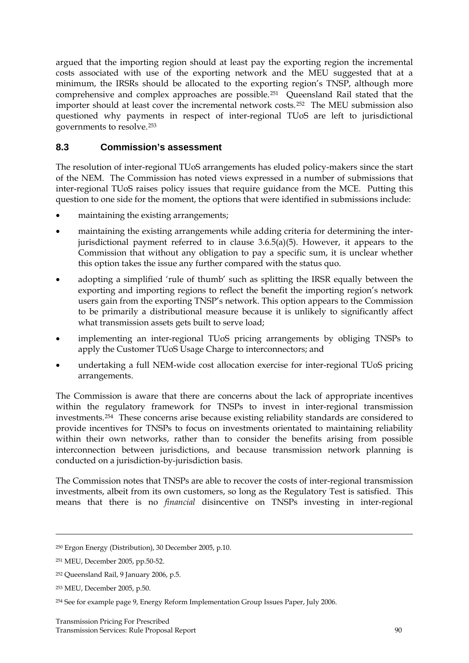argued that the importing region should at least pay the exporting region the incremental costs associated with use of the exporting network and the MEU suggested that at a minimum, the IRSRs should be allocated to the exporting region's TNSP, although more comprehensive and complex approaches are possible.[251](#page-89-0) Queensland Rail stated that the importer should at least cover the incremental network costs.[252](#page-89-1) The MEU submission also questioned why payments in respect of inter-regional TUoS are left to jurisdictional governments to resolve.[253](#page-89-2)

# **8.3 Commission's assessment**

The resolution of inter-regional TUoS arrangements has eluded policy-makers since the start of the NEM. The Commission has noted views expressed in a number of submissions that inter-regional TUoS raises policy issues that require guidance from the MCE. Putting this question to one side for the moment, the options that were identified in submissions include:

- maintaining the existing arrangements;
- maintaining the existing arrangements while adding criteria for determining the interjurisdictional payment referred to in clause 3.6.5(a)(5). However, it appears to the Commission that without any obligation to pay a specific sum, it is unclear whether this option takes the issue any further compared with the status quo.
- adopting a simplified 'rule of thumb' such as splitting the IRSR equally between the exporting and importing regions to reflect the benefit the importing region's network users gain from the exporting TNSP's network. This option appears to the Commission to be primarily a distributional measure because it is unlikely to significantly affect what transmission assets gets built to serve load;
- implementing an inter-regional TUoS pricing arrangements by obliging TNSPs to apply the Customer TUoS Usage Charge to interconnectors; and
- undertaking a full NEM-wide cost allocation exercise for inter-regional TUoS pricing arrangements.

The Commission is aware that there are concerns about the lack of appropriate incentives within the regulatory framework for TNSPs to invest in inter-regional transmission investments.[254](#page-89-3) These concerns arise because existing reliability standards are considered to provide incentives for TNSPs to focus on investments orientated to maintaining reliability within their own networks, rather than to consider the benefits arising from possible interconnection between jurisdictions, and because transmission network planning is conducted on a jurisdiction-by-jurisdiction basis.

The Commission notes that TNSPs are able to recover the costs of inter-regional transmission investments, albeit from its own customers, so long as the Regulatory Test is satisfied. This means that there is no *financial* disincentive on TNSPs investing in inter-regional

<sup>250</sup> Ergon Energy (Distribution), 30 December 2005, p.10.

<span id="page-89-0"></span><sup>251</sup> MEU, December 2005, pp.50-52.

<span id="page-89-1"></span><sup>252</sup> Queensland Rail, 9 January 2006, p.5.

<span id="page-89-2"></span><sup>253</sup> MEU, December 2005, p.50.

<span id="page-89-3"></span><sup>254</sup> See for example page 9, Energy Reform Implementation Group Issues Paper, July 2006.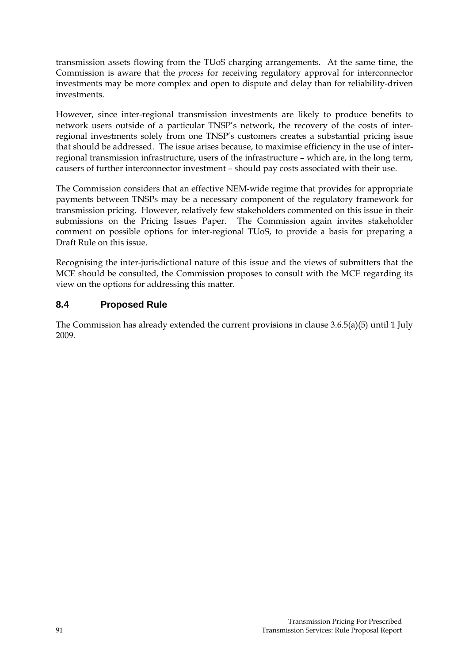transmission assets flowing from the TUoS charging arrangements. At the same time, the Commission is aware that the *process* for receiving regulatory approval for interconnector investments may be more complex and open to dispute and delay than for reliability-driven investments.

However, since inter-regional transmission investments are likely to produce benefits to network users outside of a particular TNSP's network, the recovery of the costs of interregional investments solely from one TNSP's customers creates a substantial pricing issue that should be addressed. The issue arises because, to maximise efficiency in the use of interregional transmission infrastructure, users of the infrastructure – which are, in the long term, causers of further interconnector investment – should pay costs associated with their use.

The Commission considers that an effective NEM-wide regime that provides for appropriate payments between TNSPs may be a necessary component of the regulatory framework for transmission pricing. However, relatively few stakeholders commented on this issue in their submissions on the Pricing Issues Paper. The Commission again invites stakeholder comment on possible options for inter-regional TUoS, to provide a basis for preparing a Draft Rule on this issue.

Recognising the inter-jurisdictional nature of this issue and the views of submitters that the MCE should be consulted, the Commission proposes to consult with the MCE regarding its view on the options for addressing this matter.

# **8.4 Proposed Rule**

The Commission has already extended the current provisions in clause 3.6.5(a)(5) until 1 July 2009.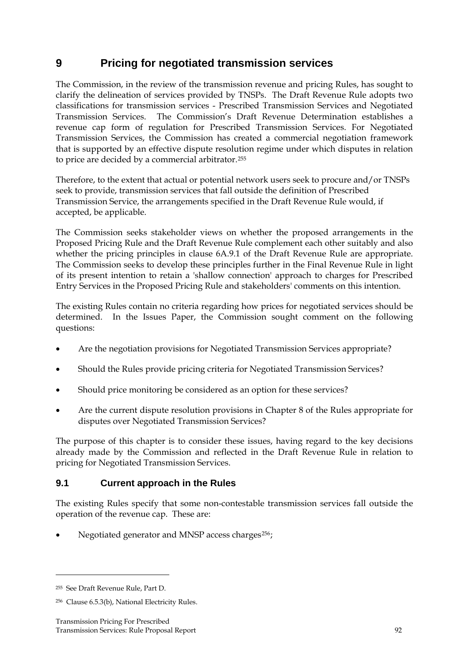# **9 Pricing for negotiated transmission services**

The Commission, in the review of the transmission revenue and pricing Rules, has sought to clarify the delineation of services provided by TNSPs. The Draft Revenue Rule adopts two classifications for transmission services - Prescribed Transmission Services and Negotiated Transmission Services. The Commission's Draft Revenue Determination establishes a revenue cap form of regulation for Prescribed Transmission Services. For Negotiated Transmission Services, the Commission has created a commercial negotiation framework that is supported by an effective dispute resolution regime under which disputes in relation to price are decided by a commercial arbitrator.[255](#page-91-0)

Therefore, to the extent that actual or potential network users seek to procure and/or TNSPs seek to provide, transmission services that fall outside the definition of Prescribed Transmission Service, the arrangements specified in the Draft Revenue Rule would, if accepted, be applicable.

The Commission seeks stakeholder views on whether the proposed arrangements in the Proposed Pricing Rule and the Draft Revenue Rule complement each other suitably and also whether the pricing principles in clause 6A.9.1 of the Draft Revenue Rule are appropriate. The Commission seeks to develop these principles further in the Final Revenue Rule in light of its present intention to retain a 'shallow connection' approach to charges for Prescribed Entry Services in the Proposed Pricing Rule and stakeholders' comments on this intention.

The existing Rules contain no criteria regarding how prices for negotiated services should be determined. In the Issues Paper, the Commission sought comment on the following questions:

- Are the negotiation provisions for Negotiated Transmission Services appropriate?
- Should the Rules provide pricing criteria for Negotiated Transmission Services?
- Should price monitoring be considered as an option for these services?
- Are the current dispute resolution provisions in Chapter 8 of the Rules appropriate for disputes over Negotiated Transmission Services?

The purpose of this chapter is to consider these issues, having regard to the key decisions already made by the Commission and reflected in the Draft Revenue Rule in relation to pricing for Negotiated Transmission Services.

# **9.1 Current approach in the Rules**

The existing Rules specify that some non-contestable transmission services fall outside the operation of the revenue cap. These are:

Negotiated generator and MNSP access charges<sup>[256](#page-91-1)</sup>;

<span id="page-91-0"></span><sup>255</sup> See Draft Revenue Rule, Part D.

<span id="page-91-1"></span><sup>256</sup> Clause 6.5.3(b), National Electricity Rules.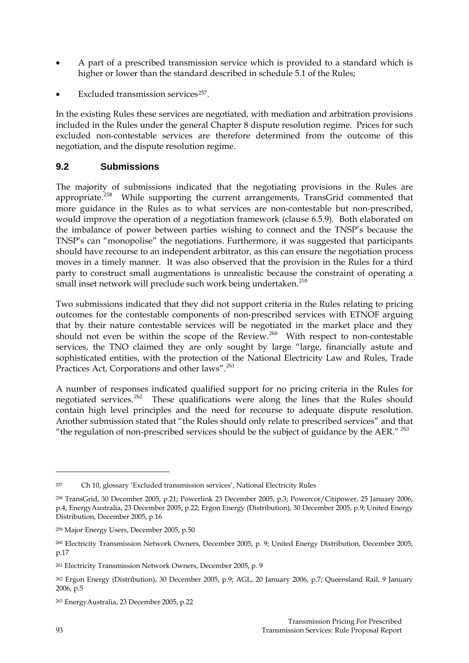- A part of a prescribed transmission service which is provided to a standard which is higher or lower than the standard described in schedule 5.1 of the Rules;
- Excluded transmission services<sup>[257](#page-92-0)</sup>.

In the existing Rules these services are negotiated, with mediation and arbitration provisions included in the Rules under the general Chapter 8 dispute resolution regime. Prices for such excluded non-contestable services are therefore determined from the outcome of this negotiation, and the dispute resolution regime.

# **9.2 Submissions**

The majority of submissions indicated that the negotiating provisions in the Rules are appropriate.<sup>[258](#page-92-1)</sup> While supporting the current arrangements, TransGrid commented that more guidance in the Rules as to what services are non-contestable but non-prescribed, would improve the operation of a negotiation framework (clause 6.5.9). Both elaborated on the imbalance of power between parties wishing to connect and the TNSP's because the TNSP's can "monopolise" the negotiations. Furthermore, it was suggested that participants should have recourse to an independent arbitrator, as this can ensure the negotiation process moves in a timely manner. It was also observed that the provision in the Rules for a third party to construct small augmentations is unrealistic because the constraint of operating a small inset network will preclude such work being undertaken.<sup>[259](#page-92-2)</sup>

Two submissions indicated that they did not support criteria in the Rules relating to pricing outcomes for the contestable components of non-prescribed services with ETNOF arguing that by their nature contestable services will be negotiated in the market place and they should not even be within the scope of the Review.<sup>[260](#page-92-3)</sup> With respect to non-contestable services, the TNO claimed they are only sought by large "large, financially astute and sophisticated entities, with the protection of the National Electricity Law and Rules, Trade Practices Act, Corporations and other laws".<sup>[261](#page-92-4)</sup>

A number of responses indicated qualified support for no pricing criteria in the Rules for negotiated services.<sup>[262](#page-92-5)</sup> These qualifications were along the lines that the Rules should contain high level principles and the need for recourse to adequate dispute resolution. Another submission stated that "the Rules should only relate to prescribed services" and that "the regulation of non-prescribed services should be the subject of guidance by the AER."  $^{263}$  $^{263}$  $^{263}$ 

<span id="page-92-0"></span><sup>257</sup> Ch 10, glossary 'Excluded transmission services', National Electricity Rules

<span id="page-92-1"></span><sup>258</sup> TransGrid, 30 December 2005, p.21; Powerlink 23 December 2005, p.3; Powercor/Citipower, 25 January 2006, p.4, EnergyAustralia, 23 December 2005, p.22; Ergon Energy (Distribution), 30 December 2005, p.9; United Energy Distribution, December 2005, p.16

<span id="page-92-2"></span><sup>259</sup> Major Energy Users, December 2005, p.50

<span id="page-92-3"></span><sup>260</sup> Electricity Transmission Network Owners, December 2005, p. 9; United Energy Distribution, December 2005, p.17

<span id="page-92-4"></span><sup>261</sup> Electricity Transmission Network Owners, December 2005, p. 9

<span id="page-92-5"></span><sup>262</sup> Ergon Energy (Distribution), 30 December 2005, p.9; AGL, 20 January 2006, p.7; Queensland Rail, 9 January 2006, p.5

<span id="page-92-6"></span><sup>263</sup> EnergyAustralia, 23 December 2005, p.22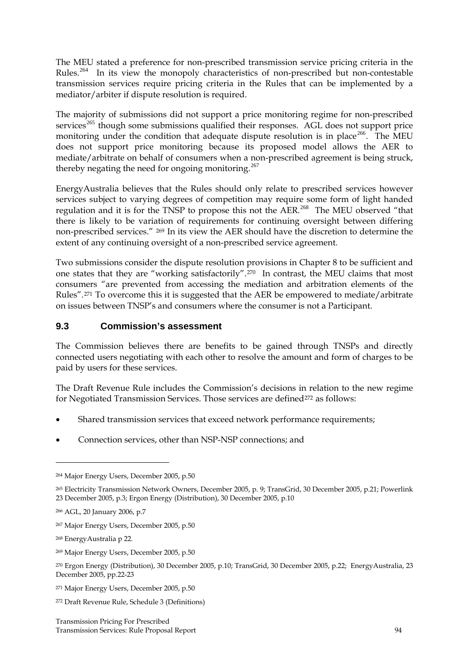The MEU stated a preference for non-prescribed transmission service pricing criteria in the Rules.<sup>[264](#page-93-0)</sup> In its view the monopoly characteristics of non-prescribed but non-contestable transmission services require pricing criteria in the Rules that can be implemented by a mediator/arbiter if dispute resolution is required.

The majority of submissions did not support a price monitoring regime for non-prescribed services<sup>[265](#page-93-1)</sup> though some submissions qualified their responses. AGL does not support price monitoring under the condition that adequate dispute resolution is in place<sup>[266](#page-93-2)</sup>. The MEU does not support price monitoring because its proposed model allows the AER to mediate/arbitrate on behalf of consumers when a non-prescribed agreement is being struck, thereby negating the need for ongoing monitoring.<sup>[267](#page-93-3)</sup>

EnergyAustralia believes that the Rules should only relate to prescribed services however services subject to varying degrees of competition may require some form of light handed regulation and it is for the TNSP to propose this not the AER.<sup>[268](#page-93-4)</sup> The MEU observed "that there is likely to be variation of requirements for continuing oversight between differing non-prescribed services." [269](#page-93-5) In its view the AER should have the discretion to determine the extent of any continuing oversight of a non-prescribed service agreement.

Two submissions consider the dispute resolution provisions in Chapter 8 to be sufficient and one states that they are "working satisfactorily".[270](#page-93-6) In contrast, the MEU claims that most consumers "are prevented from accessing the mediation and arbitration elements of the Rules".[271](#page-93-7) To overcome this it is suggested that the AER be empowered to mediate/arbitrate on issues between TNSP's and consumers where the consumer is not a Participant.

## **9.3 Commission's assessment**

The Commission believes there are benefits to be gained through TNSPs and directly connected users negotiating with each other to resolve the amount and form of charges to be paid by users for these services.

The Draft Revenue Rule includes the Commission's decisions in relation to the new regime for Negotiated Transmission Services. Those services are defined<sup>[272](#page-93-8)</sup> as follows:

- Shared transmission services that exceed network performance requirements;
- Connection services, other than NSP-NSP connections; and

<span id="page-93-0"></span><sup>264</sup> Major Energy Users, December 2005, p.50

<span id="page-93-1"></span><sup>265</sup> Electricity Transmission Network Owners, December 2005, p. 9; TransGrid, 30 December 2005, p.21; Powerlink 23 December 2005, p.3; Ergon Energy (Distribution), 30 December 2005, p.10

<span id="page-93-2"></span><sup>266</sup> AGL, 20 January 2006, p.7

<span id="page-93-3"></span><sup>267</sup> Major Energy Users, December 2005, p.50

<span id="page-93-4"></span><sup>268</sup> EnergyAustralia p 22.

<span id="page-93-5"></span><sup>269</sup> Major Energy Users, December 2005, p.50

<span id="page-93-6"></span><sup>270</sup> Ergon Energy (Distribution), 30 December 2005, p.10; TransGrid, 30 December 2005, p.22; EnergyAustralia, 23 December 2005, pp.22-23

<span id="page-93-7"></span><sup>271</sup> Major Energy Users, December 2005, p.50

<span id="page-93-8"></span><sup>272</sup> Draft Revenue Rule, Schedule 3 (Definitions)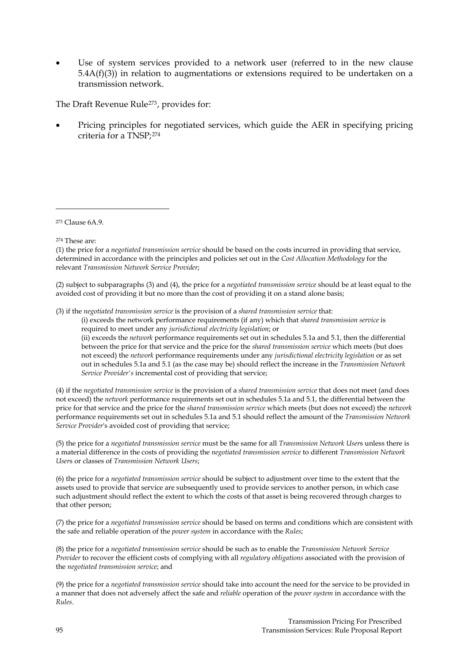Use of system services provided to a network user (referred to in the new clause  $5.4A(f)(3)$ ) in relation to augmentations or extensions required to be undertaken on a transmission network.

The Draft Revenue Rule[273](#page-94-0), provides for:

• Pricing principles for negotiated services, which guide the AER in specifying pricing criteria for a TNSP;[274](#page-94-1)

<span id="page-94-1"></span>274 These are:

<u>.</u>

(2) subject to subparagraphs (3) and (4), the price for a *negotiated transmission service* should be at least equal to the avoided cost of providing it but no more than the cost of providing it on a stand alone basis;

(3) if the *negotiated transmission service* is the provision of a *shared transmission service* that:

(i) exceeds the network performance requirements (if any) which that *shared transmission service* is required to meet under any *jurisdictional electricity legislation*; or

(ii) exceeds the *network* performance requirements set out in schedules 5.1a and 5.1, then the differential between the price for that service and the price for the *shared transmission service* which meets (but does not exceed) the *network* performance requirements under any *jurisdictional electricity legislation* or as set out in schedules 5.1a and 5.1 (as the case may be) should reflect the increase in the *Transmission Network Service Provider's* incremental cost of providing that service;

(4) if the *negotiated transmission service* is the provision of a *shared transmission service* that does not meet (and does not exceed) the *network* performance requirements set out in schedules 5.1a and 5.1, the differential between the price for that service and the price for the *shared transmission service* which meets (but does not exceed) the *network*  performance requirements set out in schedules 5.1a and 5.1 should reflect the amount of the *Transmission Network Service Provider*'s avoided cost of providing that service;

(5) the price for a *negotiated transmission service* must be the same for all *Transmission Network User*s unless there is a material difference in the costs of providing the *negotiated transmission service* to different *Transmission Network User*s or classes of *Transmission Network Users*;

(6) the price for a *negotiated transmission service* should be subject to adjustment over time to the extent that the assets used to provide that service are subsequently used to provide services to another person, in which case such adjustment should reflect the extent to which the costs of that asset is being recovered through charges to that other person;

(7) the price for a *negotiated transmission service* should be based on terms and conditions which are consistent with the safe and reliable operation of the *power system* in accordance with the *Rules*;

(8) the price for a *negotiated transmission service* should be such as to enable the *Transmission Network Service Provider* to recover the efficient costs of complying with all *regulatory obligations* associated with the provision of the *negotiated transmission service*; and

(9) the price for a *negotiated transmission service* should take into account the need for the service to be provided in a manner that does not adversely affect the safe and *reliable* operation of the *power system* in accordance with the *Rules*.

<span id="page-94-0"></span><sup>273</sup> Clause 6A.9

<sup>(1)</sup> the price for a *negotiated transmission service* should be based on the costs incurred in providing that service, determined in accordance with the principles and policies set out in the *Cost Allocation Methodology* for the relevant *Transmission Network Service Provider*;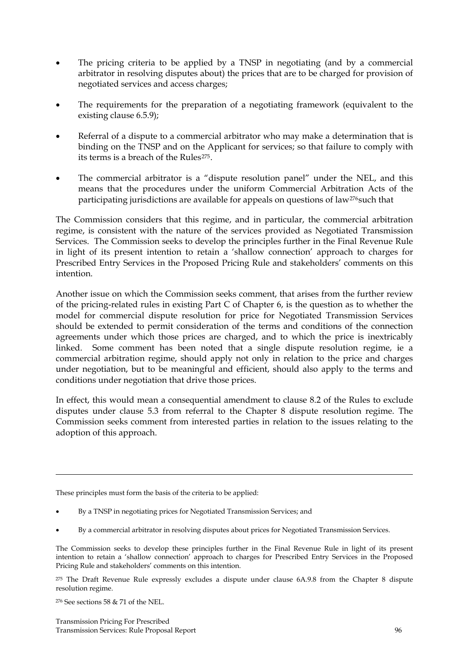- The pricing criteria to be applied by a TNSP in negotiating (and by a commercial arbitrator in resolving disputes about) the prices that are to be charged for provision of negotiated services and access charges;
- The requirements for the preparation of a negotiating framework (equivalent to the existing clause 6.5.9);
- Referral of a dispute to a commercial arbitrator who may make a determination that is binding on the TNSP and on the Applicant for services; so that failure to comply with its terms is a breach of the Rules<sup>[275](#page-95-0)</sup>.
- The commercial arbitrator is a "dispute resolution panel" under the NEL, and this means that the procedures under the uniform Commercial Arbitration Acts of the participating jurisdictions are available for appeals on questions of law<sup>[276](#page-95-1)</sup>such that

The Commission considers that this regime, and in particular, the commercial arbitration regime, is consistent with the nature of the services provided as Negotiated Transmission Services. The Commission seeks to develop the principles further in the Final Revenue Rule in light of its present intention to retain a 'shallow connection' approach to charges for Prescribed Entry Services in the Proposed Pricing Rule and stakeholders' comments on this intention.

Another issue on which the Commission seeks comment, that arises from the further review of the pricing-related rules in existing Part C of Chapter 6, is the question as to whether the model for commercial dispute resolution for price for Negotiated Transmission Services should be extended to permit consideration of the terms and conditions of the connection agreements under which those prices are charged, and to which the price is inextricably linked. Some comment has been noted that a single dispute resolution regime, ie a commercial arbitration regime, should apply not only in relation to the price and charges under negotiation, but to be meaningful and efficient, should also apply to the terms and conditions under negotiation that drive those prices.

In effect, this would mean a consequential amendment to clause 8.2 of the Rules to exclude disputes under clause 5.3 from referral to the Chapter 8 dispute resolution regime. The Commission seeks comment from interested parties in relation to the issues relating to the adoption of this approach.

These principles must form the basis of the criteria to be applied:

- By a TNSP in negotiating prices for Negotiated Transmission Services; and
- By a commercial arbitrator in resolving disputes about prices for Negotiated Transmission Services.

The Commission seeks to develop these principles further in the Final Revenue Rule in light of its present intention to retain a 'shallow connection' approach to charges for Prescribed Entry Services in the Proposed Pricing Rule and stakeholders' comments on this intention.

<span id="page-95-0"></span>275 The Draft Revenue Rule expressly excludes a dispute under clause 6A.9.8 from the Chapter 8 dispute resolution regime.

<span id="page-95-1"></span> $^{276}$  See sections 58  $\&$  71 of the NEL.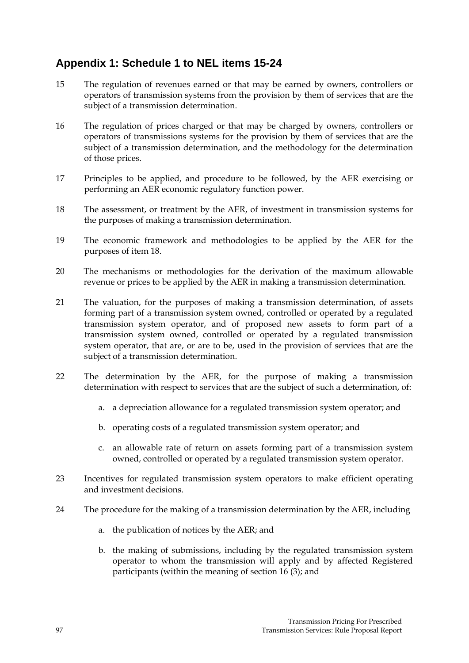# **Appendix 1: Schedule 1 to NEL items 15-24**

- 15 The regulation of revenues earned or that may be earned by owners, controllers or operators of transmission systems from the provision by them of services that are the subject of a transmission determination.
- 16 The regulation of prices charged or that may be charged by owners, controllers or operators of transmissions systems for the provision by them of services that are the subject of a transmission determination, and the methodology for the determination of those prices.
- 17 Principles to be applied, and procedure to be followed, by the AER exercising or performing an AER economic regulatory function power.
- 18 The assessment, or treatment by the AER, of investment in transmission systems for the purposes of making a transmission determination.
- 19 The economic framework and methodologies to be applied by the AER for the purposes of item 18.
- 20 The mechanisms or methodologies for the derivation of the maximum allowable revenue or prices to be applied by the AER in making a transmission determination.
- 21 The valuation, for the purposes of making a transmission determination, of assets forming part of a transmission system owned, controlled or operated by a regulated transmission system operator, and of proposed new assets to form part of a transmission system owned, controlled or operated by a regulated transmission system operator, that are, or are to be, used in the provision of services that are the subject of a transmission determination.
- 22 The determination by the AER, for the purpose of making a transmission determination with respect to services that are the subject of such a determination, of:
	- a. a depreciation allowance for a regulated transmission system operator; and
	- b. operating costs of a regulated transmission system operator; and
	- c. an allowable rate of return on assets forming part of a transmission system owned, controlled or operated by a regulated transmission system operator.
- 23 Incentives for regulated transmission system operators to make efficient operating and investment decisions.
- 24 The procedure for the making of a transmission determination by the AER, including
	- a. the publication of notices by the AER; and
	- b. the making of submissions, including by the regulated transmission system operator to whom the transmission will apply and by affected Registered participants (within the meaning of section 16 (3); and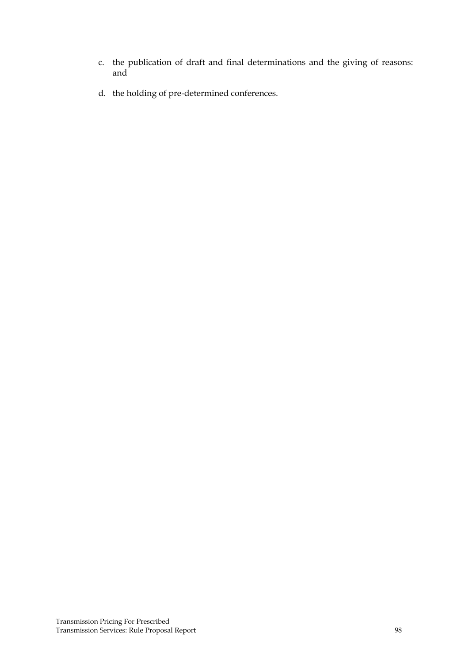- c. the publication of draft and final determinations and the giving of reasons: and
- d. the holding of pre-determined conferences.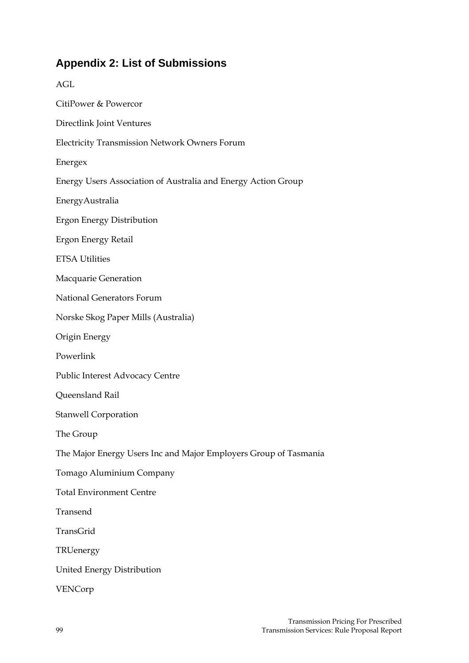# **Appendix 2: List of Submissions**

| <b>AGL</b>                                                       |
|------------------------------------------------------------------|
| CitiPower & Powercor                                             |
| Directlink Joint Ventures                                        |
| <b>Electricity Transmission Network Owners Forum</b>             |
| Energex                                                          |
| Energy Users Association of Australia and Energy Action Group    |
| EnergyAustralia                                                  |
| <b>Ergon Energy Distribution</b>                                 |
| <b>Ergon Energy Retail</b>                                       |
| <b>ETSA Utilities</b>                                            |
| Macquarie Generation                                             |
| National Generators Forum                                        |
| Norske Skog Paper Mills (Australia)                              |
| Origin Energy                                                    |
| Powerlink                                                        |
| Public Interest Advocacy Centre                                  |
| Queensland Rail                                                  |
| <b>Stanwell Corporation</b>                                      |
| The Group                                                        |
| The Major Energy Users Inc and Major Employers Group of Tasmania |
| Tomago Aluminium Company                                         |
| <b>Total Environment Centre</b>                                  |
| Transend                                                         |
| TransGrid                                                        |
| TRUenergy                                                        |
| United Energy Distribution                                       |
| VENCorp                                                          |